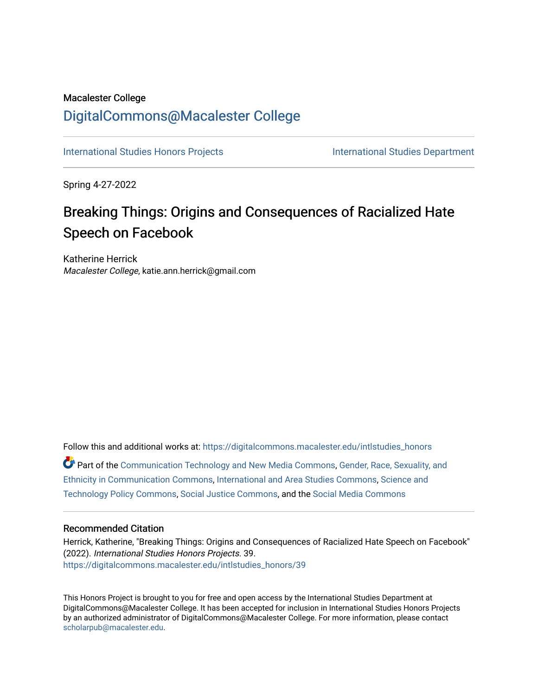# Macalester College [DigitalCommons@Macalester College](https://digitalcommons.macalester.edu/)

[International Studies Honors Projects](https://digitalcommons.macalester.edu/intlstudies_honors) **International Studies Department** 

Spring 4-27-2022

# Breaking Things: Origins and Consequences of Racialized Hate Speech on Facebook

Katherine Herrick Macalester College, katie.ann.herrick@gmail.com

Follow this and additional works at: [https://digitalcommons.macalester.edu/intlstudies\\_honors](https://digitalcommons.macalester.edu/intlstudies_honors?utm_source=digitalcommons.macalester.edu%2Fintlstudies_honors%2F39&utm_medium=PDF&utm_campaign=PDFCoverPages)  Part of the [Communication Technology and New Media Commons,](https://network.bepress.com/hgg/discipline/327?utm_source=digitalcommons.macalester.edu%2Fintlstudies_honors%2F39&utm_medium=PDF&utm_campaign=PDFCoverPages) [Gender, Race, Sexuality, and](https://network.bepress.com/hgg/discipline/329?utm_source=digitalcommons.macalester.edu%2Fintlstudies_honors%2F39&utm_medium=PDF&utm_campaign=PDFCoverPages) [Ethnicity in Communication Commons](https://network.bepress.com/hgg/discipline/329?utm_source=digitalcommons.macalester.edu%2Fintlstudies_honors%2F39&utm_medium=PDF&utm_campaign=PDFCoverPages), [International and Area Studies Commons](https://network.bepress.com/hgg/discipline/360?utm_source=digitalcommons.macalester.edu%2Fintlstudies_honors%2F39&utm_medium=PDF&utm_campaign=PDFCoverPages), [Science and](https://network.bepress.com/hgg/discipline/1029?utm_source=digitalcommons.macalester.edu%2Fintlstudies_honors%2F39&utm_medium=PDF&utm_campaign=PDFCoverPages)  [Technology Policy Commons](https://network.bepress.com/hgg/discipline/1029?utm_source=digitalcommons.macalester.edu%2Fintlstudies_honors%2F39&utm_medium=PDF&utm_campaign=PDFCoverPages), [Social Justice Commons](https://network.bepress.com/hgg/discipline/1432?utm_source=digitalcommons.macalester.edu%2Fintlstudies_honors%2F39&utm_medium=PDF&utm_campaign=PDFCoverPages), and the [Social Media Commons](https://network.bepress.com/hgg/discipline/1249?utm_source=digitalcommons.macalester.edu%2Fintlstudies_honors%2F39&utm_medium=PDF&utm_campaign=PDFCoverPages) 

### Recommended Citation

Herrick, Katherine, "Breaking Things: Origins and Consequences of Racialized Hate Speech on Facebook" (2022). International Studies Honors Projects. 39. [https://digitalcommons.macalester.edu/intlstudies\\_honors/39](https://digitalcommons.macalester.edu/intlstudies_honors/39?utm_source=digitalcommons.macalester.edu%2Fintlstudies_honors%2F39&utm_medium=PDF&utm_campaign=PDFCoverPages)

This Honors Project is brought to you for free and open access by the International Studies Department at DigitalCommons@Macalester College. It has been accepted for inclusion in International Studies Honors Projects by an authorized administrator of DigitalCommons@Macalester College. For more information, please contact [scholarpub@macalester.edu](mailto:scholarpub@macalester.edu).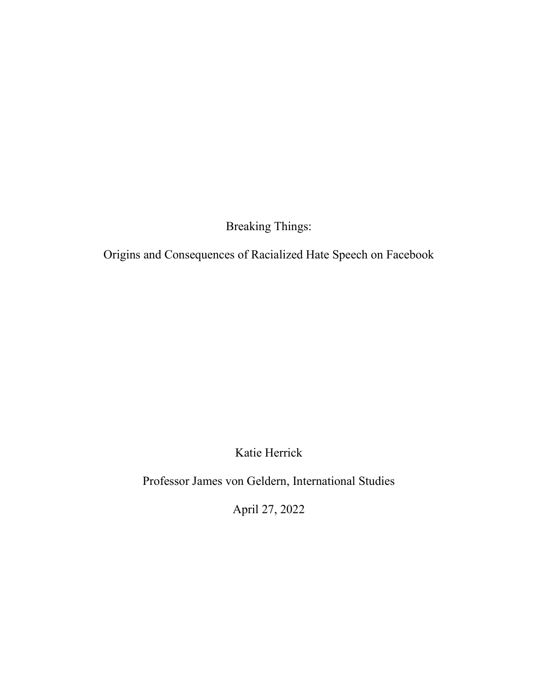Breaking Things:

Origins and Consequences of Racialized Hate Speech on Facebook

Katie Herrick

Professor James von Geldern, International Studies

April 27, 2022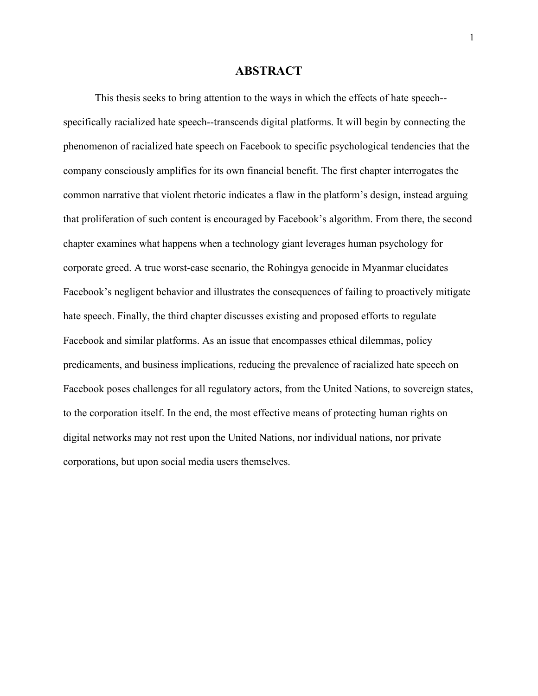#### **ABSTRACT**

This thesis seeks to bring attention to the ways in which the effects of hate speech- specifically racialized hate speech--transcends digital platforms. It will begin by connecting the phenomenon of racialized hate speech on Facebook to specific psychological tendencies that the company consciously amplifies for its own financial benefit. The first chapter interrogates the common narrative that violent rhetoric indicates a flaw in the platform's design, instead arguing that proliferation of such content is encouraged by Facebook's algorithm. From there, the second chapter examines what happens when a technology giant leverages human psychology for corporate greed. A true worst-case scenario, the Rohingya genocide in Myanmar elucidates Facebook's negligent behavior and illustrates the consequences of failing to proactively mitigate hate speech. Finally, the third chapter discusses existing and proposed efforts to regulate Facebook and similar platforms. As an issue that encompasses ethical dilemmas, policy predicaments, and business implications, reducing the prevalence of racialized hate speech on Facebook poses challenges for all regulatory actors, from the United Nations, to sovereign states, to the corporation itself. In the end, the most effective means of protecting human rights on digital networks may not rest upon the United Nations, nor individual nations, nor private corporations, but upon social media users themselves.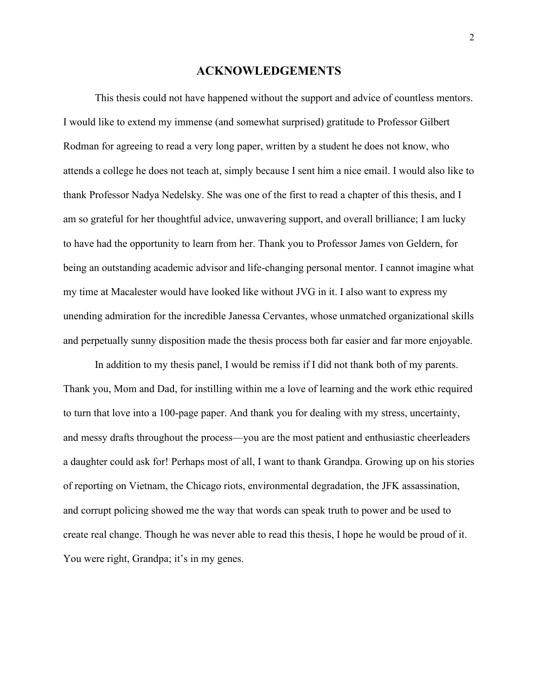#### **ACKNOWLEDGEMENTS**

This thesis could not have happened without the support and advice of countless mentors. I would like to extend my immense (and somewhat surprised) gratitude to Professor Gilbert Rodman for agreeing to read a very long paper, written by a student he does not know, who attends a college he does not teach at, simply because I sent him a nice email. I would also like to thank Professor Nadya Nedelsky. She was one of the first to read a chapter of this thesis, and I am so grateful for her thoughtful advice, unwavering support, and overall brilliance; I am lucky to have had the opportunity to learn from her. Thank you to Professor James von Geldern, for being an outstanding academic advisor and life-changing personal mentor. I cannot imagine what my time at Macalester would have looked like without JVG in it. I also want to express my unending admiration for the incredible Janessa Cervantes, whose unmatched organizational skills and perpetually sunny disposition made the thesis process both far easier and far more enjoyable.

In addition to my thesis panel, I would be remiss if I did not thank both of my parents. Thank you, Mom and Dad, for instilling within me a love of learning and the work ethic required to turn that love into a 100-page paper. And thank you for dealing with my stress, uncertainty, and messy drafts throughout the process—you are the most patient and enthusiastic cheerleaders a daughter could ask for! Perhaps most of all, I want to thank Grandpa. Growing up on his stories of reporting on Vietnam, the Chicago riots, environmental degradation, the JFK assassination, and corrupt policing showed me the way that words can speak truth to power and be used to create real change. Though he was never able to read this thesis, I hope he would be proud of it. You were right, Grandpa; it's in my genes.

2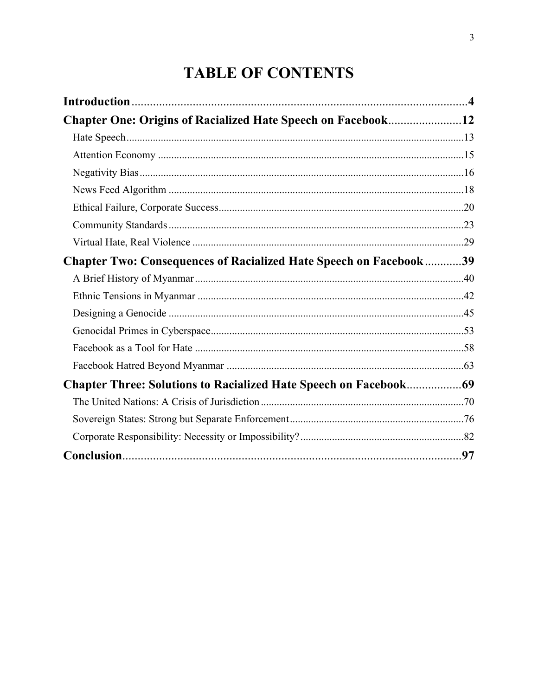# **TABLE OF CONTENTS**

| <b>Chapter One: Origins of Racialized Hate Speech on Facebook12</b>      |  |
|--------------------------------------------------------------------------|--|
|                                                                          |  |
|                                                                          |  |
|                                                                          |  |
|                                                                          |  |
|                                                                          |  |
|                                                                          |  |
|                                                                          |  |
| <b>Chapter Two: Consequences of Racialized Hate Speech on Facebook39</b> |  |
|                                                                          |  |
|                                                                          |  |
|                                                                          |  |
|                                                                          |  |
|                                                                          |  |
|                                                                          |  |
|                                                                          |  |
|                                                                          |  |
|                                                                          |  |
|                                                                          |  |
|                                                                          |  |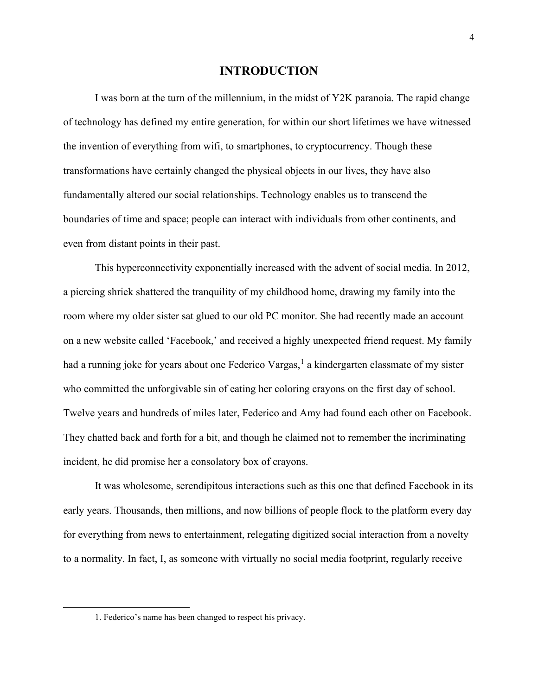#### **INTRODUCTION**

I was born at the turn of the millennium, in the midst of Y2K paranoia. The rapid change of technology has defined my entire generation, for within our short lifetimes we have witnessed the invention of everything from wifi, to smartphones, to cryptocurrency. Though these transformations have certainly changed the physical objects in our lives, they have also fundamentally altered our social relationships. Technology enables us to transcend the boundaries of time and space; people can interact with individuals from other continents, and even from distant points in their past.

This hyperconnectivity exponentially increased with the advent of social media. In 2012, a piercing shriek shattered the tranquility of my childhood home, drawing my family into the room where my older sister sat glued to our old PC monitor. She had recently made an account on a new website called 'Facebook,' and received a highly unexpected friend request. My family had a running joke for years about one Federico Vargas,<sup>[1](#page-5-0)</sup> a kindergarten classmate of my sister who committed the unforgivable sin of eating her coloring crayons on the first day of school. Twelve years and hundreds of miles later, Federico and Amy had found each other on Facebook. They chatted back and forth for a bit, and though he claimed not to remember the incriminating incident, he did promise her a consolatory box of crayons.

It was wholesome, serendipitous interactions such as this one that defined Facebook in its early years. Thousands, then millions, and now billions of people flock to the platform every day for everything from news to entertainment, relegating digitized social interaction from a novelty to a normality. In fact, I, as someone with virtually no social media footprint, regularly receive

<span id="page-5-0"></span><sup>1.</sup> Federico's name has been changed to respect his privacy.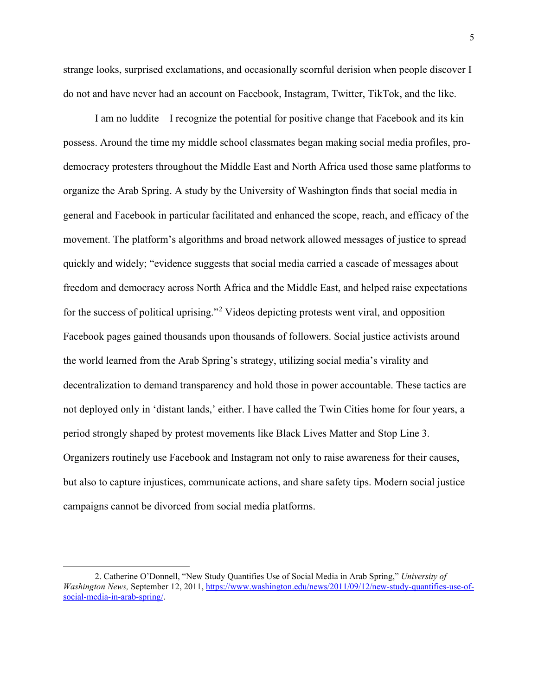strange looks, surprised exclamations, and occasionally scornful derision when people discover I do not and have never had an account on Facebook, Instagram, Twitter, TikTok, and the like.

I am no luddite—I recognize the potential for positive change that Facebook and its kin possess. Around the time my middle school classmates began making social media profiles, prodemocracy protesters throughout the Middle East and North Africa used those same platforms to organize the Arab Spring. A study by the University of Washington finds that social media in general and Facebook in particular facilitated and enhanced the scope, reach, and efficacy of the movement. The platform's algorithms and broad network allowed messages of justice to spread quickly and widely; "evidence suggests that social media carried a cascade of messages about freedom and democracy across North Africa and the Middle East, and helped raise expectations for the success of political uprising."<sup>[2](#page-6-0)</sup> Videos depicting protests went viral, and opposition Facebook pages gained thousands upon thousands of followers. Social justice activists around the world learned from the Arab Spring's strategy, utilizing social media's virality and decentralization to demand transparency and hold those in power accountable. These tactics are not deployed only in 'distant lands,' either. I have called the Twin Cities home for four years, a period strongly shaped by protest movements like Black Lives Matter and Stop Line 3. Organizers routinely use Facebook and Instagram not only to raise awareness for their causes, but also to capture injustices, communicate actions, and share safety tips. Modern social justice campaigns cannot be divorced from social media platforms.

<span id="page-6-0"></span><sup>2.</sup> Catherine O'Donnell, "New Study Quantifies Use of Social Media in Arab Spring," *University of Washington News,* September 12, 2011, [https://www.washington.edu/news/2011/09/12/new-study-quantifies-use-of](https://www.washington.edu/news/2011/09/12/new-study-quantifies-use-of-social-media-in-arab-spring/)[social-media-in-arab-spring/.](https://www.washington.edu/news/2011/09/12/new-study-quantifies-use-of-social-media-in-arab-spring/)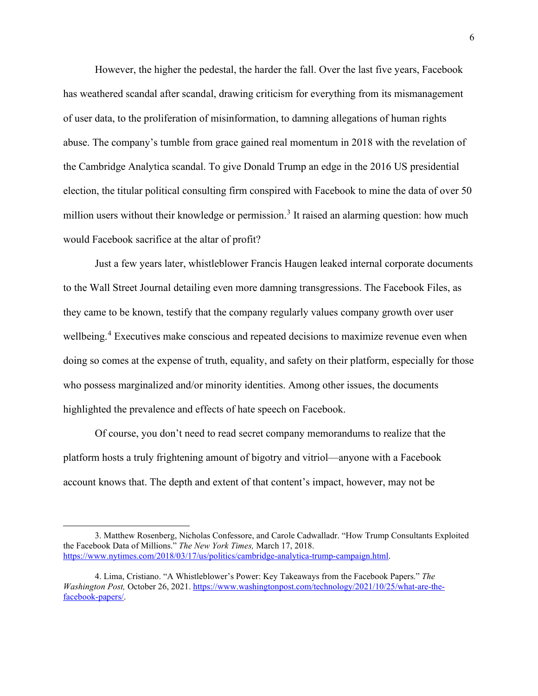However, the higher the pedestal, the harder the fall. Over the last five years, Facebook has weathered scandal after scandal, drawing criticism for everything from its mismanagement of user data, to the proliferation of misinformation, to damning allegations of human rights abuse. The company's tumble from grace gained real momentum in 2018 with the revelation of the Cambridge Analytica scandal. To give Donald Trump an edge in the 2016 US presidential election, the titular political consulting firm conspired with Facebook to mine the data of over 50 million users without their knowledge or permission.<sup>[3](#page-7-0)</sup> It raised an alarming question: how much would Facebook sacrifice at the altar of profit?

Just a few years later, whistleblower Francis Haugen leaked internal corporate documents to the Wall Street Journal detailing even more damning transgressions. The Facebook Files, as they came to be known, testify that the company regularly values company growth over user wellbeing.<sup>[4](#page-7-1)</sup> Executives make conscious and repeated decisions to maximize revenue even when doing so comes at the expense of truth, equality, and safety on their platform, especially for those who possess marginalized and/or minority identities. Among other issues, the documents highlighted the prevalence and effects of hate speech on Facebook.

 Of course, you don't need to read secret company memorandums to realize that the platform hosts a truly frightening amount of bigotry and vitriol—anyone with a Facebook account knows that. The depth and extent of that content's impact, however, may not be

<span id="page-7-0"></span><sup>3.</sup> Matthew Rosenberg, Nicholas Confessore, and Carole Cadwalladr. "How Trump Consultants Exploited the Facebook Data of Millions." *The New York Times,* March 17, 2018. [https://www.nytimes.com/2018/03/17/us/politics/cambridge-analytica-trump-campaign.html.](https://www.nytimes.com/2018/03/17/us/politics/cambridge-analytica-trump-campaign.html)

<span id="page-7-1"></span><sup>4.</sup> Lima, Cristiano. "A Whistleblower's Power: Key Takeaways from the Facebook Papers." *The Washington Post,* October 26, 2021. [https://www.washingtonpost.com/technology/2021/10/25/what-are-the](https://www.washingtonpost.com/technology/2021/10/25/what-are-the-facebook-papers/)[facebook-papers/.](https://www.washingtonpost.com/technology/2021/10/25/what-are-the-facebook-papers/)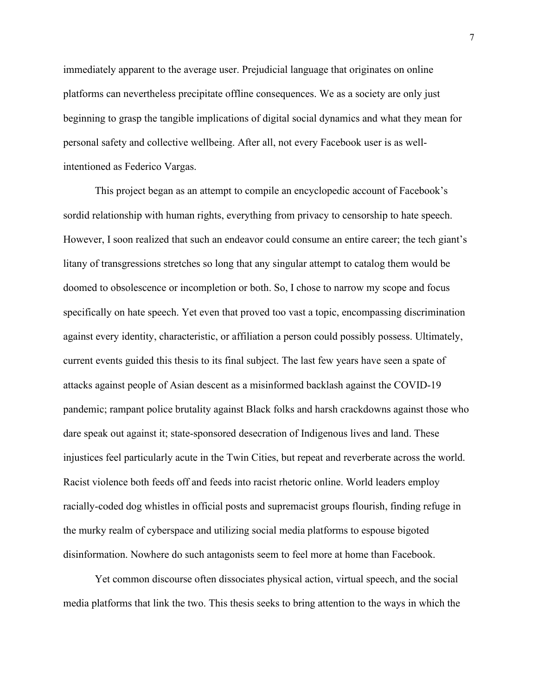immediately apparent to the average user. Prejudicial language that originates on online platforms can nevertheless precipitate offline consequences. We as a society are only just beginning to grasp the tangible implications of digital social dynamics and what they mean for personal safety and collective wellbeing. After all, not every Facebook user is as wellintentioned as Federico Vargas.

This project began as an attempt to compile an encyclopedic account of Facebook's sordid relationship with human rights, everything from privacy to censorship to hate speech. However, I soon realized that such an endeavor could consume an entire career; the tech giant's litany of transgressions stretches so long that any singular attempt to catalog them would be doomed to obsolescence or incompletion or both. So, I chose to narrow my scope and focus specifically on hate speech. Yet even that proved too vast a topic, encompassing discrimination against every identity, characteristic, or affiliation a person could possibly possess. Ultimately, current events guided this thesis to its final subject. The last few years have seen a spate of attacks against people of Asian descent as a misinformed backlash against the COVID-19 pandemic; rampant police brutality against Black folks and harsh crackdowns against those who dare speak out against it; state-sponsored desecration of Indigenous lives and land. These injustices feel particularly acute in the Twin Cities, but repeat and reverberate across the world. Racist violence both feeds off and feeds into racist rhetoric online. World leaders employ racially-coded dog whistles in official posts and supremacist groups flourish, finding refuge in the murky realm of cyberspace and utilizing social media platforms to espouse bigoted disinformation. Nowhere do such antagonists seem to feel more at home than Facebook.

Yet common discourse often dissociates physical action, virtual speech, and the social media platforms that link the two. This thesis seeks to bring attention to the ways in which the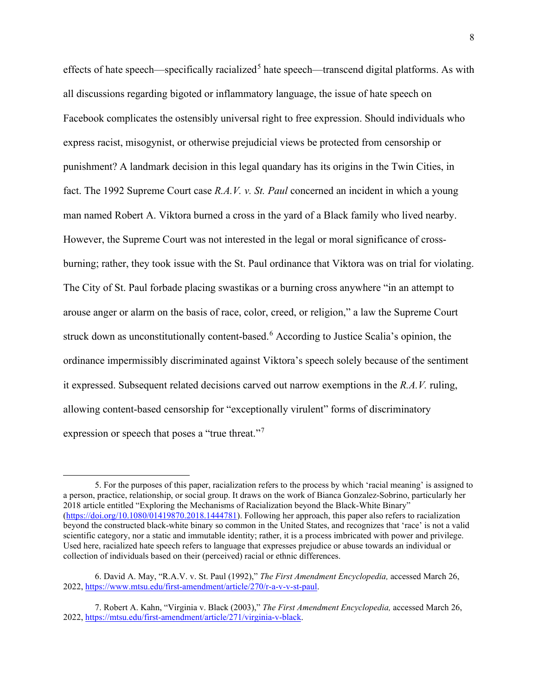effects of hate speech—specifically racialized<sup>[5](#page-9-0)</sup> hate speech—transcend digital platforms. As with all discussions regarding bigoted or inflammatory language, the issue of hate speech on Facebook complicates the ostensibly universal right to free expression. Should individuals who express racist, misogynist, or otherwise prejudicial views be protected from censorship or punishment? A landmark decision in this legal quandary has its origins in the Twin Cities, in fact. The 1992 Supreme Court case *R.A.V. v. St. Paul* concerned an incident in which a young man named Robert A. Viktora burned a cross in the yard of a Black family who lived nearby. However, the Supreme Court was not interested in the legal or moral significance of crossburning; rather, they took issue with the St. Paul ordinance that Viktora was on trial for violating. The City of St. Paul forbade placing swastikas or a burning cross anywhere "in an attempt to arouse anger or alarm on the basis of race, color, creed, or religion," a law the Supreme Court struck down as unconstitutionally content-based.<sup>[6](#page-9-1)</sup> According to Justice Scalia's opinion, the ordinance impermissibly discriminated against Viktora's speech solely because of the sentiment it expressed. Subsequent related decisions carved out narrow exemptions in the *R.A.V.* ruling, allowing content-based censorship for "exceptionally virulent" forms of discriminatory expression or speech that poses a "true threat."[7](#page-9-2)

<span id="page-9-0"></span><sup>5.</sup> For the purposes of this paper, racialization refers to the process by which 'racial meaning' is assigned to a person, practice, relationship, or social group. It draws on the work of Bianca Gonzalez-Sobrino, particularly her 2018 article entitled "Exploring the Mechanisms of Racialization beyond the Black-White Binary" [\(https://doi.org/10.1080/01419870.2018.1444781\)](https://doi.org/10.1080/01419870.2018.1444781). Following her approach, this paper also refers to racialization beyond the constructed black-white binary so common in the United States, and recognizes that 'race' is not a valid scientific category, nor a static and immutable identity; rather, it is a process imbricated with power and privilege. Used here, racialized hate speech refers to language that expresses prejudice or abuse towards an individual or collection of individuals based on their (perceived) racial or ethnic differences.

<span id="page-9-1"></span><sup>6.</sup> David A. May, "R.A.V. v. St. Paul (1992)," *The First Amendment Encyclopedia,* accessed March 26, 2022, [https://www.mtsu.edu/first-amendment/article/270/r-a-v-v-st-paul.](https://www.mtsu.edu/first-amendment/article/270/r-a-v-v-st-paul)

<span id="page-9-2"></span><sup>7.</sup> Robert A. Kahn, "Virginia v. Black (2003)," *The First Amendment Encyclopedia,* accessed March 26, 2022, [https://mtsu.edu/first-amendment/article/271/virginia-v-black.](https://mtsu.edu/first-amendment/article/271/virginia-v-black)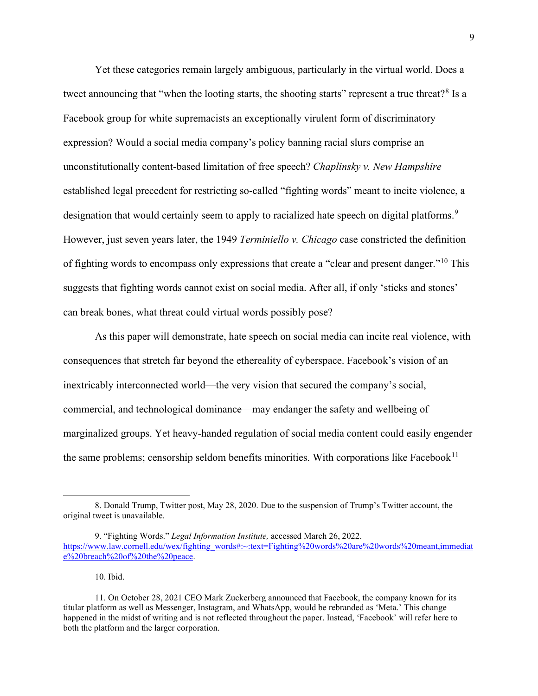Yet these categories remain largely ambiguous, particularly in the virtual world. Does a tweet announcing that "when the looting starts, the shooting starts" represent a true threat?<sup>[8](#page-10-0)</sup> Is a Facebook group for white supremacists an exceptionally virulent form of discriminatory expression? Would a social media company's policy banning racial slurs comprise an unconstitutionally content-based limitation of free speech? *Chaplinsky v. New Hampshire*  established legal precedent for restricting so-called "fighting words" meant to incite violence, a designation that would certainly seem to apply to racialized hate speech on digital platforms.<sup>[9](#page-10-1)</sup> However, just seven years later, the 1949 *Terminiello v. Chicago* case constricted the definition of fighting words to encompass only expressions that create a "clear and present danger."<sup>[10](#page-10-2)</sup> This suggests that fighting words cannot exist on social media. After all, if only 'sticks and stones' can break bones, what threat could virtual words possibly pose?

As this paper will demonstrate, hate speech on social media can incite real violence, with consequences that stretch far beyond the ethereality of cyberspace. Facebook's vision of an inextricably interconnected world—the very vision that secured the company's social, commercial, and technological dominance—may endanger the safety and wellbeing of marginalized groups. Yet heavy-handed regulation of social media content could easily engender the same problems; censorship seldom benefits minorities. With corporations like Facebook<sup>[11](#page-10-3)</sup>

10. Ibid.

<span id="page-10-0"></span><sup>8.</sup> Donald Trump, Twitter post, May 28, 2020. Due to the suspension of Trump's Twitter account, the original tweet is unavailable.

<span id="page-10-1"></span><sup>9. &</sup>quot;Fighting Words." *Legal Information Institute,* accessed March 26, 2022. [https://www.law.cornell.edu/wex/fighting\\_words#:~:text=Fighting%20words%20are%20words%20meant,immediat](https://www.law.cornell.edu/wex/fighting_words#:%7E:text=Fighting%20words%20are%20words%20meant,immediate%20breach%20of%20the%20peace) [e%20breach%20of%20the%20peace.](https://www.law.cornell.edu/wex/fighting_words#:%7E:text=Fighting%20words%20are%20words%20meant,immediate%20breach%20of%20the%20peace)

<span id="page-10-3"></span><span id="page-10-2"></span><sup>11.</sup> On October 28, 2021 CEO Mark Zuckerberg announced that Facebook, the company known for its titular platform as well as Messenger, Instagram, and WhatsApp, would be rebranded as 'Meta.' This change happened in the midst of writing and is not reflected throughout the paper. Instead, 'Facebook' will refer here to both the platform and the larger corporation.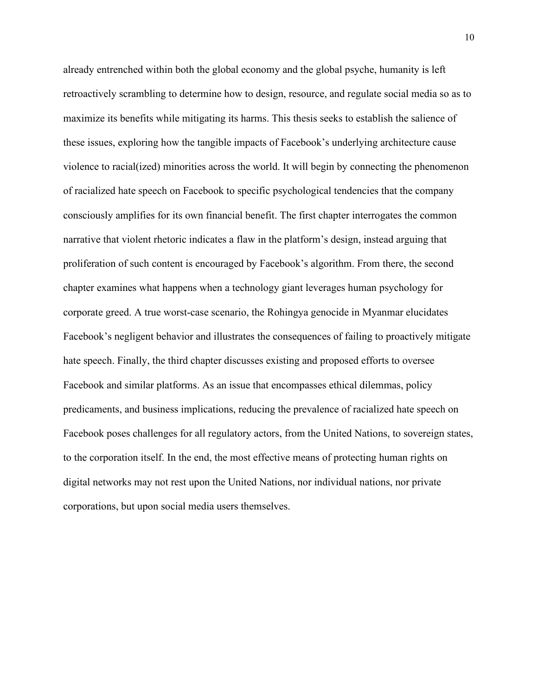already entrenched within both the global economy and the global psyche, humanity is left retroactively scrambling to determine how to design, resource, and regulate social media so as to maximize its benefits while mitigating its harms. This thesis seeks to establish the salience of these issues, exploring how the tangible impacts of Facebook's underlying architecture cause violence to racial(ized) minorities across the world. It will begin by connecting the phenomenon of racialized hate speech on Facebook to specific psychological tendencies that the company consciously amplifies for its own financial benefit. The first chapter interrogates the common narrative that violent rhetoric indicates a flaw in the platform's design, instead arguing that proliferation of such content is encouraged by Facebook's algorithm. From there, the second chapter examines what happens when a technology giant leverages human psychology for corporate greed. A true worst-case scenario, the Rohingya genocide in Myanmar elucidates Facebook's negligent behavior and illustrates the consequences of failing to proactively mitigate hate speech. Finally, the third chapter discusses existing and proposed efforts to oversee Facebook and similar platforms. As an issue that encompasses ethical dilemmas, policy predicaments, and business implications, reducing the prevalence of racialized hate speech on Facebook poses challenges for all regulatory actors, from the United Nations, to sovereign states, to the corporation itself. In the end, the most effective means of protecting human rights on digital networks may not rest upon the United Nations, nor individual nations, nor private corporations, but upon social media users themselves.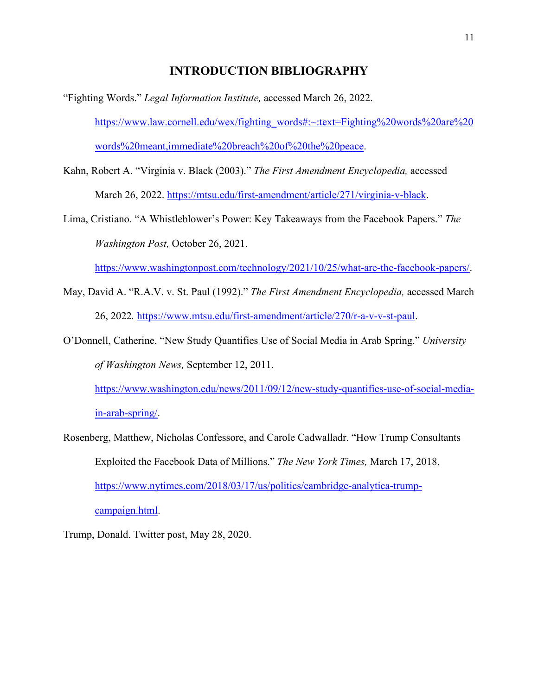### **INTRODUCTION BIBLIOGRAPHY**

- "Fighting Words." *Legal Information Institute,* accessed March 26, 2022. [https://www.law.cornell.edu/wex/fighting\\_words#:~:text=Fighting%20words%20are%20](https://www.law.cornell.edu/wex/fighting_words#:%7E:text=Fighting%20words%20are%20words%20meant,immediate%20breach%20of%20the%20peace) [words%20meant,immediate%20breach%20of%20the%20peace.](https://www.law.cornell.edu/wex/fighting_words#:%7E:text=Fighting%20words%20are%20words%20meant,immediate%20breach%20of%20the%20peace)
- Kahn, Robert A. "Virginia v. Black (2003)." *The First Amendment Encyclopedia,* accessed March 26, 2022. [https://mtsu.edu/first-amendment/article/271/virginia-v-black.](https://mtsu.edu/first-amendment/article/271/virginia-v-black)
- Lima, Cristiano. "A Whistleblower's Power: Key Takeaways from the Facebook Papers." *The Washington Post,* October 26, 2021.

[https://www.washingtonpost.com/technology/2021/10/25/what-are-the-facebook-papers/.](https://www.washingtonpost.com/technology/2021/10/25/what-are-the-facebook-papers/)

- May, David A. "R.A.V. v. St. Paul (1992)." *The First Amendment Encyclopedia,* accessed March 26, 2022*.* [https://www.mtsu.edu/first-amendment/article/270/r-a-v-v-st-paul.](https://www.mtsu.edu/first-amendment/article/270/r-a-v-v-st-paul)
- O'Donnell, Catherine. "New Study Quantifies Use of Social Media in Arab Spring." *University of Washington News,* September 12, 2011.

[https://www.washington.edu/news/2011/09/12/new-study-quantifies-use-of-social-media](https://www.washington.edu/news/2011/09/12/new-study-quantifies-use-of-social-media-in-arab-spring/)[in-arab-spring/.](https://www.washington.edu/news/2011/09/12/new-study-quantifies-use-of-social-media-in-arab-spring/)

Rosenberg, Matthew, Nicholas Confessore, and Carole Cadwalladr. "How Trump Consultants Exploited the Facebook Data of Millions." *The New York Times,* March 17, 2018. [https://www.nytimes.com/2018/03/17/us/politics/cambridge-analytica-trump](https://www.nytimes.com/2018/03/17/us/politics/cambridge-analytica-trump-campaign.html)[campaign.html.](https://www.nytimes.com/2018/03/17/us/politics/cambridge-analytica-trump-campaign.html)

Trump, Donald. Twitter post, May 28, 2020.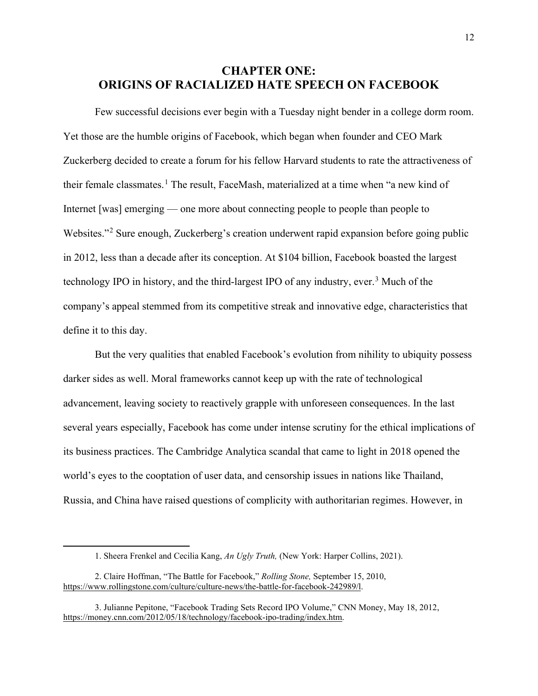## **CHAPTER ONE: ORIGINS OF RACIALIZED HATE SPEECH ON FACEBOOK**

Few successful decisions ever begin with a Tuesday night bender in a college dorm room. Yet those are the humble origins of Facebook, which began when founder and CEO Mark Zuckerberg decided to create a forum for his fellow Harvard students to rate the attractiveness of their female classmates.<sup>[1](#page-13-0)</sup> The result, FaceMash, materialized at a time when "a new kind of Internet [was] emerging — one more about connecting people to people than people to Websites."<sup>[2](#page-13-1)</sup> Sure enough, Zuckerberg's creation underwent rapid expansion before going public in 2012, less than a decade after its conception. At \$104 billion, Facebook boasted the largest technology IPO in history, and the third-largest IPO of any industry, ever.<sup>[3](#page-13-2)</sup> Much of the company's appeal stemmed from its competitive streak and innovative edge, characteristics that define it to this day.

But the very qualities that enabled Facebook's evolution from nihility to ubiquity possess darker sides as well. Moral frameworks cannot keep up with the rate of technological advancement, leaving society to reactively grapple with unforeseen consequences. In the last several years especially, Facebook has come under intense scrutiny for the ethical implications of its business practices. The Cambridge Analytica scandal that came to light in 2018 opened the world's eyes to the cooptation of user data, and censorship issues in nations like Thailand, Russia, and China have raised questions of complicity with authoritarian regimes. However, in

<sup>1.</sup> Sheera Frenkel and Cecilia Kang, *An Ugly Truth,* (New York: Harper Collins, 2021).

<span id="page-13-1"></span><span id="page-13-0"></span><sup>2.</sup> Claire Hoffman, "The Battle for Facebook," *Rolling Stone,* September 15, 2010, [https://www.rollingstone.com/culture/culture-news/the-battle-for-facebook-242989/l.](https://www.rollingstone.com/culture/culture-news/the-battle-for-facebook-242989/l)

<span id="page-13-2"></span><sup>3.</sup> Julianne Pepitone, "Facebook Trading Sets Record IPO Volume," CNN Money, May 18, 2012, [https://money.cnn.com/2012/05/18/technology/facebook-ipo-trading/index.htm.](https://money.cnn.com/2012/05/18/technology/facebook-ipo-trading/index.htm)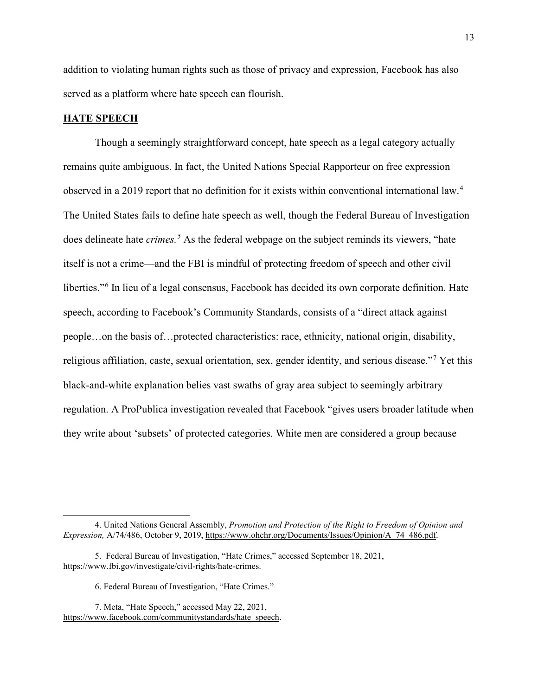addition to violating human rights such as those of privacy and expression, Facebook has also served as a platform where hate speech can flourish.

#### **HATE SPEECH**

Though a seemingly straightforward concept, hate speech as a legal category actually remains quite ambiguous. In fact, the United Nations Special Rapporteur on free expression observed in a 2019 report that no definition for it exists within conventional international law.[4](#page-14-0) The United States fails to define hate speech as well, though the Federal Bureau of Investigation does delineate hate *crimes.[5](#page-14-1)* As the federal webpage on the subject reminds its viewers, "hate itself is not a crime—and the FBI is mindful of protecting freedom of speech and other civil liberties."[6](#page-14-2) In lieu of a legal consensus, Facebook has decided its own corporate definition. Hate speech, according to Facebook's Community Standards, consists of a "direct attack against people…on the basis of…protected characteristics: race, ethnicity, national origin, disability, religious affiliation, caste, sexual orientation, sex, gender identity, and serious disease."[7](#page-14-3) Yet this black-and-white explanation belies vast swaths of gray area subject to seemingly arbitrary regulation. A ProPublica investigation revealed that Facebook "gives users broader latitude when they write about 'subsets' of protected categories. White men are considered a group because

<span id="page-14-0"></span><sup>4.</sup> United Nations General Assembly, *Promotion and Protection of the Right to Freedom of Opinion and Expression,* A/74/486, October 9, 2019, [https://www.ohchr.org/Documents/Issues/Opinion/A\\_74\\_486.pdf.](https://www.ohchr.org/Documents/Issues/Opinion/A_74_486.pdf) 

<span id="page-14-1"></span><sup>5.</sup> Federal Bureau of Investigation, "Hate Crimes," accessed September 18, 2021, [https://www.fbi.gov/investigate/civil-rights/hate-crimes.](https://www.fbi.gov/investigate/civil-rights/hate-crimes)

<sup>6.</sup> Federal Bureau of Investigation, "Hate Crimes."

<span id="page-14-3"></span><span id="page-14-2"></span><sup>7.</sup> Meta, "Hate Speech," accessed May 22, 2021, [https://www.facebook.com/communitystandards/hate\\_speech.](https://www.facebook.com/communitystandards/hate_speech)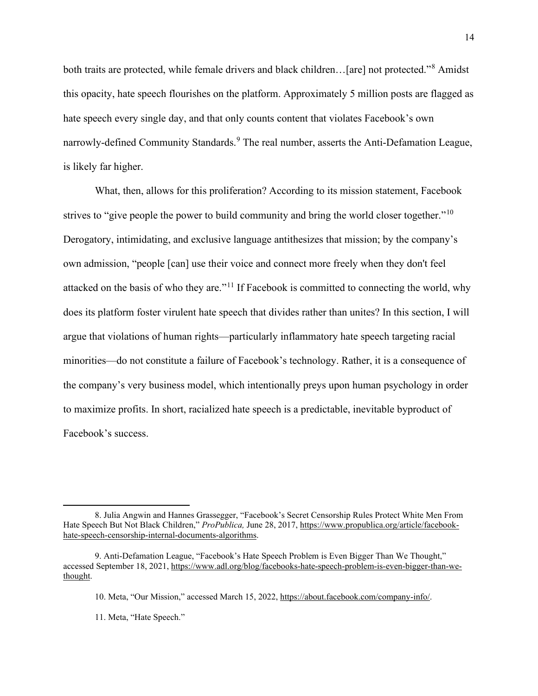both traits are protected, while female drivers and black children... [are] not protected."<sup>[8](#page-15-0)</sup> Amidst this opacity, hate speech flourishes on the platform. Approximately 5 million posts are flagged as hate speech every single day, and that only counts content that violates Facebook's own narrowly-defined Community Standards.<sup>[9](#page-15-1)</sup> The real number, asserts the Anti-Defamation League, is likely far higher.

 What, then, allows for this proliferation? According to its mission statement, Facebook strives to "give people the power to build community and bring the world closer together."<sup>[10](#page-15-2)</sup> Derogatory, intimidating, and exclusive language antithesizes that mission; by the company's own admission, "people [can] use their voice and connect more freely when they don't feel attacked on the basis of who they are."[11](#page-15-3) If Facebook is committed to connecting the world, why does its platform foster virulent hate speech that divides rather than unites? In this section, I will argue that violations of human rights—particularly inflammatory hate speech targeting racial minorities—do not constitute a failure of Facebook's technology. Rather, it is a consequence of the company's very business model, which intentionally preys upon human psychology in order to maximize profits. In short, racialized hate speech is a predictable, inevitable byproduct of Facebook's success.

<span id="page-15-0"></span><sup>8.</sup> Julia Angwin and Hannes Grassegger, "Facebook's Secret Censorship Rules Protect White Men From Hate Speech But Not Black Children," *ProPublica,* June 28, 2017, [https://www.propublica.org/article/facebook](https://www.propublica.org/article/facebook-hate-speech-censorship-internal-documents-algorithms)[hate-speech-censorship-internal-documents-algorithms.](https://www.propublica.org/article/facebook-hate-speech-censorship-internal-documents-algorithms)

<span id="page-15-3"></span><span id="page-15-2"></span><span id="page-15-1"></span><sup>9.</sup> Anti-Defamation League, "Facebook's Hate Speech Problem is Even Bigger Than We Thought," accessed September 18, 2021[, https://www.adl.org/blog/facebooks-hate-speech-problem-is-even-bigger-than-we](https://www.adl.org/blog/facebooks-hate-speech-problem-is-even-bigger-than-we-thought)[thought.](https://www.adl.org/blog/facebooks-hate-speech-problem-is-even-bigger-than-we-thought) 

<sup>10.</sup> Meta, "Our Mission," accessed March 15, 2022, [https://about.facebook.com/company-info/.](https://about.facebook.com/company-info/) 

<sup>11.</sup> Meta, "Hate Speech."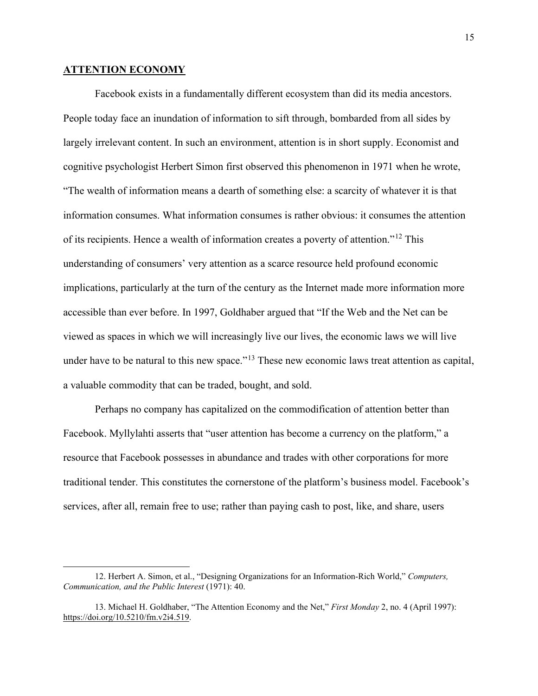#### **ATTENTION ECONOMY**

Facebook exists in a fundamentally different ecosystem than did its media ancestors. People today face an inundation of information to sift through, bombarded from all sides by largely irrelevant content. In such an environment, attention is in short supply. Economist and cognitive psychologist Herbert Simon first observed this phenomenon in 1971 when he wrote, "The wealth of information means a dearth of something else: a scarcity of whatever it is that information consumes. What information consumes is rather obvious: it consumes the attention of its recipients. Hence a wealth of information creates a poverty of attention."[12](#page-16-0) This understanding of consumers' very attention as a scarce resource held profound economic implications, particularly at the turn of the century as the Internet made more information more accessible than ever before. In 1997, Goldhaber argued that "If the Web and the Net can be viewed as spaces in which we will increasingly live our lives, the economic laws we will live under have to be natural to this new space."<sup>[13](#page-16-1)</sup> These new economic laws treat attention as capital, a valuable commodity that can be traded, bought, and sold.

 Perhaps no company has capitalized on the commodification of attention better than Facebook. Myllylahti asserts that "user attention has become a currency on the platform," a resource that Facebook possesses in abundance and trades with other corporations for more traditional tender. This constitutes the cornerstone of the platform's business model. Facebook's services, after all, remain free to use; rather than paying cash to post, like, and share, users

<span id="page-16-0"></span><sup>12.</sup> Herbert A. Simon, et al., "Designing Organizations for an Information-Rich World," *Computers, Communication, and the Public Interest* (1971): 40.

<span id="page-16-1"></span><sup>13.</sup> Michael H. Goldhaber, "The Attention Economy and the Net," *First Monday* 2, no. 4 (April 1997): [https://doi.org/10.5210/fm.v2i4.519.](https://doi.org/10.5210/fm.v2i4.519)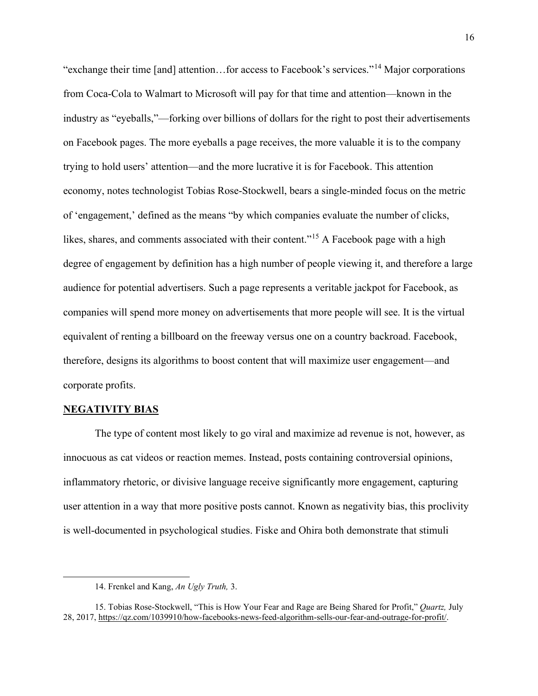"exchange their time [and] attention…for access to Facebook's services."[14](#page-17-0) Major corporations from Coca-Cola to Walmart to Microsoft will pay for that time and attention—known in the industry as "eyeballs,"—forking over billions of dollars for the right to post their advertisements on Facebook pages. The more eyeballs a page receives, the more valuable it is to the company trying to hold users' attention—and the more lucrative it is for Facebook. This attention economy, notes technologist Tobias Rose-Stockwell, bears a single-minded focus on the metric of 'engagement,' defined as the means "by which companies evaluate the number of clicks, likes, shares, and comments associated with their content."<sup>[15](#page-17-1)</sup> A Facebook page with a high degree of engagement by definition has a high number of people viewing it, and therefore a large audience for potential advertisers. Such a page represents a veritable jackpot for Facebook, as companies will spend more money on advertisements that more people will see. It is the virtual equivalent of renting a billboard on the freeway versus one on a country backroad. Facebook, therefore, designs its algorithms to boost content that will maximize user engagement—and corporate profits.

#### **NEGATIVITY BIAS**

 The type of content most likely to go viral and maximize ad revenue is not, however, as innocuous as cat videos or reaction memes. Instead, posts containing controversial opinions, inflammatory rhetoric, or divisive language receive significantly more engagement, capturing user attention in a way that more positive posts cannot. Known as negativity bias, this proclivity is well-documented in psychological studies. Fiske and Ohira both demonstrate that stimuli

<sup>14.</sup> Frenkel and Kang, *An Ugly Truth,* 3.

<span id="page-17-1"></span><span id="page-17-0"></span><sup>15.</sup> Tobias Rose-Stockwell, "This is How Your Fear and Rage are Being Shared for Profit," *Quartz,* July 28, 2017, [https://qz.com/1039910/how-facebooks-news-feed-algorithm-sells-our-fear-and-outrage-for-profit/.](https://qz.com/1039910/how-facebooks-news-feed-algorithm-sells-our-fear-and-outrage-for-profit/)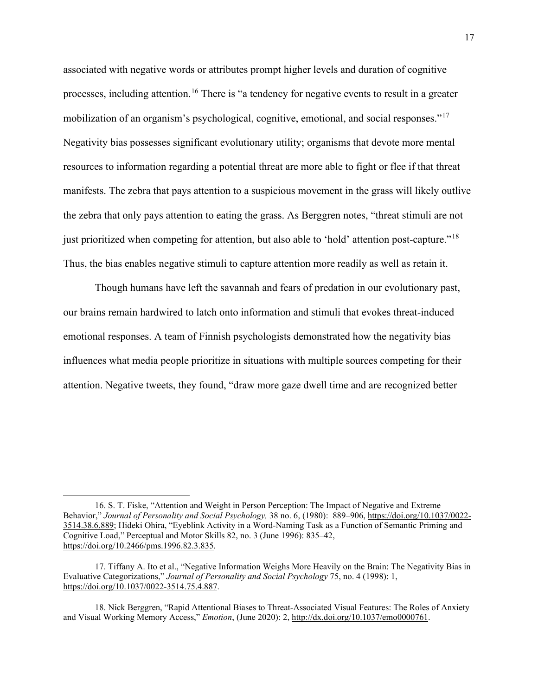associated with negative words or attributes prompt higher levels and duration of cognitive processes, including attention.<sup>[16](#page-18-0)</sup> There is "a tendency for negative events to result in a greater mobilization of an organism's psychological, cognitive, emotional, and social responses."[17](#page-18-1) Negativity bias possesses significant evolutionary utility; organisms that devote more mental resources to information regarding a potential threat are more able to fight or flee if that threat manifests. The zebra that pays attention to a suspicious movement in the grass will likely outlive the zebra that only pays attention to eating the grass. As Berggren notes, "threat stimuli are not just prioritized when competing for attention, but also able to 'hold' attention post-capture."<sup>[18](#page-18-2)</sup> Thus, the bias enables negative stimuli to capture attention more readily as well as retain it.

Though humans have left the savannah and fears of predation in our evolutionary past, our brains remain hardwired to latch onto information and stimuli that evokes threat-induced emotional responses. A team of Finnish psychologists demonstrated how the negativity bias influences what media people prioritize in situations with multiple sources competing for their attention. Negative tweets, they found, "draw more gaze dwell time and are recognized better

<span id="page-18-0"></span><sup>16.</sup> S. T. Fiske, "Attention and Weight in Person Perception: The Impact of Negative and Extreme Behavior," *Journal of Personality and Social Psychology,* 38 no. 6, (1980): 889–906, [https://doi.org/10.1037/0022-](https://doi.apa.org/doi/10.1037/0022-3514.38.6.889) [3514.38.6.889;](https://doi.apa.org/doi/10.1037/0022-3514.38.6.889) Hideki Ohira, "Eyeblink Activity in a Word-Naming Task as a Function of Semantic Priming and Cognitive Load," Perceptual and Motor Skills 82, no. 3 (June 1996): 835–42, [https://doi.org/10.2466/pms.1996.82.3.835.](https://doi.org/10.2466/pms.1996.82.3.835)

<span id="page-18-1"></span><sup>17.</sup> Tiffany A. Ito et al., "Negative Information Weighs More Heavily on the Brain: The Negativity Bias in Evaluative Categorizations," *Journal of Personality and Social Psychology* 75, no. 4 (1998): 1, [https://doi.org/10.1037/0022-3514.75.4.887.](https://doi.org/10.1037/0022-3514.75.4.887) 

<span id="page-18-2"></span><sup>18.</sup> Nick Berggren, "Rapid Attentional Biases to Threat-Associated Visual Features: The Roles of Anxiety and Visual Working Memory Access," *Emotion*, (June 2020): 2, [http://dx.doi.org/10.1037/emo0000761.](http://dx.doi.org/10.1037/emo0000761)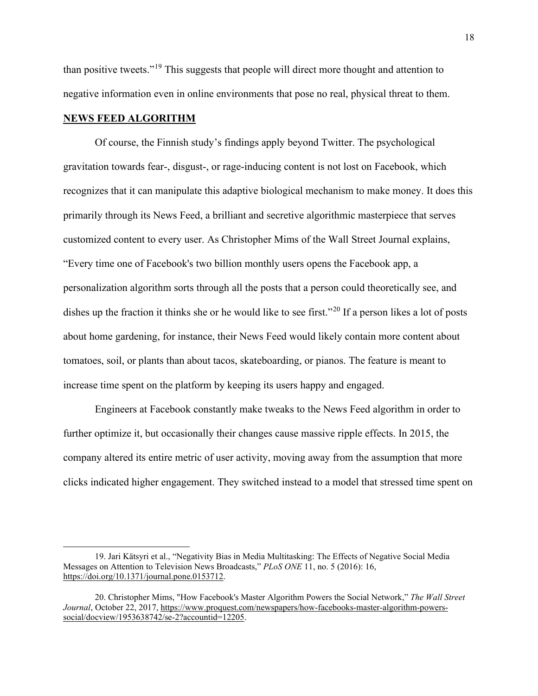than positive tweets."[19](#page-19-0) This suggests that people will direct more thought and attention to negative information even in online environments that pose no real, physical threat to them.

#### **NEWS FEED ALGORITHM**

Of course, the Finnish study's findings apply beyond Twitter. The psychological gravitation towards fear-, disgust-, or rage-inducing content is not lost on Facebook, which recognizes that it can manipulate this adaptive biological mechanism to make money. It does this primarily through its News Feed, a brilliant and secretive algorithmic masterpiece that serves customized content to every user. As Christopher Mims of the Wall Street Journal explains, "Every time one of Facebook's two billion monthly users opens the Facebook app, a personalization algorithm sorts through all the posts that a person could theoretically see, and dishes up the fraction it thinks she or he would like to see first."<sup>[20](#page-19-1)</sup> If a person likes a lot of posts about home gardening, for instance, their News Feed would likely contain more content about tomatoes, soil, or plants than about tacos, skateboarding, or pianos. The feature is meant to increase time spent on the platform by keeping its users happy and engaged.

Engineers at Facebook constantly make tweaks to the News Feed algorithm in order to further optimize it, but occasionally their changes cause massive ripple effects. In 2015, the company altered its entire metric of user activity, moving away from the assumption that more clicks indicated higher engagement. They switched instead to a model that stressed time spent on

<span id="page-19-0"></span><sup>19.</sup> Jari Kätsyri et al., "Negativity Bias in Media Multitasking: The Effects of Negative Social Media Messages on Attention to Television News Broadcasts," *PLoS ONE* 11, no. 5 (2016): 16, [https://doi.org/10.1371/journal.pone.0153712.](https://doi.org/10.1371/journal.pone.0153712)

<span id="page-19-1"></span><sup>20.</sup> Christopher Mims, "How Facebook's Master Algorithm Powers the Social Network," *The Wall Street Journal*, October 22, 2017, [https://www.proquest.com/newspapers/how-facebooks-master-algorithm-powers](https://www.proquest.com/newspapers/how-facebooks-master-algorithm-powers-social/docview/1953638742/se-2?accountid=12205)[social/docview/1953638742/se-2?accountid=12205.](https://www.proquest.com/newspapers/how-facebooks-master-algorithm-powers-social/docview/1953638742/se-2?accountid=12205)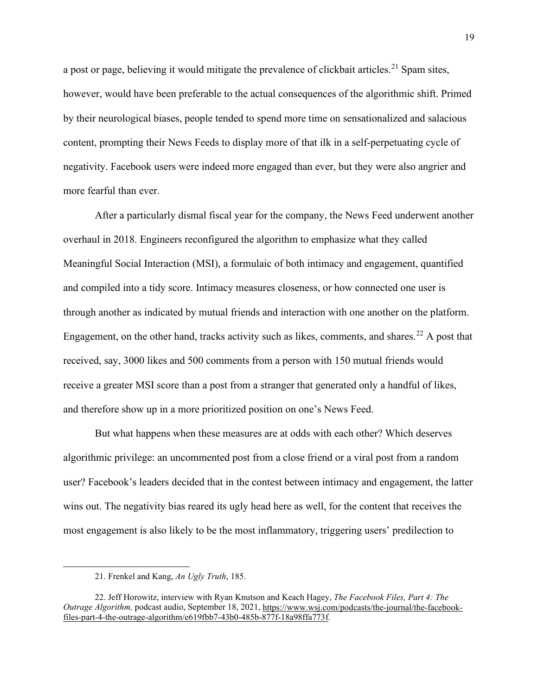a post or page, believing it would mitigate the prevalence of clickbait articles.<sup>[21](#page-20-0)</sup> Spam sites, however, would have been preferable to the actual consequences of the algorithmic shift. Primed by their neurological biases, people tended to spend more time on sensationalized and salacious content, prompting their News Feeds to display more of that ilk in a self-perpetuating cycle of negativity. Facebook users were indeed more engaged than ever, but they were also angrier and more fearful than ever.

After a particularly dismal fiscal year for the company, the News Feed underwent another overhaul in 2018. Engineers reconfigured the algorithm to emphasize what they called Meaningful Social Interaction (MSI), a formulaic of both intimacy and engagement, quantified and compiled into a tidy score. Intimacy measures closeness, or how connected one user is through another as indicated by mutual friends and interaction with one another on the platform. Engagement, on the other hand, tracks activity such as likes, comments, and shares.<sup>[22](#page-20-1)</sup> A post that received, say, 3000 likes and 500 comments from a person with 150 mutual friends would receive a greater MSI score than a post from a stranger that generated only a handful of likes, and therefore show up in a more prioritized position on one's News Feed.

But what happens when these measures are at odds with each other? Which deserves algorithmic privilege: an uncommented post from a close friend or a viral post from a random user? Facebook's leaders decided that in the contest between intimacy and engagement, the latter wins out. The negativity bias reared its ugly head here as well, for the content that receives the most engagement is also likely to be the most inflammatory, triggering users' predilection to

<sup>21.</sup> Frenkel and Kang, *An Ugly Truth*, 185.

<span id="page-20-1"></span><span id="page-20-0"></span><sup>22.</sup> Jeff Horowitz, interview with Ryan Knutson and Keach Hagey, *The Facebook Files, Part 4: The Outrage Algorithm,* podcast audio, September 18, 2021, [https://www.wsj.com/podcasts/the-journal/the-facebook](https://www.wsj.com/podcasts/the-journal/the-facebook-files-part-4-the-outrage-algorithm/e619fbb7-43b0-485b-877f-18a98ffa773f)[files-part-4-the-outrage-algorithm/e619fbb7-43b0-485b-877f-18a98ffa773f.](https://www.wsj.com/podcasts/the-journal/the-facebook-files-part-4-the-outrage-algorithm/e619fbb7-43b0-485b-877f-18a98ffa773f)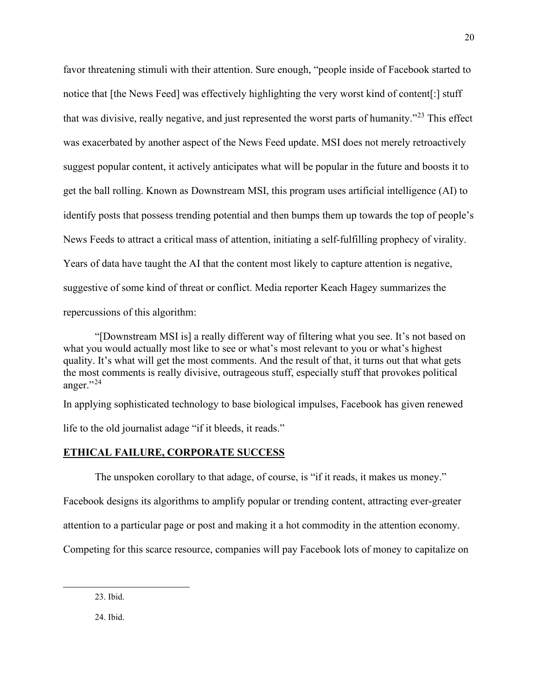favor threatening stimuli with their attention. Sure enough, "people inside of Facebook started to notice that [the News Feed] was effectively highlighting the very worst kind of content[:] stuff that was divisive, really negative, and just represented the worst parts of humanity."[23](#page-21-0) This effect was exacerbated by another aspect of the News Feed update. MSI does not merely retroactively suggest popular content, it actively anticipates what will be popular in the future and boosts it to get the ball rolling. Known as Downstream MSI, this program uses artificial intelligence (AI) to identify posts that possess trending potential and then bumps them up towards the top of people's News Feeds to attract a critical mass of attention, initiating a self-fulfilling prophecy of virality. Years of data have taught the AI that the content most likely to capture attention is negative, suggestive of some kind of threat or conflict. Media reporter Keach Hagey summarizes the repercussions of this algorithm:

"[Downstream MSI is] a really different way of filtering what you see. It's not based on what you would actually most like to see or what's most relevant to you or what's highest quality. It's what will get the most comments. And the result of that, it turns out that what gets the most comments is really divisive, outrageous stuff, especially stuff that provokes political anger." $^{24}$  $^{24}$  $^{24}$ 

In applying sophisticated technology to base biological impulses, Facebook has given renewed

life to the old journalist adage "if it bleeds, it reads."

#### **ETHICAL FAILURE, CORPORATE SUCCESS**

The unspoken corollary to that adage, of course, is "if it reads, it makes us money."

Facebook designs its algorithms to amplify popular or trending content, attracting ever-greater

attention to a particular page or post and making it a hot commodity in the attention economy.

<span id="page-21-1"></span><span id="page-21-0"></span>Competing for this scarce resource, companies will pay Facebook lots of money to capitalize on

23. Ibid.

24. Ibid.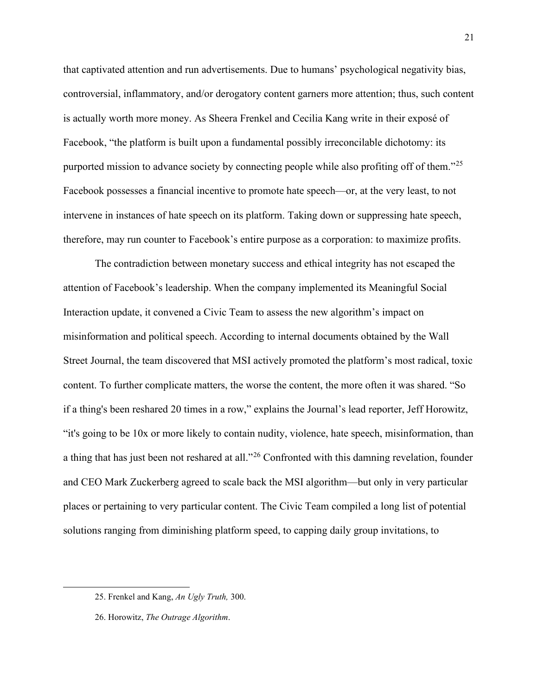that captivated attention and run advertisements. Due to humans' psychological negativity bias, controversial, inflammatory, and/or derogatory content garners more attention; thus, such content is actually worth more money. As Sheera Frenkel and Cecilia Kang write in their exposé of Facebook, "the platform is built upon a fundamental possibly irreconcilable dichotomy: its purported mission to advance society by connecting people while also profiting off of them."<sup>[25](#page-22-0)</sup> Facebook possesses a financial incentive to promote hate speech—or, at the very least, to not intervene in instances of hate speech on its platform. Taking down or suppressing hate speech, therefore, may run counter to Facebook's entire purpose as a corporation: to maximize profits.

The contradiction between monetary success and ethical integrity has not escaped the attention of Facebook's leadership. When the company implemented its Meaningful Social Interaction update, it convened a Civic Team to assess the new algorithm's impact on misinformation and political speech. According to internal documents obtained by the Wall Street Journal, the team discovered that MSI actively promoted the platform's most radical, toxic content. To further complicate matters, the worse the content, the more often it was shared. "So if a thing's been reshared 20 times in a row," explains the Journal's lead reporter, Jeff Horowitz, "it's going to be 10x or more likely to contain nudity, violence, hate speech, misinformation, than a thing that has just been not reshared at all."<sup>[26](#page-22-1)</sup> Confronted with this damning revelation, founder and CEO Mark Zuckerberg agreed to scale back the MSI algorithm—but only in very particular places or pertaining to very particular content. The Civic Team compiled a long list of potential solutions ranging from diminishing platform speed, to capping daily group invitations, to

<span id="page-22-0"></span><sup>25.</sup> Frenkel and Kang, *An Ugly Truth,* 300.

<span id="page-22-1"></span><sup>26.</sup> Horowitz, *The Outrage Algorithm*.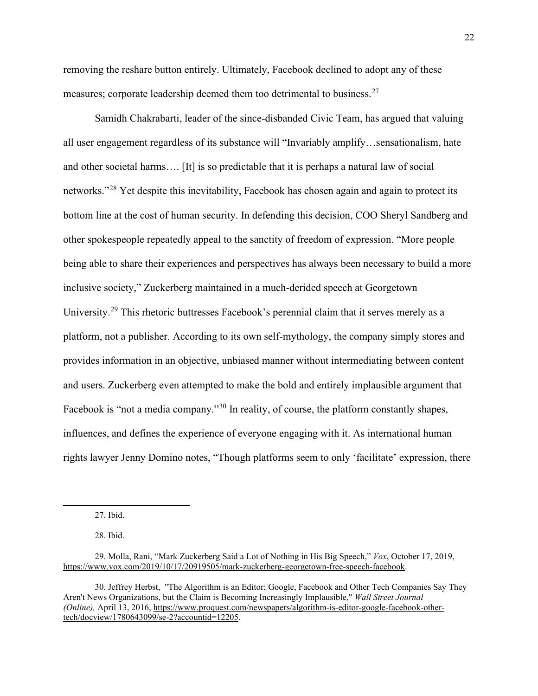removing the reshare button entirely. Ultimately, Facebook declined to adopt any of these measures; corporate leadership deemed them too detrimental to business.<sup>27</sup>

Samidh Chakrabarti, leader of the since-disbanded Civic Team, has argued that valuing all user engagement regardless of its substance will "Invariably amplify…sensationalism, hate and other societal harms…. [It] is so predictable that it is perhaps a natural law of social networks."<sup>[28](#page-23-1)</sup> Yet despite this inevitability, Facebook has chosen again and again to protect its bottom line at the cost of human security. In defending this decision, COO Sheryl Sandberg and other spokespeople repeatedly appeal to the sanctity of freedom of expression. "More people being able to share their experiences and perspectives has always been necessary to build a more inclusive society," Zuckerberg maintained in a much-derided speech at Georgetown University.<sup>[29](#page-23-2)</sup> This rhetoric buttresses Facebook's perennial claim that it serves merely as a platform, not a publisher. According to its own self-mythology, the company simply stores and provides information in an objective, unbiased manner without intermediating between content and users. Zuckerberg even attempted to make the bold and entirely implausible argument that Facebook is "not a media company."<sup>30</sup> In reality, of course, the platform constantly shapes, influences, and defines the experience of everyone engaging with it. As international human rights lawyer Jenny Domino notes, "Though platforms seem to only 'facilitate' expression, there

27. Ibid.

28. Ibid.

<span id="page-23-3"></span>30. Jeffrey Herbst, "The Algorithm is an Editor; Google, Facebook and Other Tech Companies Say They Aren't News Organizations, but the Claim is Becoming Increasingly Implausible," *Wall Street Journal (Online),* April 13, 2016[, https://www.proquest.com/newspapers/algorithm-is-editor-google-facebook-other](https://www.proquest.com/newspapers/algorithm-is-editor-google-facebook-other-tech/docview/1780643099/se-2?accountid=12205)[tech/docview/1780643099/se-2?accountid=12205.](https://www.proquest.com/newspapers/algorithm-is-editor-google-facebook-other-tech/docview/1780643099/se-2?accountid=12205)

<span id="page-23-2"></span><span id="page-23-1"></span><span id="page-23-0"></span><sup>29.</sup> Molla, Rani, "Mark Zuckerberg Said a Lot of Nothing in His Big Speech," *Vox*, October 17, 2019, [https://www.vox.com/2019/10/17/20919505/mark-zuckerberg-georgetown-free-speech-facebook.](https://www.vox.com/2019/10/17/20919505/mark-zuckerberg-georgetown-free-speech-facebook)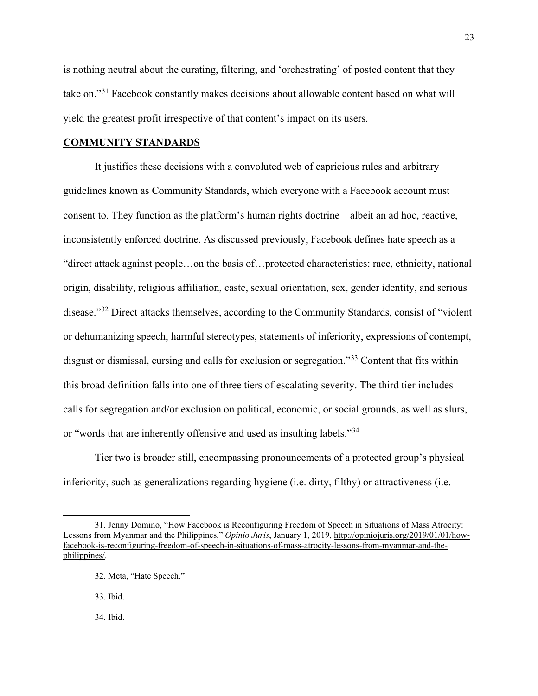is nothing neutral about the curating, filtering, and 'orchestrating' of posted content that they take on."<sup>31</sup> Facebook constantly makes decisions about allowable content based on what will yield the greatest profit irrespective of that content's impact on its users.

#### **COMMUNITY STANDARDS**

 It justifies these decisions with a convoluted web of capricious rules and arbitrary guidelines known as Community Standards, which everyone with a Facebook account must consent to. They function as the platform's human rights doctrine—albeit an ad hoc, reactive, inconsistently enforced doctrine. As discussed previously, Facebook defines hate speech as a "direct attack against people…on the basis of…protected characteristics: race, ethnicity, national origin, disability, religious affiliation, caste, sexual orientation, sex, gender identity, and serious disease."<sup>32</sup> Direct attacks themselves, according to the Community Standards, consist of "violent" or dehumanizing speech, harmful stereotypes, statements of inferiority, expressions of contempt, disgust or dismissal, cursing and calls for exclusion or segregation."<sup>[33](#page-24-2)</sup> Content that fits within this broad definition falls into one of three tiers of escalating severity. The third tier includes calls for segregation and/or exclusion on political, economic, or social grounds, as well as slurs, or "words that are inherently offensive and used as insulting labels."[34](#page-24-3) 

Tier two is broader still, encompassing pronouncements of a protected group's physical inferiority, such as generalizations regarding hygiene (i.e. dirty, filthy) or attractiveness (i.e.

33. Ibid.

<span id="page-24-3"></span>34. Ibid.

<span id="page-24-2"></span><span id="page-24-1"></span><span id="page-24-0"></span><sup>31.</sup> Jenny Domino, "How Facebook is Reconfiguring Freedom of Speech in Situations of Mass Atrocity: Lessons from Myanmar and the Philippines," *Opinio Juris*, January 1, 2019, [http://opiniojuris.org/2019/01/01/how](http://opiniojuris.org/2019/01/01/how-facebook-is-reconfiguring-freedom-of-speech-in-situations-of-mass-atrocity-lessons-from-myanmar-and-the-philippines/)[facebook-is-reconfiguring-freedom-of-speech-in-situations-of-mass-atrocity-lessons-from-myanmar-and-the](http://opiniojuris.org/2019/01/01/how-facebook-is-reconfiguring-freedom-of-speech-in-situations-of-mass-atrocity-lessons-from-myanmar-and-the-philippines/)[philippines/.](http://opiniojuris.org/2019/01/01/how-facebook-is-reconfiguring-freedom-of-speech-in-situations-of-mass-atrocity-lessons-from-myanmar-and-the-philippines/)

<sup>32.</sup> Meta, "Hate Speech."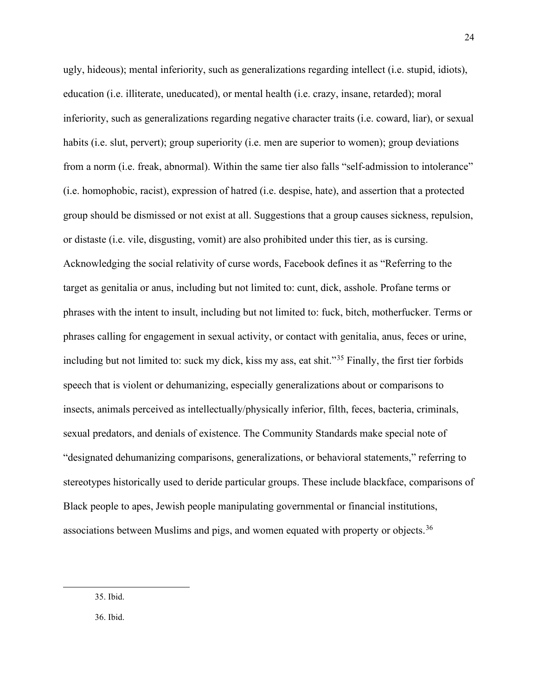ugly, hideous); mental inferiority, such as generalizations regarding intellect (i.e. stupid, idiots), education (i.e. illiterate, uneducated), or mental health (i.e. crazy, insane, retarded); moral inferiority, such as generalizations regarding negative character traits (i.e. coward, liar), or sexual habits (i.e. slut, pervert); group superiority (i.e. men are superior to women); group deviations from a norm (i.e. freak, abnormal). Within the same tier also falls "self-admission to intolerance" (i.e. homophobic, racist), expression of hatred (i.e. despise, hate), and assertion that a protected group should be dismissed or not exist at all. Suggestions that a group causes sickness, repulsion, or distaste (i.e. vile, disgusting, vomit) are also prohibited under this tier, as is cursing. Acknowledging the social relativity of curse words, Facebook defines it as "Referring to the target as genitalia or anus, including but not limited to: cunt, dick, asshole. Profane terms or phrases with the intent to insult, including but not limited to: fuck, bitch, motherfucker. Terms or phrases calling for engagement in sexual activity, or contact with genitalia, anus, feces or urine, including but not limited to: suck my dick, kiss my ass, eat shit."[35](#page-25-0) Finally, the first tier forbids speech that is violent or dehumanizing, especially generalizations about or comparisons to insects, animals perceived as intellectually/physically inferior, filth, feces, bacteria, criminals, sexual predators, and denials of existence. The Community Standards make special note of "designated dehumanizing comparisons, generalizations, or behavioral statements," referring to stereotypes historically used to deride particular groups. These include blackface, comparisons of Black people to apes, Jewish people manipulating governmental or financial institutions, associations between Muslims and pigs, and women equated with property or objects.<sup>[36](#page-25-1)</sup>

<span id="page-25-0"></span>35. Ibid.

<span id="page-25-1"></span>36. Ibid.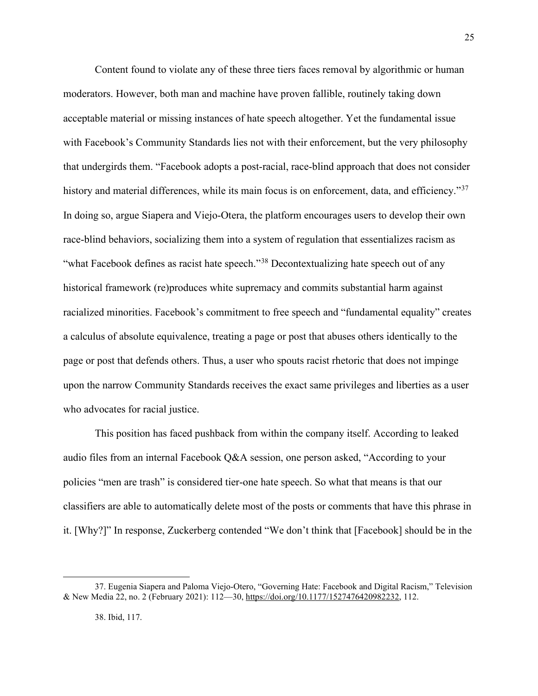Content found to violate any of these three tiers faces removal by algorithmic or human moderators. However, both man and machine have proven fallible, routinely taking down acceptable material or missing instances of hate speech altogether. Yet the fundamental issue with Facebook's Community Standards lies not with their enforcement, but the very philosophy that undergirds them. "Facebook adopts a post-racial, race-blind approach that does not consider history and material differences, while its main focus is on enforcement, data, and efficiency."<sup>[37](#page-26-0)</sup> In doing so, argue Siapera and Viejo-Otera, the platform encourages users to develop their own race-blind behaviors, socializing them into a system of regulation that essentializes racism as "what Facebook defines as racist hate speech."<sup>38</sup> Decontextualizing hate speech out of any historical framework (re)produces white supremacy and commits substantial harm against racialized minorities. Facebook's commitment to free speech and "fundamental equality" creates a calculus of absolute equivalence, treating a page or post that abuses others identically to the page or post that defends others. Thus, a user who spouts racist rhetoric that does not impinge upon the narrow Community Standards receives the exact same privileges and liberties as a user who advocates for racial justice.

25

This position has faced pushback from within the company itself. According to leaked audio files from an internal Facebook Q&A session, one person asked, "According to your policies "men are trash" is considered tier-one hate speech. So what that means is that our classifiers are able to automatically delete most of the posts or comments that have this phrase in it. [Why?]" In response, Zuckerberg contended "We don't think that [Facebook] should be in the

<span id="page-26-1"></span><span id="page-26-0"></span><sup>37.</sup> Eugenia Siapera and Paloma Viejo-Otero, "Governing Hate: Facebook and Digital Racism," Television & New Media 22, no. 2 (February 2021): 112—30[, https://doi.org/10.1177/1527476420982232,](https://doi.org/10.1177/1527476420982232) 112.

<sup>38.</sup> Ibid, 117.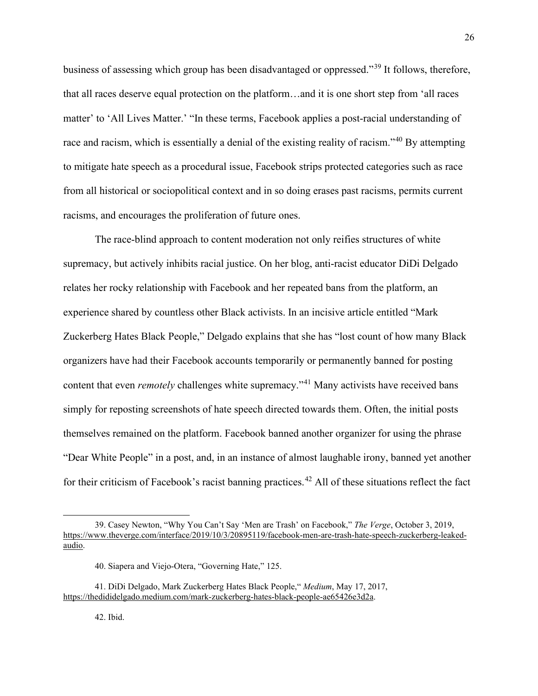business of assessing which group has been disadvantaged or oppressed."[39](#page-27-0) It follows, therefore, that all races deserve equal protection on the platform…and it is one short step from 'all races matter' to 'All Lives Matter.' "In these terms, Facebook applies a post-racial understanding of race and racism, which is essentially a denial of the existing reality of racism."<sup>[40](#page-27-1)</sup> By attempting to mitigate hate speech as a procedural issue, Facebook strips protected categories such as race from all historical or sociopolitical context and in so doing erases past racisms, permits current racisms, and encourages the proliferation of future ones.

The race-blind approach to content moderation not only reifies structures of white supremacy, but actively inhibits racial justice. On her blog, anti-racist educator DiDi Delgado relates her rocky relationship with Facebook and her repeated bans from the platform, an experience shared by countless other Black activists. In an incisive article entitled "Mark Zuckerberg Hates Black People," Delgado explains that she has "lost count of how many Black organizers have had their Facebook accounts temporarily or permanently banned for posting content that even *remotely* challenges white supremacy."<sup>[41](#page-27-2)</sup> Many activists have received bans simply for reposting screenshots of hate speech directed towards them. Often, the initial posts themselves remained on the platform. Facebook banned another organizer for using the phrase "Dear White People" in a post, and, in an instance of almost laughable irony, banned yet another for their criticism of Facebook's racist banning practices.<sup>[42](#page-27-3)</sup> All of these situations reflect the fact

<span id="page-27-0"></span><sup>39.</sup> Casey Newton, "Why You Can't Say 'Men are Trash' on Facebook," *The Verge*, October 3, 2019, [https://www.theverge.com/interface/2019/10/3/20895119/facebook-men-are-trash-hate-speech-zuckerberg-leaked](https://www.theverge.com/interface/2019/10/3/20895119/facebook-men-are-trash-hate-speech-zuckerberg-leaked-audio)[audio.](https://www.theverge.com/interface/2019/10/3/20895119/facebook-men-are-trash-hate-speech-zuckerberg-leaked-audio)

<sup>40.</sup> Siapera and Viejo-Otera, "Governing Hate," 125.

<span id="page-27-3"></span><span id="page-27-2"></span><span id="page-27-1"></span><sup>41.</sup> DiDi Delgado, Mark Zuckerberg Hates Black People," *Medium*, May 17, 2017, [https://thedididelgado.medium.com/mark-zuckerberg-hates-black-people-ae65426e3d2a.](https://thedididelgado.medium.com/mark-zuckerberg-hates-black-people-ae65426e3d2a)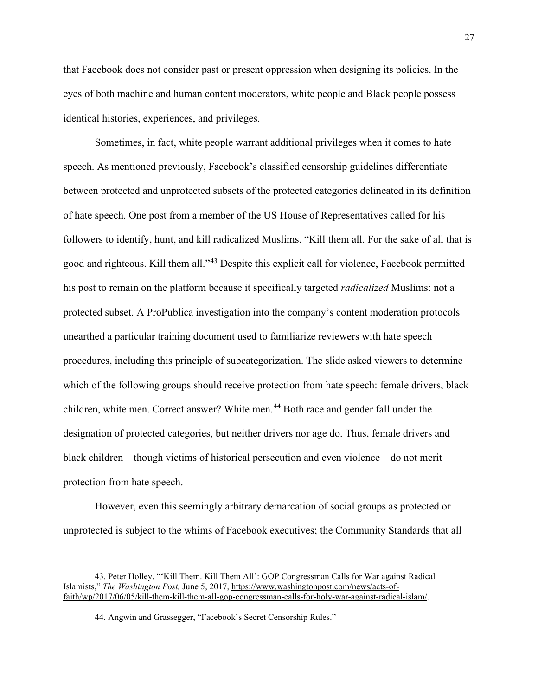that Facebook does not consider past or present oppression when designing its policies. In the eyes of both machine and human content moderators, white people and Black people possess identical histories, experiences, and privileges.

Sometimes, in fact, white people warrant additional privileges when it comes to hate speech. As mentioned previously, Facebook's classified censorship guidelines differentiate between protected and unprotected subsets of the protected categories delineated in its definition of hate speech. One post from a member of the US House of Representatives called for his followers to identify, hunt, and kill radicalized Muslims. "Kill them all. For the sake of all that is good and righteous. Kill them all."[43](#page-28-0) Despite this explicit call for violence, Facebook permitted his post to remain on the platform because it specifically targeted *radicalized* Muslims: not a protected subset. A ProPublica investigation into the company's content moderation protocols unearthed a particular training document used to familiarize reviewers with hate speech procedures, including this principle of subcategorization. The slide asked viewers to determine which of the following groups should receive protection from hate speech: female drivers, black children, white men. Correct answer? White men.<sup>44</sup> Both race and gender fall under the designation of protected categories, but neither drivers nor age do. Thus, female drivers and black children—though victims of historical persecution and even violence—do not merit protection from hate speech.

However, even this seemingly arbitrary demarcation of social groups as protected or unprotected is subject to the whims of Facebook executives; the Community Standards that all

<span id="page-28-1"></span><span id="page-28-0"></span><sup>43.</sup> Peter Holley, "'Kill Them. Kill Them All': GOP Congressman Calls for War against Radical Islamists," *The Washington Post,* June 5, 2017, [https://www.washingtonpost.com/news/acts-of](https://www.washingtonpost.com/news/acts-of-faith/wp/2017/06/05/kill-them-kill-them-all-gop-congressman-calls-for-holy-war-against-radical-islam/)[faith/wp/2017/06/05/kill-them-kill-them-all-gop-congressman-calls-for-holy-war-against-radical-islam/.](https://www.washingtonpost.com/news/acts-of-faith/wp/2017/06/05/kill-them-kill-them-all-gop-congressman-calls-for-holy-war-against-radical-islam/) 

<sup>44.</sup> Angwin and Grassegger, "Facebook's Secret Censorship Rules."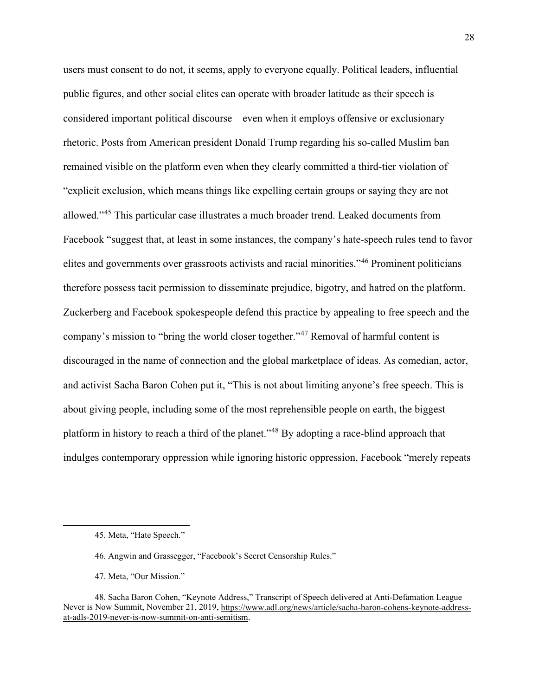users must consent to do not, it seems, apply to everyone equally. Political leaders, influential public figures, and other social elites can operate with broader latitude as their speech is considered important political discourse—even when it employs offensive or exclusionary rhetoric. Posts from American president Donald Trump regarding his so-called Muslim ban remained visible on the platform even when they clearly committed a third-tier violation of "explicit exclusion, which means things like expelling certain groups or saying they are not allowed."[45](#page-29-0) This particular case illustrates a much broader trend. Leaked documents from Facebook "suggest that, at least in some instances, the company's hate-speech rules tend to favor elites and governments over grassroots activists and racial minorities."[46](#page-29-1) Prominent politicians therefore possess tacit permission to disseminate prejudice, bigotry, and hatred on the platform. Zuckerberg and Facebook spokespeople defend this practice by appealing to free speech and the company's mission to "bring the world closer together."[47](#page-29-2) Removal of harmful content is discouraged in the name of connection and the global marketplace of ideas. As comedian, actor, and activist Sacha Baron Cohen put it, "This is not about limiting anyone's free speech. This is about giving people, including some of the most reprehensible people on earth, the biggest platform in history to reach a third of the planet."[48](#page-29-3) By adopting a race-blind approach that indulges contemporary oppression while ignoring historic oppression, Facebook "merely repeats

47. Meta, "Our Mission."

<sup>45.</sup> Meta, "Hate Speech."

<sup>46.</sup> Angwin and Grassegger, "Facebook's Secret Censorship Rules."

<span id="page-29-3"></span><span id="page-29-2"></span><span id="page-29-1"></span><span id="page-29-0"></span><sup>48.</sup> Sacha Baron Cohen, "Keynote Address," Transcript of Speech delivered at Anti-Defamation League Never is Now Summit, November 21, 2019[, https://www.adl.org/news/article/sacha-baron-cohens-keynote-address](https://www.adl.org/news/article/sacha-baron-cohens-keynote-address-at-adls-2019-never-is-now-summit-on-anti-semitism)[at-adls-2019-never-is-now-summit-on-anti-semitism.](https://www.adl.org/news/article/sacha-baron-cohens-keynote-address-at-adls-2019-never-is-now-summit-on-anti-semitism)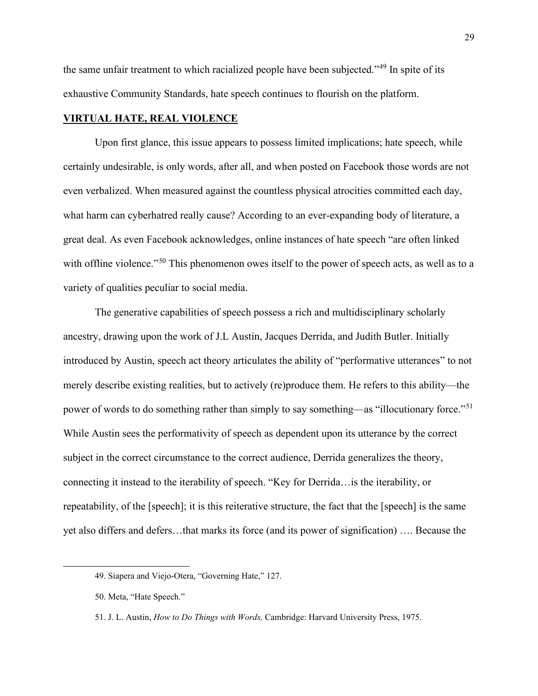the same unfair treatment to which racialized people have been subjected."[49](#page-30-0) In spite of its exhaustive Community Standards, hate speech continues to flourish on the platform.

## **VIRTUAL HATE, REAL VIOLENCE**

 Upon first glance, this issue appears to possess limited implications; hate speech, while certainly undesirable, is only words, after all, and when posted on Facebook those words are not even verbalized. When measured against the countless physical atrocities committed each day, what harm can cyberhatred really cause? According to an ever-expanding body of literature, a great deal. As even Facebook acknowledges, online instances of hate speech "are often linked with offline violence."<sup>[50](#page-30-1)</sup> This phenomenon owes itself to the power of speech acts, as well as to a variety of qualities peculiar to social media.

 The generative capabilities of speech possess a rich and multidisciplinary scholarly ancestry, drawing upon the work of J.L Austin, Jacques Derrida, and Judith Butler. Initially introduced by Austin, speech act theory articulates the ability of "performative utterances" to not merely describe existing realities, but to actively (re)produce them. He refers to this ability—the power of words to do something rather than simply to say something—as "illocutionary force."<sup>[51](#page-30-2)</sup> While Austin sees the performativity of speech as dependent upon its utterance by the correct subject in the correct circumstance to the correct audience, Derrida generalizes the theory, connecting it instead to the iterability of speech. "Key for Derrida…is the iterability, or repeatability, of the [speech]; it is this reiterative structure, the fact that the [speech] is the same yet also differs and defers…that marks its force (and its power of signification) …. Because the

<span id="page-30-0"></span><sup>49.</sup> Siapera and Viejo-Otera, "Governing Hate," 127.

<span id="page-30-1"></span><sup>50.</sup> Meta, "Hate Speech."

<span id="page-30-2"></span><sup>51.</sup> J. L. Austin, *How to Do Things with Words,* Cambridge: Harvard University Press, 1975.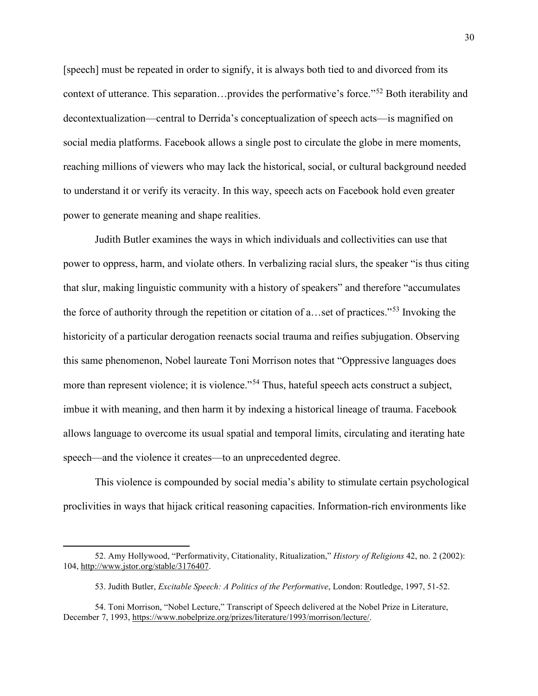[speech] must be repeated in order to signify, it is always both tied to and divorced from its context of utterance. This separation…provides the performative's force."[52](#page-31-0) Both iterability and decontextualization—central to Derrida's conceptualization of speech acts—is magnified on social media platforms. Facebook allows a single post to circulate the globe in mere moments, reaching millions of viewers who may lack the historical, social, or cultural background needed to understand it or verify its veracity. In this way, speech acts on Facebook hold even greater power to generate meaning and shape realities.

 Judith Butler examines the ways in which individuals and collectivities can use that power to oppress, harm, and violate others. In verbalizing racial slurs, the speaker "is thus citing that slur, making linguistic community with a history of speakers" and therefore "accumulates the force of authority through the repetition or citation of a…set of practices."[53](#page-31-1) Invoking the historicity of a particular derogation reenacts social trauma and reifies subjugation. Observing this same phenomenon, Nobel laureate Toni Morrison notes that "Oppressive languages does more than represent violence; it is violence."<sup>54</sup> Thus, hateful speech acts construct a subject, imbue it with meaning, and then harm it by indexing a historical lineage of trauma. Facebook allows language to overcome its usual spatial and temporal limits, circulating and iterating hate speech—and the violence it creates—to an unprecedented degree.

 This violence is compounded by social media's ability to stimulate certain psychological proclivities in ways that hijack critical reasoning capacities. Information-rich environments like

<span id="page-31-0"></span><sup>52.</sup> Amy Hollywood, "Performativity, Citationality, Ritualization," *History of Religions* 42, no. 2 (2002): 104, [http://www.jstor.org/stable/3176407.](http://www.jstor.org/stable/3176407)

<sup>53.</sup> Judith Butler, *Excitable Speech: A Politics of the Performative*, London: Routledge, 1997, 51-52.

<span id="page-31-2"></span><span id="page-31-1"></span><sup>54.</sup> Toni Morrison, "Nobel Lecture," Transcript of Speech delivered at the Nobel Prize in Literature, December 7, 1993[, https://www.nobelprize.org/prizes/literature/1993/morrison/lecture/.](https://www.nobelprize.org/prizes/literature/1993/morrison/lecture/)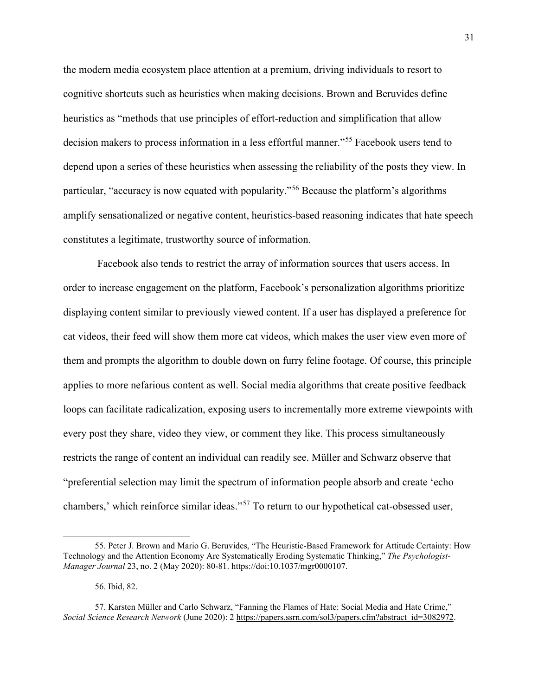the modern media ecosystem place attention at a premium, driving individuals to resort to cognitive shortcuts such as heuristics when making decisions. Brown and Beruvides define heuristics as "methods that use principles of effort-reduction and simplification that allow decision makers to process information in a less effortful manner."<sup>[55](#page-32-0)</sup> Facebook users tend to depend upon a series of these heuristics when assessing the reliability of the posts they view. In particular, "accuracy is now equated with popularity."[56](#page-32-1) Because the platform's algorithms amplify sensationalized or negative content, heuristics-based reasoning indicates that hate speech constitutes a legitimate, trustworthy source of information.

 Facebook also tends to restrict the array of information sources that users access. In order to increase engagement on the platform, Facebook's personalization algorithms prioritize displaying content similar to previously viewed content. If a user has displayed a preference for cat videos, their feed will show them more cat videos, which makes the user view even more of them and prompts the algorithm to double down on furry feline footage. Of course, this principle applies to more nefarious content as well. Social media algorithms that create positive feedback loops can facilitate radicalization, exposing users to incrementally more extreme viewpoints with every post they share, video they view, or comment they like. This process simultaneously restricts the range of content an individual can readily see. Müller and Schwarz observe that "preferential selection may limit the spectrum of information people absorb and create 'echo chambers,' which reinforce similar ideas."[57](#page-32-2) To return to our hypothetical cat-obsessed user,

<span id="page-32-0"></span><sup>55.</sup> Peter J. Brown and Mario G. Beruvides, "The Heuristic-Based Framework for Attitude Certainty: How Technology and the Attention Economy Are Systematically Eroding Systematic Thinking," *The Psychologist-Manager Journal* 23, no. 2 (May 2020): 80-81. [https://doi:10.1037/mgr0000107.](about:blank)

<sup>56.</sup> Ibid, 82.

<span id="page-32-2"></span><span id="page-32-1"></span><sup>57.</sup> Karsten Müller and Carlo Schwarz, "Fanning the Flames of Hate: Social Media and Hate Crime," *Social Science Research Network* (June 2020): 2 [https://papers.ssrn.com/sol3/papers.cfm?abstract\\_id=3082972.](https://papers.ssrn.com/sol3/papers.cfm?abstract_id=3082972)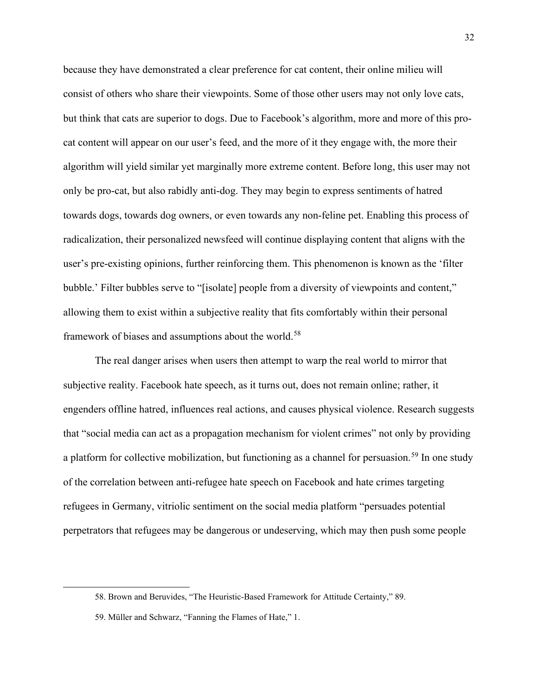because they have demonstrated a clear preference for cat content, their online milieu will consist of others who share their viewpoints. Some of those other users may not only love cats, but think that cats are superior to dogs. Due to Facebook's algorithm, more and more of this procat content will appear on our user's feed, and the more of it they engage with, the more their algorithm will yield similar yet marginally more extreme content. Before long, this user may not only be pro-cat, but also rabidly anti-dog. They may begin to express sentiments of hatred towards dogs, towards dog owners, or even towards any non-feline pet. Enabling this process of radicalization, their personalized newsfeed will continue displaying content that aligns with the user's pre-existing opinions, further reinforcing them. This phenomenon is known as the 'filter bubble.' Filter bubbles serve to "[isolate] people from a diversity of viewpoints and content," allowing them to exist within a subjective reality that fits comfortably within their personal framework of biases and assumptions about the world.<sup>[58](#page-33-0)</sup>

The real danger arises when users then attempt to warp the real world to mirror that subjective reality. Facebook hate speech, as it turns out, does not remain online; rather, it engenders offline hatred, influences real actions, and causes physical violence. Research suggests that "social media can act as a propagation mechanism for violent crimes" not only by providing a platform for collective mobilization, but functioning as a channel for persuasion.<sup>[59](#page-33-1)</sup> In one study of the correlation between anti-refugee hate speech on Facebook and hate crimes targeting refugees in Germany, vitriolic sentiment on the social media platform "persuades potential perpetrators that refugees may be dangerous or undeserving, which may then push some people

<span id="page-33-0"></span><sup>58.</sup> Brown and Beruvides, "The Heuristic-Based Framework for Attitude Certainty," 89.

<span id="page-33-1"></span><sup>59.</sup> Müller and Schwarz, "Fanning the Flames of Hate," 1.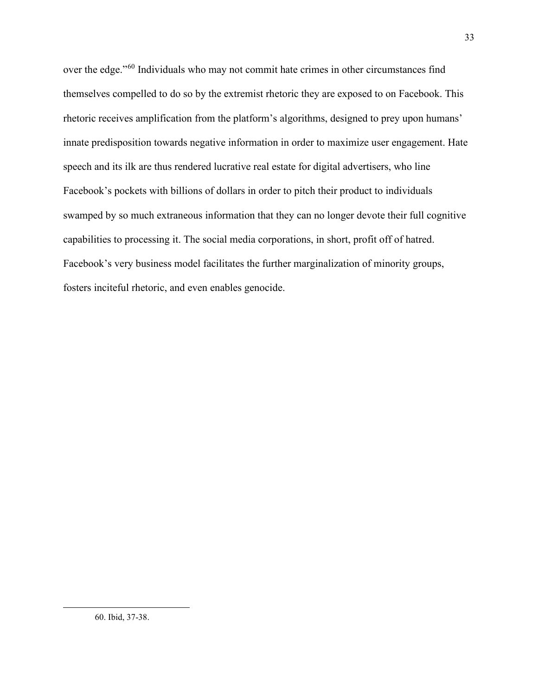<span id="page-34-0"></span>over the edge."[60](#page-34-0) Individuals who may not commit hate crimes in other circumstances find themselves compelled to do so by the extremist rhetoric they are exposed to on Facebook. This rhetoric receives amplification from the platform's algorithms, designed to prey upon humans' innate predisposition towards negative information in order to maximize user engagement. Hate speech and its ilk are thus rendered lucrative real estate for digital advertisers, who line Facebook's pockets with billions of dollars in order to pitch their product to individuals swamped by so much extraneous information that they can no longer devote their full cognitive capabilities to processing it. The social media corporations, in short, profit off of hatred. Facebook's very business model facilitates the further marginalization of minority groups, fosters inciteful rhetoric, and even enables genocide.

33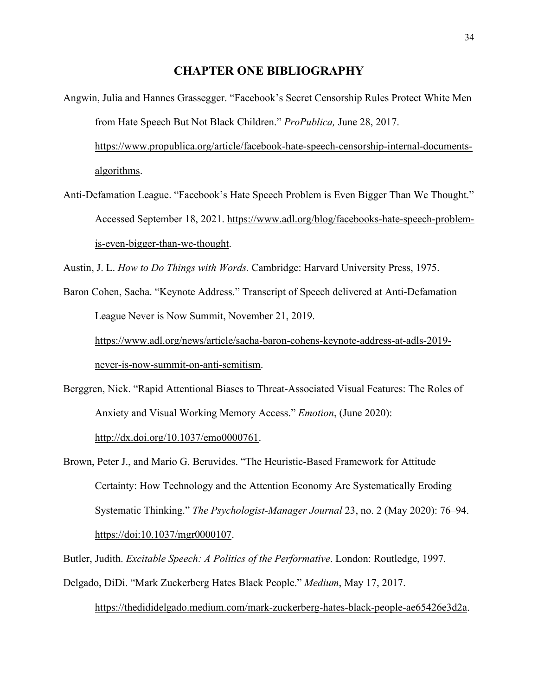#### **CHAPTER ONE BIBLIOGRAPHY**

Angwin, Julia and Hannes Grassegger. "Facebook's Secret Censorship Rules Protect White Men from Hate Speech But Not Black Children." *ProPublica,* June 28, 2017.

[https://www.propublica.org/article/facebook-hate-speech-censorship-internal-documents](https://www.propublica.org/article/facebook-hate-speech-censorship-internal-documents-algorithms)[algorithms.](https://www.propublica.org/article/facebook-hate-speech-censorship-internal-documents-algorithms)

Anti-Defamation League. "Facebook's Hate Speech Problem is Even Bigger Than We Thought." Accessed September 18, 2021. [https://www.adl.org/blog/facebooks-hate-speech-problem](https://www.adl.org/blog/facebooks-hate-speech-problem-is-even-bigger-than-we-thought)[is-even-bigger-than-we-thought.](https://www.adl.org/blog/facebooks-hate-speech-problem-is-even-bigger-than-we-thought)

Austin, J. L. *How to Do Things with Words.* Cambridge: Harvard University Press, 1975.

Baron Cohen, Sacha. "Keynote Address." Transcript of Speech delivered at Anti-Defamation League Never is Now Summit, November 21, 2019. [https://www.adl.org/news/article/sacha-baron-cohens-keynote-address-at-adls-2019-](https://www.adl.org/news/article/sacha-baron-cohens-keynote-address-at-adls-2019-never-is-now-summit-on-anti-semitism)

[never-is-now-summit-on-anti-semitism.](https://www.adl.org/news/article/sacha-baron-cohens-keynote-address-at-adls-2019-never-is-now-summit-on-anti-semitism)

Berggren, Nick. "Rapid Attentional Biases to Threat-Associated Visual Features: The Roles of Anxiety and Visual Working Memory Access." *Emotion*, (June 2020): [http://dx.doi.org/10.1037/emo0000761.](http://dx.doi.org/10.1037/emo0000761)

Brown, Peter J., and Mario G. Beruvides. "The Heuristic-Based Framework for Attitude Certainty: How Technology and the Attention Economy Are Systematically Eroding Systematic Thinking." *The Psychologist-Manager Journal* 23, no. 2 (May 2020): 76–94. [https://doi:10.1037/mgr0000107.](about:blank)

Butler, Judith. *Excitable Speech: A Politics of the Performative*. London: Routledge, 1997.

Delgado, DiDi. "Mark Zuckerberg Hates Black People." *Medium*, May 17, 2017.

[https://thedididelgado.medium.com/mark-zuckerberg-hates-black-people-ae65426e3d2a.](https://thedididelgado.medium.com/mark-zuckerberg-hates-black-people-ae65426e3d2a)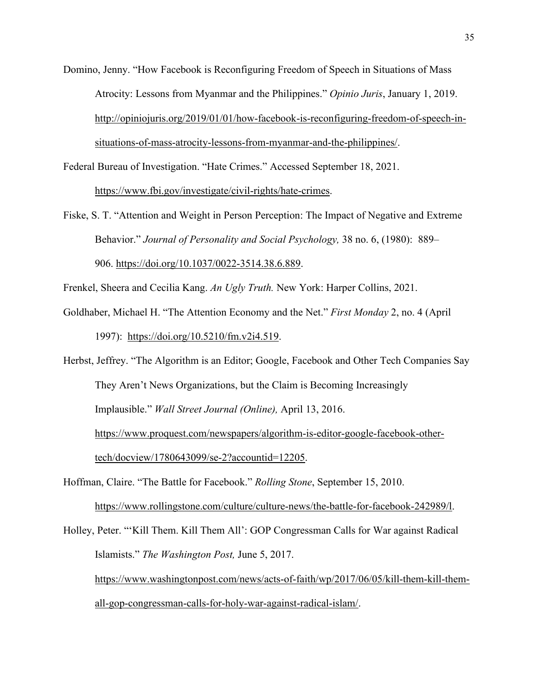Domino, Jenny. "How Facebook is Reconfiguring Freedom of Speech in Situations of Mass Atrocity: Lessons from Myanmar and the Philippines." *Opinio Juris*, January 1, 2019. [http://opiniojuris.org/2019/01/01/how-facebook-is-reconfiguring-freedom-of-speech-in](http://opiniojuris.org/2019/01/01/how-facebook-is-reconfiguring-freedom-of-speech-in-situations-of-mass-atrocity-lessons-from-myanmar-and-the-philippines/)[situations-of-mass-atrocity-lessons-from-myanmar-and-the-philippines/.](http://opiniojuris.org/2019/01/01/how-facebook-is-reconfiguring-freedom-of-speech-in-situations-of-mass-atrocity-lessons-from-myanmar-and-the-philippines/)

Federal Bureau of Investigation. "Hate Crimes." Accessed September 18, 2021.

[https://www.fbi.gov/investigate/civil-rights/hate-crimes.](https://www.fbi.gov/investigate/civil-rights/hate-crimes)

Fiske, S. T. "Attention and Weight in Person Perception: The Impact of Negative and Extreme Behavior." *Journal of Personality and Social Psychology,* 38 no. 6, (1980): 889– 906. [https://doi.org/10.1037/0022-3514.38.6.889.](https://doi.apa.org/doi/10.1037/0022-3514.38.6.889)

Frenkel, Sheera and Cecilia Kang. *An Ugly Truth.* New York: Harper Collins, 2021.

Goldhaber, Michael H. "The Attention Economy and the Net." *First Monday* 2, no. 4 (April 1997): [https://doi.org/10.5210/fm.v2i4.519.](https://doi.org/10.5210/fm.v2i4.519)

Herbst, Jeffrey. "The Algorithm is an Editor; Google, Facebook and Other Tech Companies Say They Aren't News Organizations, but the Claim is Becoming Increasingly Implausible." *Wall Street Journal (Online),* April 13, 2016. [https://www.proquest.com/newspapers/algorithm-is-editor-google-facebook-other](https://www.proquest.com/newspapers/algorithm-is-editor-google-facebook-other-tech/docview/1780643099/se-2?accountid=12205)[tech/docview/1780643099/se-2?accountid=12205.](https://www.proquest.com/newspapers/algorithm-is-editor-google-facebook-other-tech/docview/1780643099/se-2?accountid=12205)

Hoffman, Claire. "The Battle for Facebook." *Rolling Stone*, September 15, 2010. [https://www.rollingstone.com/culture/culture-news/the-battle-for-facebook-242989/l.](https://www.rollingstone.com/culture/culture-news/the-battle-for-facebook-242989/l)

Holley, Peter. "'Kill Them. Kill Them All': GOP Congressman Calls for War against Radical Islamists." *The Washington Post,* June 5, 2017. [https://www.washingtonpost.com/news/acts-of-faith/wp/2017/06/05/kill-them-kill-them](https://www.washingtonpost.com/news/acts-of-faith/wp/2017/06/05/kill-them-kill-them-all-gop-congressman-calls-for-holy-war-against-radical-islam/)[all-gop-congressman-calls-for-holy-war-against-radical-islam/.](https://www.washingtonpost.com/news/acts-of-faith/wp/2017/06/05/kill-them-kill-them-all-gop-congressman-calls-for-holy-war-against-radical-islam/)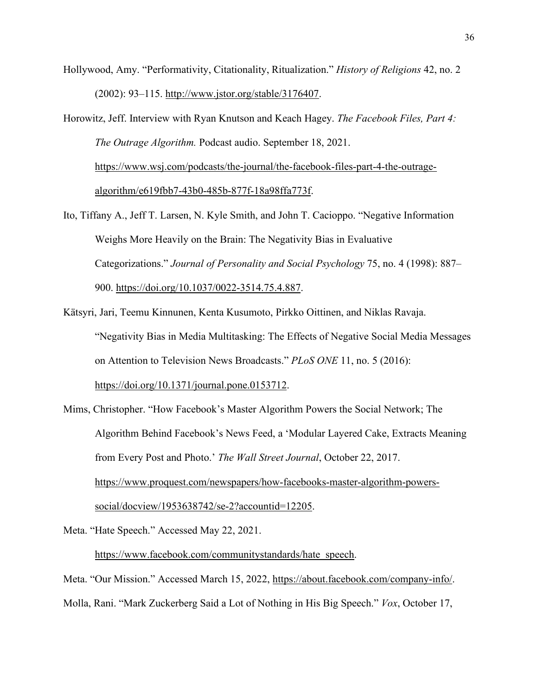- Hollywood, Amy. "Performativity, Citationality, Ritualization." *History of Religions* 42, no. 2 (2002): 93–115. [http://www.jstor.org/stable/3176407.](http://www.jstor.org/stable/3176407)
- Horowitz, Jeff. Interview with Ryan Knutson and Keach Hagey. *The Facebook Files, Part 4: The Outrage Algorithm.* Podcast audio. September 18, 2021. [https://www.wsj.com/podcasts/the-journal/the-facebook-files-part-4-the-outrage](https://www.wsj.com/podcasts/the-journal/the-facebook-files-part-4-the-outrage-algorithm/e619fbb7-43b0-485b-877f-18a98ffa773f)[algorithm/e619fbb7-43b0-485b-877f-18a98ffa773f.](https://www.wsj.com/podcasts/the-journal/the-facebook-files-part-4-the-outrage-algorithm/e619fbb7-43b0-485b-877f-18a98ffa773f)
- Ito, Tiffany A., Jeff T. Larsen, N. Kyle Smith, and John T. Cacioppo. "Negative Information Weighs More Heavily on the Brain: The Negativity Bias in Evaluative Categorizations." *Journal of Personality and Social Psychology* 75, no. 4 (1998): 887– 900. [https://doi.org/10.1037/0022-3514.75.4.887.](https://doi.org/10.1037/0022-3514.75.4.887)
- Kätsyri, Jari, Teemu Kinnunen, Kenta Kusumoto, Pirkko Oittinen, and Niklas Ravaja. "Negativity Bias in Media Multitasking: The Effects of Negative Social Media Messages on Attention to Television News Broadcasts." *PLoS ONE* 11, no. 5 (2016): [https://doi.org/10.1371/journal.pone.0153712.](https://doi.org/10.1371/journal.pone.0153712)
- Mims, Christopher. "How Facebook's Master Algorithm Powers the Social Network; The Algorithm Behind Facebook's News Feed, a 'Modular Layered Cake, Extracts Meaning from Every Post and Photo.' *The Wall Street Journal*, October 22, 2017. [https://www.proquest.com/newspapers/how-facebooks-master-algorithm-powers](https://www.proquest.com/newspapers/how-facebooks-master-algorithm-powers-social/docview/1953638742/se-2?accountid=12205)[social/docview/1953638742/se-2?accountid=12205.](https://www.proquest.com/newspapers/how-facebooks-master-algorithm-powers-social/docview/1953638742/se-2?accountid=12205)
- Meta. "Hate Speech." Accessed May 22, 2021.

## [https://www.facebook.com/communitystandards/hate\\_speech.](https://www.facebook.com/communitystandards/hate_speech)

Meta. "Our Mission." Accessed March 15, 2022, [https://about.facebook.com/company-info/.](https://about.facebook.com/company-info/) Molla, Rani. "Mark Zuckerberg Said a Lot of Nothing in His Big Speech." *Vox*, October 17,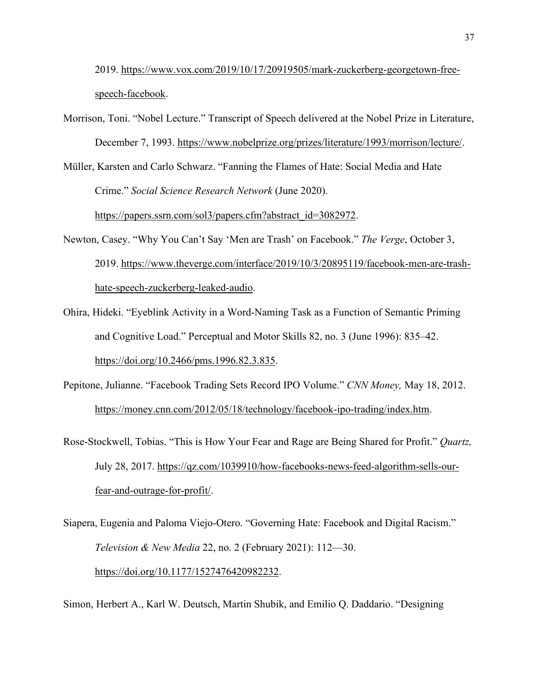2019. [https://www.vox.com/2019/10/17/20919505/mark-zuckerberg-georgetown-free](https://www.vox.com/2019/10/17/20919505/mark-zuckerberg-georgetown-free-speech-facebook)[speech-facebook.](https://www.vox.com/2019/10/17/20919505/mark-zuckerberg-georgetown-free-speech-facebook)

- Morrison, Toni. "Nobel Lecture." Transcript of Speech delivered at the Nobel Prize in Literature, December 7, 1993. [https://www.nobelprize.org/prizes/literature/1993/morrison/lecture/.](https://www.nobelprize.org/prizes/literature/1993/morrison/lecture/)
- Müller, Karsten and Carlo Schwarz. "Fanning the Flames of Hate: Social Media and Hate Crime." *Social Science Research Network* (June 2020).

[https://papers.ssrn.com/sol3/papers.cfm?abstract\\_id=3082972.](https://papers.ssrn.com/sol3/papers.cfm?abstract_id=3082972)

- Newton, Casey. "Why You Can't Say 'Men are Trash' on Facebook." *The Verge*, October 3, 2019. [https://www.theverge.com/interface/2019/10/3/20895119/facebook-men-are-trash](https://www.theverge.com/interface/2019/10/3/20895119/facebook-men-are-trash-hate-speech-zuckerberg-leaked-audio)[hate-speech-zuckerberg-leaked-audio.](https://www.theverge.com/interface/2019/10/3/20895119/facebook-men-are-trash-hate-speech-zuckerberg-leaked-audio)
- Ohira, Hideki. "Eyeblink Activity in a Word-Naming Task as a Function of Semantic Priming and Cognitive Load." Perceptual and Motor Skills 82, no. 3 (June 1996): 835–42. [https://doi.org/10.2466/pms.1996.82.3.835.](https://doi.org/10.2466/pms.1996.82.3.835)
- Pepitone, Julianne. "Facebook Trading Sets Record IPO Volume." *CNN Money,* May 18, 2012. [https://money.cnn.com/2012/05/18/technology/facebook-ipo-trading/index.htm.](https://money.cnn.com/2012/05/18/technology/facebook-ipo-trading/index.htm)
- Rose-Stockwell, Tobias. "This is How Your Fear and Rage are Being Shared for Profit." *Quartz,*  July 28, 2017. [https://qz.com/1039910/how-facebooks-news-feed-algorithm-sells-our](https://qz.com/1039910/how-facebooks-news-feed-algorithm-sells-our-fear-and-outrage-for-profit/)[fear-and-outrage-for-profit/.](https://qz.com/1039910/how-facebooks-news-feed-algorithm-sells-our-fear-and-outrage-for-profit/)
- Siapera, Eugenia and Paloma Viejo-Otero. "Governing Hate: Facebook and Digital Racism." *Television & New Media* 22, no. 2 (February 2021): 112—30. [https://doi.org/10.1177/1527476420982232.](https://doi.org/10.1177/1527476420982232)

Simon, Herbert A., Karl W. Deutsch, Martin Shubik, and Emilio Q. Daddario. "Designing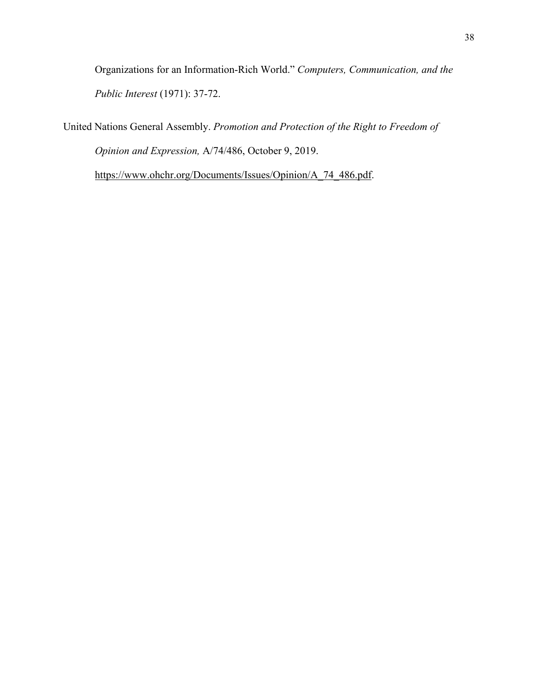Organizations for an Information-Rich World." *Computers, Communication, and the Public Interest* (1971): 37-72.

United Nations General Assembly. *Promotion and Protection of the Right to Freedom of Opinion and Expression,* A/74/486, October 9, 2019.

[https://www.ohchr.org/Documents/Issues/Opinion/A\\_74\\_486.pdf.](https://www.ohchr.org/Documents/Issues/Opinion/A_74_486.pdf)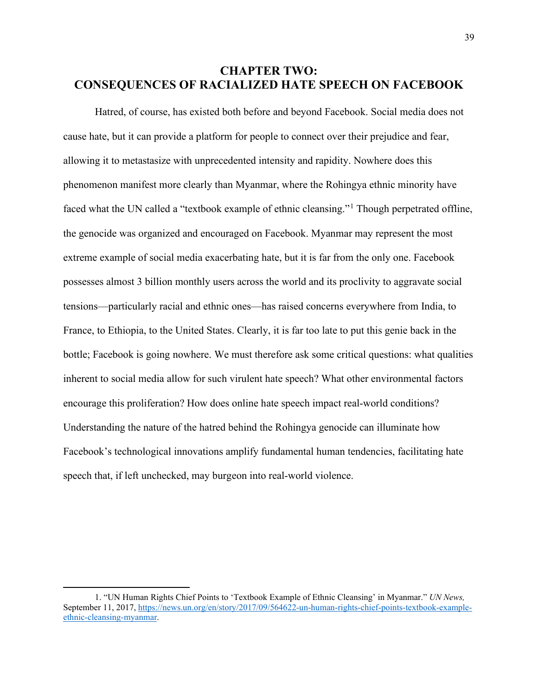# **CHAPTER TWO: CONSEQUENCES OF RACIALIZED HATE SPEECH ON FACEBOOK**

Hatred, of course, has existed both before and beyond Facebook. Social media does not cause hate, but it can provide a platform for people to connect over their prejudice and fear, allowing it to metastasize with unprecedented intensity and rapidity. Nowhere does this phenomenon manifest more clearly than Myanmar, where the Rohingya ethnic minority have faced what the UN called a "textbook example of ethnic cleansing."<sup>[1](#page-40-0)</sup> Though perpetrated offline, the genocide was organized and encouraged on Facebook. Myanmar may represent the most extreme example of social media exacerbating hate, but it is far from the only one. Facebook possesses almost 3 billion monthly users across the world and its proclivity to aggravate social tensions—particularly racial and ethnic ones—has raised concerns everywhere from India, to France, to Ethiopia, to the United States. Clearly, it is far too late to put this genie back in the bottle; Facebook is going nowhere. We must therefore ask some critical questions: what qualities inherent to social media allow for such virulent hate speech? What other environmental factors encourage this proliferation? How does online hate speech impact real-world conditions? Understanding the nature of the hatred behind the Rohingya genocide can illuminate how Facebook's technological innovations amplify fundamental human tendencies, facilitating hate speech that, if left unchecked, may burgeon into real-world violence.

<span id="page-40-0"></span><sup>1. &</sup>quot;UN Human Rights Chief Points to 'Textbook Example of Ethnic Cleansing' in Myanmar." *UN News,*  September 11, 2017, [https://news.un.org/en/story/2017/09/564622-un-human-rights-chief-points-textbook-example](https://news.un.org/en/story/2017/09/564622-un-human-rights-chief-points-textbook-example-ethnic-cleansing-myanmar)[ethnic-cleansing-myanmar.](https://news.un.org/en/story/2017/09/564622-un-human-rights-chief-points-textbook-example-ethnic-cleansing-myanmar)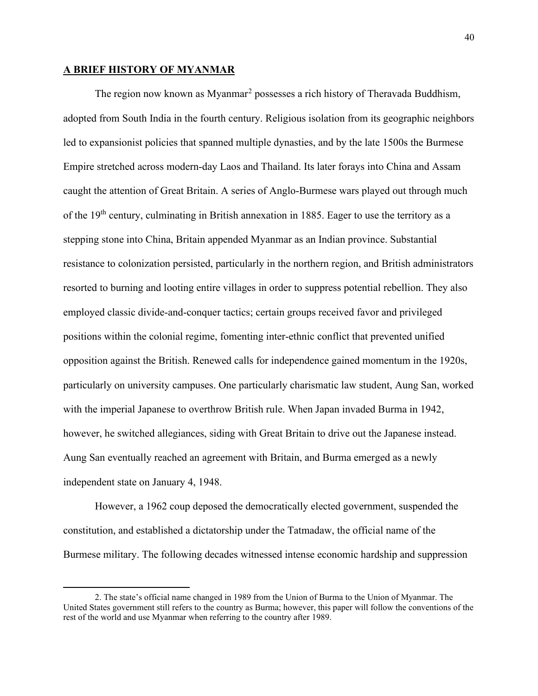#### **A BRIEF HISTORY OF MYANMAR**

The region now known as Myanmar<sup>[2](#page-41-0)</sup> possesses a rich history of Theravada Buddhism, adopted from South India in the fourth century. Religious isolation from its geographic neighbors led to expansionist policies that spanned multiple dynasties, and by the late 1500s the Burmese Empire stretched across modern-day Laos and Thailand. Its later forays into China and Assam caught the attention of Great Britain. A series of Anglo-Burmese wars played out through much of the  $19<sup>th</sup>$  century, culminating in British annexation in 1885. Eager to use the territory as a stepping stone into China, Britain appended Myanmar as an Indian province. Substantial resistance to colonization persisted, particularly in the northern region, and British administrators resorted to burning and looting entire villages in order to suppress potential rebellion. They also employed classic divide-and-conquer tactics; certain groups received favor and privileged positions within the colonial regime, fomenting inter-ethnic conflict that prevented unified opposition against the British. Renewed calls for independence gained momentum in the 1920s, particularly on university campuses. One particularly charismatic law student, Aung San, worked with the imperial Japanese to overthrow British rule. When Japan invaded Burma in 1942, however, he switched allegiances, siding with Great Britain to drive out the Japanese instead. Aung San eventually reached an agreement with Britain, and Burma emerged as a newly independent state on January 4, 1948.

However, a 1962 coup deposed the democratically elected government, suspended the constitution, and established a dictatorship under the Tatmadaw, the official name of the Burmese military. The following decades witnessed intense economic hardship and suppression

<span id="page-41-0"></span><sup>2.</sup> The state's official name changed in 1989 from the Union of Burma to the Union of Myanmar. The United States government still refers to the country as Burma; however, this paper will follow the conventions of the rest of the world and use Myanmar when referring to the country after 1989.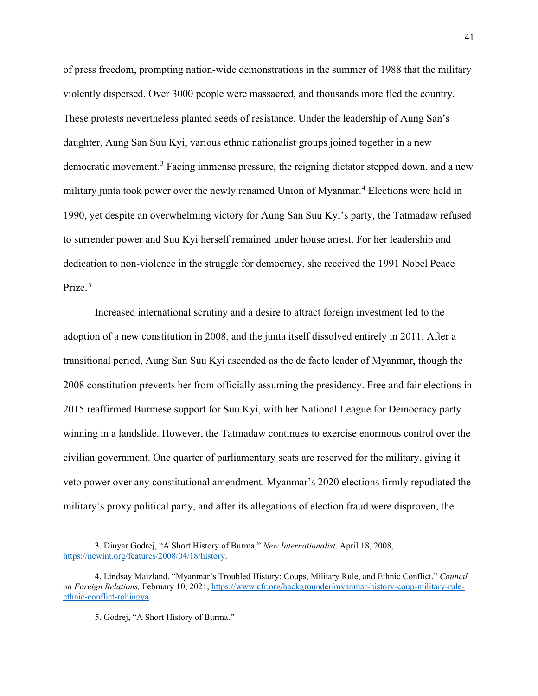of press freedom, prompting nation-wide demonstrations in the summer of 1988 that the military violently dispersed. Over 3000 people were massacred, and thousands more fled the country. These protests nevertheless planted seeds of resistance. Under the leadership of Aung San's daughter, Aung San Suu Kyi, various ethnic nationalist groups joined together in a new democratic movement.<sup>[3](#page-42-0)</sup> Facing immense pressure, the reigning dictator stepped down, and a new military junta took power over the newly renamed Union of Myanmar.<sup>[4](#page-42-1)</sup> Elections were held in 1990, yet despite an overwhelming victory for Aung San Suu Kyi's party, the Tatmadaw refused to surrender power and Suu Kyi herself remained under house arrest. For her leadership and dedication to non-violence in the struggle for democracy, she received the 1991 Nobel Peace Prize.<sup>[5](#page-42-2)</sup>

Increased international scrutiny and a desire to attract foreign investment led to the adoption of a new constitution in 2008, and the junta itself dissolved entirely in 2011. After a transitional period, Aung San Suu Kyi ascended as the de facto leader of Myanmar, though the 2008 constitution prevents her from officially assuming the presidency. Free and fair elections in 2015 reaffirmed Burmese support for Suu Kyi, with her National League for Democracy party winning in a landslide. However, the Tatmadaw continues to exercise enormous control over the civilian government. One quarter of parliamentary seats are reserved for the military, giving it veto power over any constitutional amendment. Myanmar's 2020 elections firmly repudiated the military's proxy political party, and after its allegations of election fraud were disproven, the

<span id="page-42-0"></span><sup>3.</sup> Dinyar Godrej, "A Short History of Burma," *New Internationalist,* April 18, 2008, [https://newint.org/features/2008/04/18/history.](https://newint.org/features/2008/04/18/history)

<span id="page-42-2"></span><span id="page-42-1"></span><sup>4.</sup> Lindsay Maizland, "Myanmar's Troubled History: Coups, Military Rule, and Ethnic Conflict," *Council on Foreign Relations,* February 10, 2021[, https://www.cfr.org/backgrounder/myanmar-history-coup-military-rule](https://www.cfr.org/backgrounder/myanmar-history-coup-military-rule-ethnic-conflict-rohingya)[ethnic-conflict-rohingya.](https://www.cfr.org/backgrounder/myanmar-history-coup-military-rule-ethnic-conflict-rohingya)

<sup>5.</sup> Godrej, "A Short History of Burma."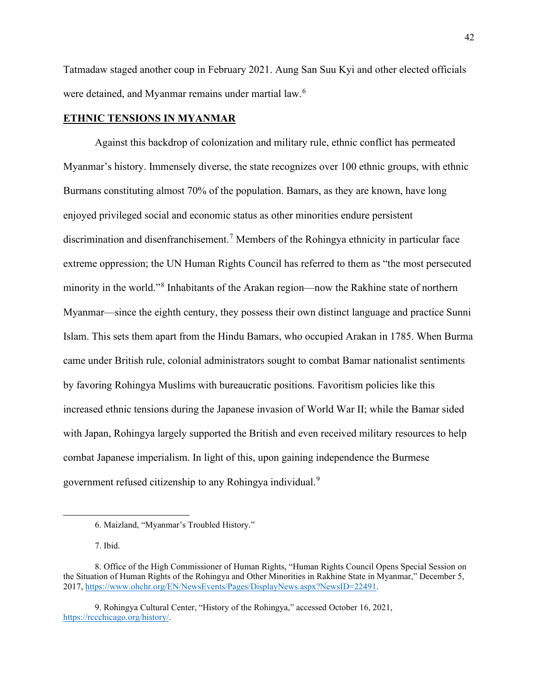Tatmadaw staged another coup in February 2021. Aung San Suu Kyi and other elected officials were detained, and Myanmar remains under martial law.<sup>[6](#page-43-0)</sup>

# **ETHNIC TENSIONS IN MYANMAR**

Against this backdrop of colonization and military rule, ethnic conflict has permeated Myanmar's history. Immensely diverse, the state recognizes over 100 ethnic groups, with ethnic Burmans constituting almost 70% of the population. Bamars, as they are known, have long enjoyed privileged social and economic status as other minorities endure persistent discrimination and disenfranchisement.<sup>[7](#page-43-1)</sup> Members of the Rohingya ethnicity in particular face extreme oppression; the UN Human Rights Council has referred to them as "the most persecuted minority in the world."<sup>[8](#page-43-2)</sup> Inhabitants of the Arakan region—now the Rakhine state of northern Myanmar—since the eighth century, they possess their own distinct language and practice Sunni Islam. This sets them apart from the Hindu Bamars, who occupied Arakan in 1785. When Burma came under British rule, colonial administrators sought to combat Bamar nationalist sentiments by favoring Rohingya Muslims with bureaucratic positions. Favoritism policies like this increased ethnic tensions during the Japanese invasion of World War II; while the Bamar sided with Japan, Rohingya largely supported the British and even received military resources to help combat Japanese imperialism. In light of this, upon gaining independence the Burmese government refused citizenship to any Rohingya individual.<sup>[9](#page-43-3)</sup>

<sup>6.</sup> Maizland, "Myanmar's Troubled History."

<sup>7.</sup> Ibid.

<span id="page-43-2"></span><span id="page-43-1"></span><span id="page-43-0"></span><sup>8.</sup> Office of the High Commissioner of Human Rights, "Human Rights Council Opens Special Session on the Situation of Human Rights of the Rohingya and Other Minorities in Rakhine State in Myanmar," December 5, 2017, [https://www.ohchr.org/EN/NewsEvents/Pages/DisplayNews.aspx?NewsID=22491.](https://www.ohchr.org/EN/NewsEvents/Pages/DisplayNews.aspx?NewsID=22491)

<span id="page-43-3"></span><sup>9.</sup> Rohingya Cultural Center, "History of the Rohingya," accessed October 16, 2021, [https://rccchicago.org/history/.](https://rccchicago.org/history/)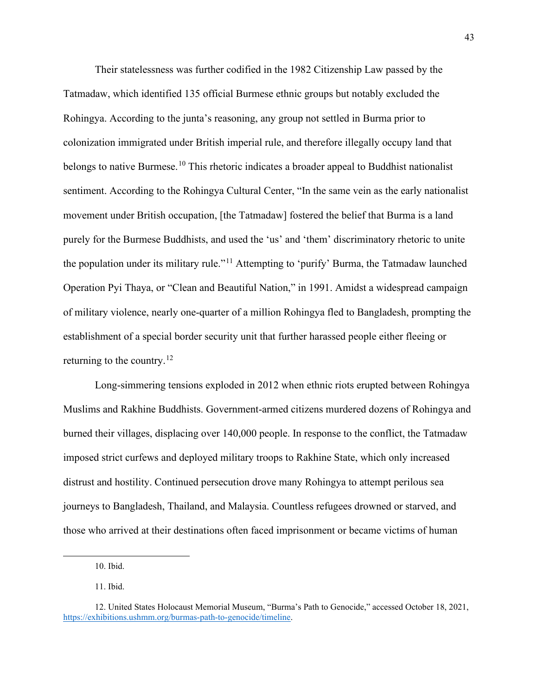Their statelessness was further codified in the 1982 Citizenship Law passed by the Tatmadaw, which identified 135 official Burmese ethnic groups but notably excluded the Rohingya. According to the junta's reasoning, any group not settled in Burma prior to colonization immigrated under British imperial rule, and therefore illegally occupy land that belongs to native Burmese.<sup>[10](#page-44-0)</sup> This rhetoric indicates a broader appeal to Buddhist nationalist sentiment. According to the Rohingya Cultural Center, "In the same vein as the early nationalist movement under British occupation, [the Tatmadaw] fostered the belief that Burma is a land purely for the Burmese Buddhists, and used the 'us' and 'them' discriminatory rhetoric to unite the population under its military rule."[11](#page-44-1) Attempting to 'purify' Burma, the Tatmadaw launched Operation Pyi Thaya, or "Clean and Beautiful Nation," in 1991. Amidst a widespread campaign of military violence, nearly one-quarter of a million Rohingya fled to Bangladesh, prompting the establishment of a special border security unit that further harassed people either fleeing or returning to the country.<sup>[12](#page-44-2)</sup>

Long-simmering tensions exploded in 2012 when ethnic riots erupted between Rohingya Muslims and Rakhine Buddhists. Government-armed citizens murdered dozens of Rohingya and burned their villages, displacing over 140,000 people. In response to the conflict, the Tatmadaw imposed strict curfews and deployed military troops to Rakhine State, which only increased distrust and hostility. Continued persecution drove many Rohingya to attempt perilous sea journeys to Bangladesh, Thailand, and Malaysia. Countless refugees drowned or starved, and those who arrived at their destinations often faced imprisonment or became victims of human

<sup>10.</sup> Ibid.

<sup>11.</sup> Ibid.

<span id="page-44-2"></span><span id="page-44-1"></span><span id="page-44-0"></span><sup>12.</sup> United States Holocaust Memorial Museum, "Burma's Path to Genocide," accessed October 18, 2021, [https://exhibitions.ushmm.org/burmas-path-to-genocide/timeline.](https://exhibitions.ushmm.org/burmas-path-to-genocide/timeline)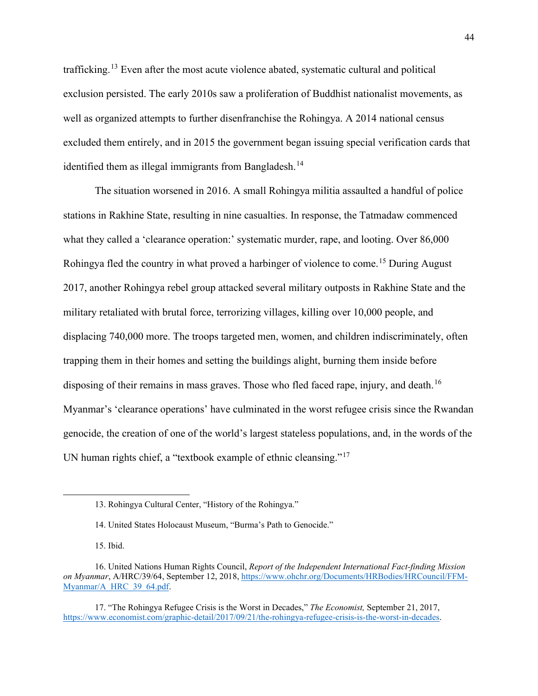trafficking.[13](#page-45-0) Even after the most acute violence abated, systematic cultural and political exclusion persisted. The early 2010s saw a proliferation of Buddhist nationalist movements, as well as organized attempts to further disenfranchise the Rohingya. A 2014 national census excluded them entirely, and in 2015 the government began issuing special verification cards that identified them as illegal immigrants from Bangladesh.<sup>14</sup>

The situation worsened in 2016. A small Rohingya militia assaulted a handful of police stations in Rakhine State, resulting in nine casualties. In response, the Tatmadaw commenced what they called a 'clearance operation:' systematic murder, rape, and looting. Over 86,000 Rohingya fled the country in what proved a harbinger of violence to come.<sup>15</sup> During August 2017, another Rohingya rebel group attacked several military outposts in Rakhine State and the military retaliated with brutal force, terrorizing villages, killing over 10,000 people, and displacing 740,000 more. The troops targeted men, women, and children indiscriminately, often trapping them in their homes and setting the buildings alight, burning them inside before disposing of their remains in mass graves. Those who fled faced rape, injury, and death.<sup>[16](#page-45-3)</sup> Myanmar's 'clearance operations' have culminated in the worst refugee crisis since the Rwandan genocide, the creation of one of the world's largest stateless populations, and, in the words of the UN human rights chief, a "textbook example of ethnic cleansing."<sup>[17](#page-45-4)</sup>

<sup>13.</sup> Rohingya Cultural Center, "History of the Rohingya."

<sup>14.</sup> United States Holocaust Museum, "Burma's Path to Genocide."

<sup>15.</sup> Ibid.

<span id="page-45-3"></span><span id="page-45-2"></span><span id="page-45-1"></span><span id="page-45-0"></span><sup>16.</sup> United Nations Human Rights Council, *Report of the Independent International Fact-finding Mission on Myanmar*, A/HRC/39/64, September 12, 2018, [https://www.ohchr.org/Documents/HRBodies/HRCouncil/FFM-](https://www.ohchr.org/Documents/HRBodies/HRCouncil/FFM-Myanmar/A_HRC_39_64.pdf)[Myanmar/A\\_HRC\\_39\\_64.pdf.](https://www.ohchr.org/Documents/HRBodies/HRCouncil/FFM-Myanmar/A_HRC_39_64.pdf) 

<span id="page-45-4"></span><sup>17. &</sup>quot;The Rohingya Refugee Crisis is the Worst in Decades," *The Economist,* September 21, 2017, [https://www.economist.com/graphic-detail/2017/09/21/the-rohingya-refugee-crisis-is-the-worst-in-decades.](https://www.economist.com/graphic-detail/2017/09/21/the-rohingya-refugee-crisis-is-the-worst-in-decades)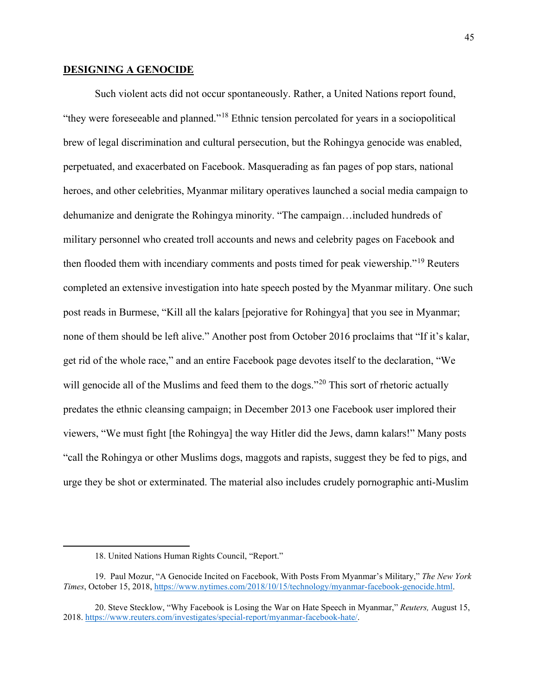#### **DESIGNING A GENOCIDE**

Such violent acts did not occur spontaneously. Rather, a United Nations report found, "they were foreseeable and planned."[18](#page-46-0) Ethnic tension percolated for years in a sociopolitical brew of legal discrimination and cultural persecution, but the Rohingya genocide was enabled, perpetuated, and exacerbated on Facebook. Masquerading as fan pages of pop stars, national heroes, and other celebrities, Myanmar military operatives launched a social media campaign to dehumanize and denigrate the Rohingya minority. "The campaign…included hundreds of military personnel who created troll accounts and news and celebrity pages on Facebook and then flooded them with incendiary comments and posts timed for peak viewership."<sup>[19](#page-46-1)</sup> Reuters completed an extensive investigation into hate speech posted by the Myanmar military. One such post reads in Burmese, "Kill all the kalars [pejorative for Rohingya] that you see in Myanmar; none of them should be left alive." Another post from October 2016 proclaims that "If it's kalar, get rid of the whole race," and an entire Facebook page devotes itself to the declaration, "We will genocide all of the Muslims and feed them to the dogs."<sup>[20](#page-46-2)</sup> This sort of rhetoric actually predates the ethnic cleansing campaign; in December 2013 one Facebook user implored their viewers, "We must fight [the Rohingya] the way Hitler did the Jews, damn kalars!" Many posts "call the Rohingya or other Muslims dogs, maggots and rapists, suggest they be fed to pigs, and urge they be shot or exterminated. The material also includes crudely pornographic anti-Muslim

<sup>18.</sup> United Nations Human Rights Council, "Report."

<span id="page-46-1"></span><span id="page-46-0"></span><sup>19.</sup> Paul Mozur, "A Genocide Incited on Facebook, With Posts From Myanmar's Military," *The New York Times*, October 15, 2018[, https://www.nytimes.com/2018/10/15/technology/myanmar-facebook-genocide.html.](https://www.nytimes.com/2018/10/15/technology/myanmar-facebook-genocide.html) 

<span id="page-46-2"></span><sup>20.</sup> Steve Stecklow, "Why Facebook is Losing the War on Hate Speech in Myanmar," *Reuters,* August 15, 2018. [https://www.reuters.com/investigates/special-report/myanmar-facebook-hate/.](https://www.reuters.com/investigates/special-report/myanmar-facebook-hate/)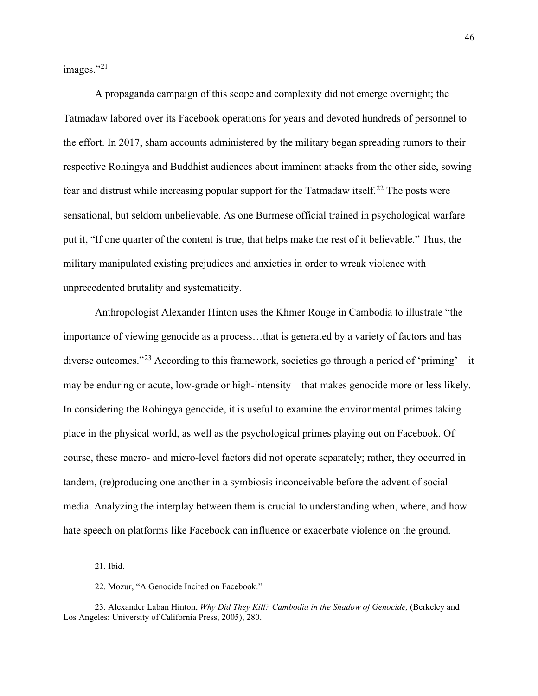images."<sup>[21](#page-47-0)</sup>

A propaganda campaign of this scope and complexity did not emerge overnight; the Tatmadaw labored over its Facebook operations for years and devoted hundreds of personnel to the effort. In 2017, sham accounts administered by the military began spreading rumors to their respective Rohingya and Buddhist audiences about imminent attacks from the other side, sowing fear and distrust while increasing popular support for the Tatmadaw itself.<sup>[22](#page-47-1)</sup> The posts were sensational, but seldom unbelievable. As one Burmese official trained in psychological warfare put it, "If one quarter of the content is true, that helps make the rest of it believable." Thus, the military manipulated existing prejudices and anxieties in order to wreak violence with unprecedented brutality and systematicity.

Anthropologist Alexander Hinton uses the Khmer Rouge in Cambodia to illustrate "the importance of viewing genocide as a process…that is generated by a variety of factors and has diverse outcomes."[23](#page-47-2) According to this framework, societies go through a period of 'priming'—it may be enduring or acute, low-grade or high-intensity—that makes genocide more or less likely. In considering the Rohingya genocide, it is useful to examine the environmental primes taking place in the physical world, as well as the psychological primes playing out on Facebook. Of course, these macro- and micro-level factors did not operate separately; rather, they occurred in tandem, (re)producing one another in a symbiosis inconceivable before the advent of social media. Analyzing the interplay between them is crucial to understanding when, where, and how hate speech on platforms like Facebook can influence or exacerbate violence on the ground.

<sup>21.</sup> Ibid.

<sup>22.</sup> Mozur, "A Genocide Incited on Facebook."

<span id="page-47-2"></span><span id="page-47-1"></span><span id="page-47-0"></span><sup>23.</sup> Alexander Laban Hinton, *Why Did They Kill? Cambodia in the Shadow of Genocide,* (Berkeley and Los Angeles: University of California Press, 2005), 280.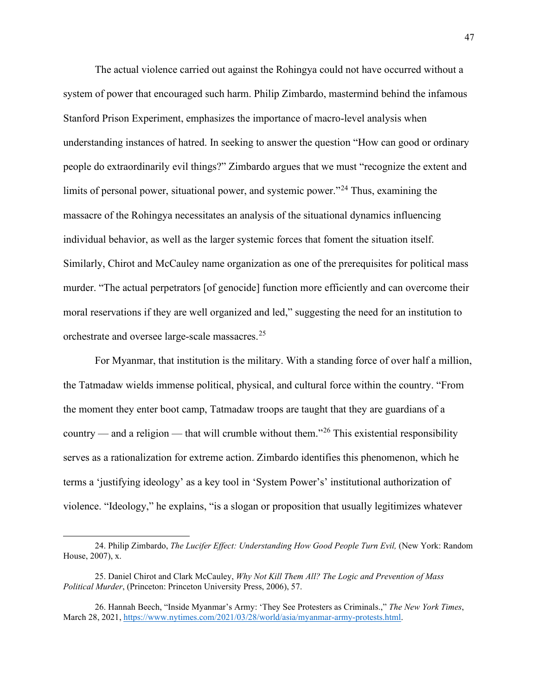The actual violence carried out against the Rohingya could not have occurred without a system of power that encouraged such harm. Philip Zimbardo, mastermind behind the infamous Stanford Prison Experiment, emphasizes the importance of macro-level analysis when understanding instances of hatred. In seeking to answer the question "How can good or ordinary people do extraordinarily evil things?" Zimbardo argues that we must "recognize the extent and limits of personal power, situational power, and systemic power."<sup>[24](#page-48-0)</sup> Thus, examining the massacre of the Rohingya necessitates an analysis of the situational dynamics influencing individual behavior, as well as the larger systemic forces that foment the situation itself. Similarly, Chirot and McCauley name organization as one of the prerequisites for political mass murder. "The actual perpetrators [of genocide] function more efficiently and can overcome their moral reservations if they are well organized and led," suggesting the need for an institution to orchestrate and oversee large-scale massacres.<sup>[25](#page-48-1)</sup>

For Myanmar, that institution is the military. With a standing force of over half a million, the Tatmadaw wields immense political, physical, and cultural force within the country. "From the moment they enter boot camp, Tatmadaw troops are taught that they are guardians of a country — and a religion — that will crumble without them.<sup> $26$ </sup> This existential responsibility serves as a rationalization for extreme action. Zimbardo identifies this phenomenon, which he terms a 'justifying ideology' as a key tool in 'System Power's' institutional authorization of violence. "Ideology," he explains, "is a slogan or proposition that usually legitimizes whatever

<span id="page-48-0"></span><sup>24.</sup> Philip Zimbardo, *The Lucifer Effect: Understanding How Good People Turn Evil*, (New York: Random House, 2007), x.

<span id="page-48-1"></span><sup>25.</sup> Daniel Chirot and Clark McCauley, *Why Not Kill Them All? The Logic and Prevention of Mass Political Murder*, (Princeton: Princeton University Press, 2006), 57.

<span id="page-48-2"></span><sup>26.</sup> Hannah Beech, "Inside Myanmar's Army: 'They See Protesters as Criminals.," *The New York Times*, March 28, 2021[, https://www.nytimes.com/2021/03/28/world/asia/myanmar-army-protests.html.](https://www.nytimes.com/2021/03/28/world/asia/myanmar-army-protests.html)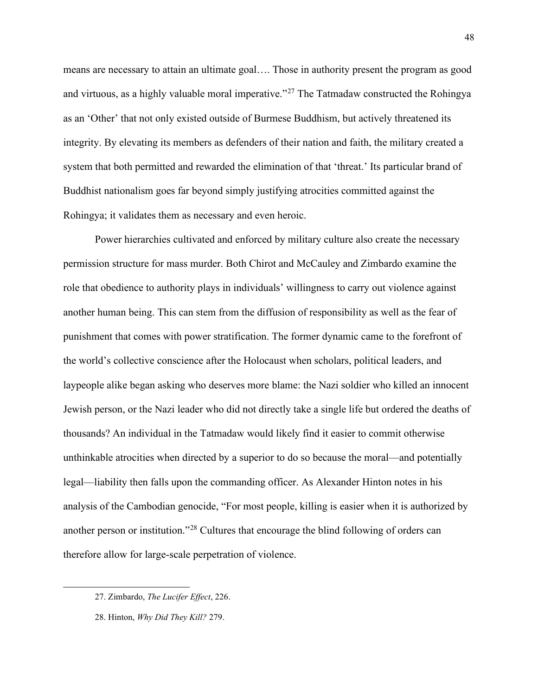means are necessary to attain an ultimate goal…. Those in authority present the program as good and virtuous, as a highly valuable moral imperative."<sup>[27](#page-49-0)</sup> The Tatmadaw constructed the Rohingya as an 'Other' that not only existed outside of Burmese Buddhism, but actively threatened its integrity. By elevating its members as defenders of their nation and faith, the military created a system that both permitted and rewarded the elimination of that 'threat.' Its particular brand of Buddhist nationalism goes far beyond simply justifying atrocities committed against the Rohingya; it validates them as necessary and even heroic.

Power hierarchies cultivated and enforced by military culture also create the necessary permission structure for mass murder. Both Chirot and McCauley and Zimbardo examine the role that obedience to authority plays in individuals' willingness to carry out violence against another human being. This can stem from the diffusion of responsibility as well as the fear of punishment that comes with power stratification. The former dynamic came to the forefront of the world's collective conscience after the Holocaust when scholars, political leaders, and laypeople alike began asking who deserves more blame: the Nazi soldier who killed an innocent Jewish person, or the Nazi leader who did not directly take a single life but ordered the deaths of thousands? An individual in the Tatmadaw would likely find it easier to commit otherwise unthinkable atrocities when directed by a superior to do so because the moral—and potentially legal—liability then falls upon the commanding officer. As Alexander Hinton notes in his analysis of the Cambodian genocide, "For most people, killing is easier when it is authorized by another person or institution."[28](#page-49-1) Cultures that encourage the blind following of orders can therefore allow for large-scale perpetration of violence.

<span id="page-49-1"></span>28. Hinton, *Why Did They Kill?* 279.

48

<span id="page-49-0"></span><sup>27.</sup> Zimbardo, *The Lucifer Effect*, 226.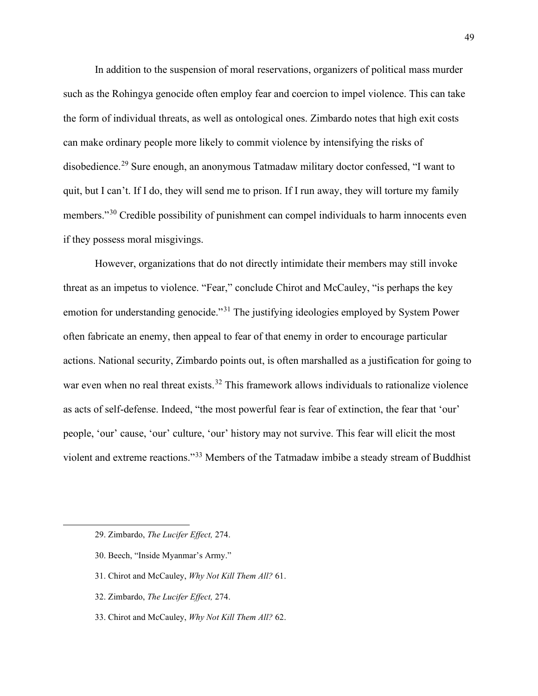In addition to the suspension of moral reservations, organizers of political mass murder such as the Rohingya genocide often employ fear and coercion to impel violence. This can take the form of individual threats, as well as ontological ones. Zimbardo notes that high exit costs can make ordinary people more likely to commit violence by intensifying the risks of disobedience.<sup>[29](#page-50-0)</sup> Sure enough, an anonymous Tatmadaw military doctor confessed, "I want to quit, but I can't. If I do, they will send me to prison. If I run away, they will torture my family members."<sup>[30](#page-50-1)</sup> Credible possibility of punishment can compel individuals to harm innocents even if they possess moral misgivings.

However, organizations that do not directly intimidate their members may still invoke threat as an impetus to violence. "Fear," conclude Chirot and McCauley, "is perhaps the key emotion for understanding genocide."<sup>[31](#page-50-2)</sup> The justifying ideologies employed by System Power often fabricate an enemy, then appeal to fear of that enemy in order to encourage particular actions. National security, Zimbardo points out, is often marshalled as a justification for going to war even when no real threat exists.<sup>[32](#page-50-3)</sup> This framework allows individuals to rationalize violence as acts of self-defense. Indeed, "the most powerful fear is fear of extinction, the fear that 'our' people, 'our' cause, 'our' culture, 'our' history may not survive. This fear will elicit the most violent and extreme reactions."[33](#page-50-4) Members of the Tatmadaw imbibe a steady stream of Buddhist

- <span id="page-50-1"></span>30. Beech, "Inside Myanmar's Army."
- <span id="page-50-2"></span>31. Chirot and McCauley, *Why Not Kill Them All?* 61.
- <span id="page-50-3"></span>32. Zimbardo, *The Lucifer Effect,* 274.
- <span id="page-50-4"></span>33. Chirot and McCauley, *Why Not Kill Them All?* 62.

<span id="page-50-0"></span><sup>29.</sup> Zimbardo, *The Lucifer Effect,* 274.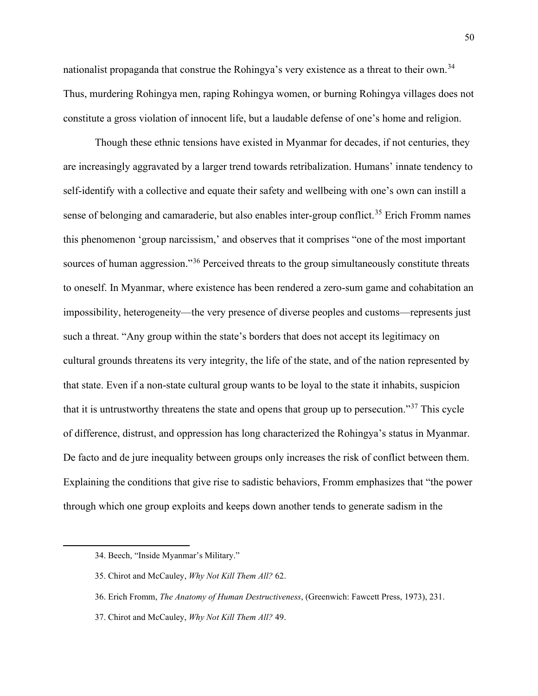nationalist propaganda that construe the Rohingya's very existence as a threat to their own.<sup>[34](#page-51-0)</sup> Thus, murdering Rohingya men, raping Rohingya women, or burning Rohingya villages does not constitute a gross violation of innocent life, but a laudable defense of one's home and religion.

Though these ethnic tensions have existed in Myanmar for decades, if not centuries, they are increasingly aggravated by a larger trend towards retribalization. Humans' innate tendency to self-identify with a collective and equate their safety and wellbeing with one's own can instill a sense of belonging and camaraderie, but also enables inter-group conflict.<sup>[35](#page-51-1)</sup> Erich Fromm names this phenomenon 'group narcissism,' and observes that it comprises "one of the most important sources of human aggression."<sup>[36](#page-51-2)</sup> Perceived threats to the group simultaneously constitute threats to oneself. In Myanmar, where existence has been rendered a zero-sum game and cohabitation an impossibility, heterogeneity—the very presence of diverse peoples and customs—represents just such a threat. "Any group within the state's borders that does not accept its legitimacy on cultural grounds threatens its very integrity, the life of the state, and of the nation represented by that state. Even if a non-state cultural group wants to be loyal to the state it inhabits, suspicion that it is untrustworthy threatens the state and opens that group up to persecution."[37](#page-51-3) This cycle of difference, distrust, and oppression has long characterized the Rohingya's status in Myanmar. De facto and de jure inequality between groups only increases the risk of conflict between them. Explaining the conditions that give rise to sadistic behaviors, Fromm emphasizes that "the power through which one group exploits and keeps down another tends to generate sadism in the

- <span id="page-51-2"></span>36. Erich Fromm, *The Anatomy of Human Destructiveness*, (Greenwich: Fawcett Press, 1973), 231.
- <span id="page-51-3"></span>37. Chirot and McCauley, *Why Not Kill Them All?* 49.

<span id="page-51-0"></span><sup>34.</sup> Beech, "Inside Myanmar's Military."

<span id="page-51-1"></span><sup>35.</sup> Chirot and McCauley, *Why Not Kill Them All?* 62.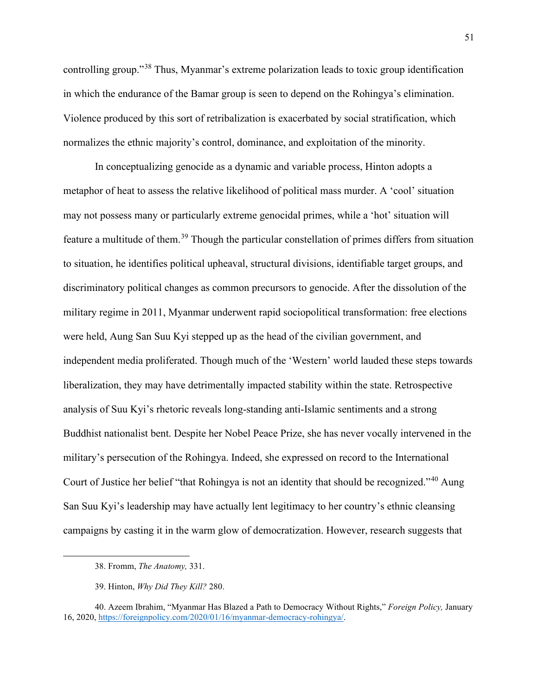controlling group."[38](#page-52-0) Thus, Myanmar's extreme polarization leads to toxic group identification in which the endurance of the Bamar group is seen to depend on the Rohingya's elimination. Violence produced by this sort of retribalization is exacerbated by social stratification, which normalizes the ethnic majority's control, dominance, and exploitation of the minority.

In conceptualizing genocide as a dynamic and variable process, Hinton adopts a metaphor of heat to assess the relative likelihood of political mass murder. A 'cool' situation may not possess many or particularly extreme genocidal primes, while a 'hot' situation will feature a multitude of them.[39](#page-52-1) Though the particular constellation of primes differs from situation to situation, he identifies political upheaval, structural divisions, identifiable target groups, and discriminatory political changes as common precursors to genocide. After the dissolution of the military regime in 2011, Myanmar underwent rapid sociopolitical transformation: free elections were held, Aung San Suu Kyi stepped up as the head of the civilian government, and independent media proliferated. Though much of the 'Western' world lauded these steps towards liberalization, they may have detrimentally impacted stability within the state. Retrospective analysis of Suu Kyi's rhetoric reveals long-standing anti-Islamic sentiments and a strong Buddhist nationalist bent. Despite her Nobel Peace Prize, she has never vocally intervened in the military's persecution of the Rohingya. Indeed, she expressed on record to the International Court of Justice her belief "that Rohingya is not an identity that should be recognized."[40](#page-52-2) Aung San Suu Kyi's leadership may have actually lent legitimacy to her country's ethnic cleansing campaigns by casting it in the warm glow of democratization. However, research suggests that

<sup>38.</sup> Fromm, *The Anatomy,* 331.

<sup>39.</sup> Hinton, *Why Did They Kill?* 280.

<span id="page-52-2"></span><span id="page-52-1"></span><span id="page-52-0"></span><sup>40.</sup> Azeem Ibrahim, "Myanmar Has Blazed a Path to Democracy Without Rights," *Foreign Policy,* January 16, 2020, [https://foreignpolicy.com/2020/01/16/myanmar-democracy-rohingya/.](https://foreignpolicy.com/2020/01/16/myanmar-democracy-rohingya/)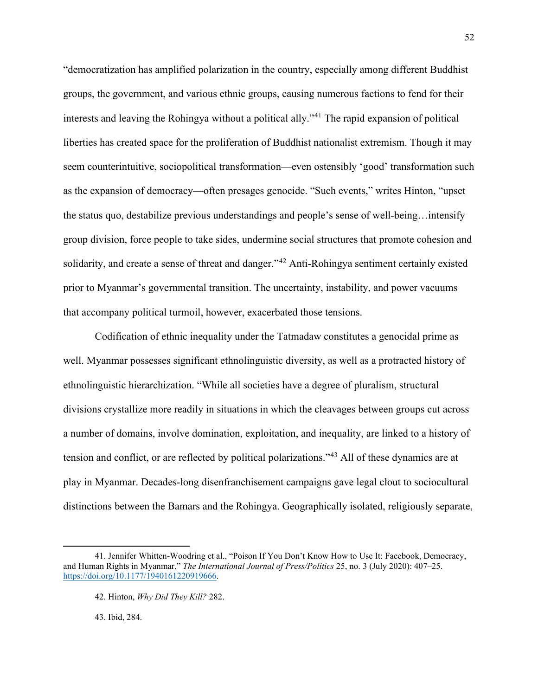"democratization has amplified polarization in the country, especially among different Buddhist groups, the government, and various ethnic groups, causing numerous factions to fend for their interests and leaving the Rohingya without a political ally."[41](#page-53-0) The rapid expansion of political liberties has created space for the proliferation of Buddhist nationalist extremism. Though it may seem counterintuitive, sociopolitical transformation—even ostensibly 'good' transformation such as the expansion of democracy—often presages genocide. "Such events," writes Hinton, "upset the status quo, destabilize previous understandings and people's sense of well-being…intensify group division, force people to take sides, undermine social structures that promote cohesion and solidarity, and create a sense of threat and danger.<sup>3[42](#page-53-1)</sup> Anti-Rohingya sentiment certainly existed prior to Myanmar's governmental transition. The uncertainty, instability, and power vacuums that accompany political turmoil, however, exacerbated those tensions.

Codification of ethnic inequality under the Tatmadaw constitutes a genocidal prime as well. Myanmar possesses significant ethnolinguistic diversity, as well as a protracted history of ethnolinguistic hierarchization. "While all societies have a degree of pluralism, structural divisions crystallize more readily in situations in which the cleavages between groups cut across a number of domains, involve domination, exploitation, and inequality, are linked to a history of tension and conflict, or are reflected by political polarizations."[43](#page-53-2) All of these dynamics are at play in Myanmar. Decades-long disenfranchisement campaigns gave legal clout to sociocultural distinctions between the Bamars and the Rohingya. Geographically isolated, religiously separate,

43. Ibid, 284.

<span id="page-53-2"></span><span id="page-53-1"></span><span id="page-53-0"></span><sup>41.</sup> Jennifer Whitten-Woodring et al., "Poison If You Don't Know How to Use It: Facebook, Democracy, and Human Rights in Myanmar," *The International Journal of Press/Politics* 25, no. 3 (July 2020): 407–25. [https://doi.org/10.1177/1940161220919666.](https://doi.org/10.1177/1940161220919666) 

<sup>42.</sup> Hinton, *Why Did They Kill?* 282.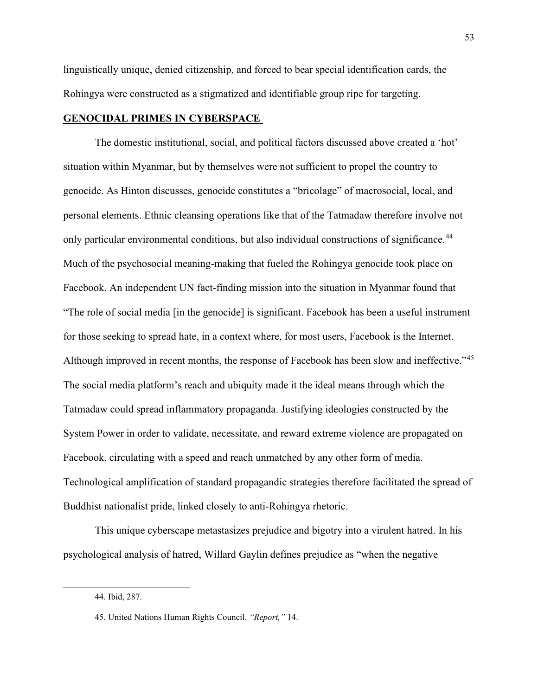linguistically unique, denied citizenship, and forced to bear special identification cards, the Rohingya were constructed as a stigmatized and identifiable group ripe for targeting.

## **GENOCIDAL PRIMES IN CYBERSPACE**

The domestic institutional, social, and political factors discussed above created a 'hot' situation within Myanmar, but by themselves were not sufficient to propel the country to genocide. As Hinton discusses, genocide constitutes a "bricolage" of macrosocial, local, and personal elements. Ethnic cleansing operations like that of the Tatmadaw therefore involve not only particular environmental conditions, but also individual constructions of significance.<sup>[44](#page-54-0)</sup> Much of the psychosocial meaning-making that fueled the Rohingya genocide took place on Facebook. An independent UN fact-finding mission into the situation in Myanmar found that "The role of social media [in the genocide] is significant. Facebook has been a useful instrument for those seeking to spread hate, in a context where, for most users, Facebook is the Internet. Although improved in recent months, the response of Facebook has been slow and ineffective."[45](#page-54-1) The social media platform's reach and ubiquity made it the ideal means through which the Tatmadaw could spread inflammatory propaganda. Justifying ideologies constructed by the System Power in order to validate, necessitate, and reward extreme violence are propagated on Facebook, circulating with a speed and reach unmatched by any other form of media. Technological amplification of standard propagandic strategies therefore facilitated the spread of Buddhist nationalist pride, linked closely to anti-Rohingya rhetoric.

<span id="page-54-0"></span>This unique cyberscape metastasizes prejudice and bigotry into a virulent hatred. In his psychological analysis of hatred, Willard Gaylin defines prejudice as "when the negative

<sup>44.</sup> Ibid, 287.

<span id="page-54-1"></span><sup>45.</sup> United Nations Human Rights Council. *"Report,"* 14.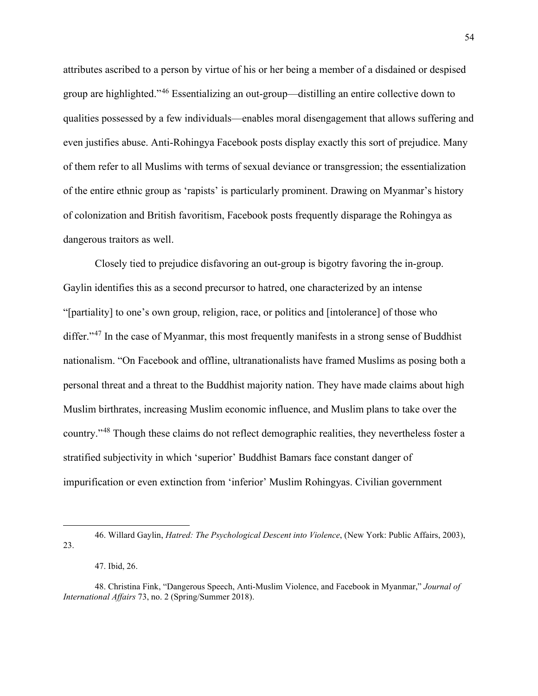attributes ascribed to a person by virtue of his or her being a member of a disdained or despised group are highlighted."[46](#page-55-0) Essentializing an out-group—distilling an entire collective down to qualities possessed by a few individuals—enables moral disengagement that allows suffering and even justifies abuse. Anti-Rohingya Facebook posts display exactly this sort of prejudice. Many of them refer to all Muslims with terms of sexual deviance or transgression; the essentialization of the entire ethnic group as 'rapists' is particularly prominent. Drawing on Myanmar's history of colonization and British favoritism, Facebook posts frequently disparage the Rohingya as dangerous traitors as well.

Closely tied to prejudice disfavoring an out-group is bigotry favoring the in-group. Gaylin identifies this as a second precursor to hatred, one characterized by an intense "[partiality] to one's own group, religion, race, or politics and [intolerance] of those who differ."<sup>[47](#page-55-1)</sup> In the case of Myanmar, this most frequently manifests in a strong sense of Buddhist nationalism. "On Facebook and offline, ultranationalists have framed Muslims as posing both a personal threat and a threat to the Buddhist majority nation. They have made claims about high Muslim birthrates, increasing Muslim economic influence, and Muslim plans to take over the country."[48](#page-55-2) Though these claims do not reflect demographic realities, they nevertheless foster a stratified subjectivity in which 'superior' Buddhist Bamars face constant danger of impurification or even extinction from 'inferior' Muslim Rohingyas. Civilian government

<span id="page-55-0"></span><sup>46.</sup> Willard Gaylin, *Hatred: The Psychological Descent into Violence*, (New York: Public Affairs, 2003), 23.

<sup>47.</sup> Ibid, 26.

<span id="page-55-2"></span><span id="page-55-1"></span><sup>48.</sup> Christina Fink, "Dangerous Speech, Anti-Muslim Violence, and Facebook in Myanmar," *Journal of International Affairs* 73, no. 2 (Spring/Summer 2018).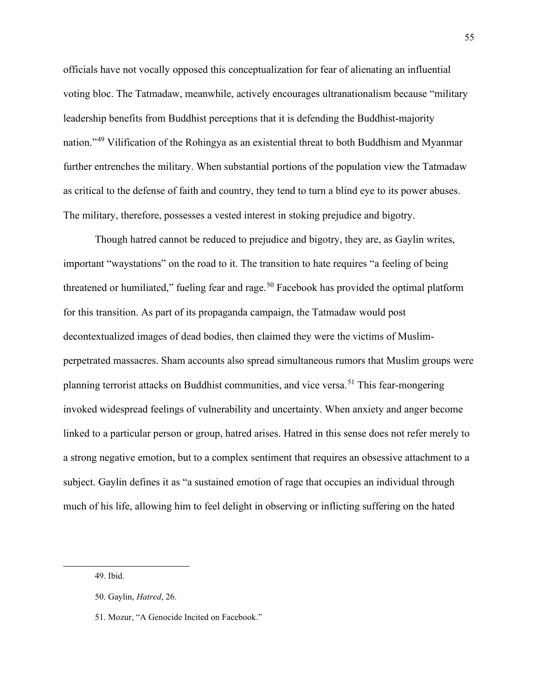officials have not vocally opposed this conceptualization for fear of alienating an influential voting bloc. The Tatmadaw, meanwhile, actively encourages ultranationalism because "military leadership benefits from Buddhist perceptions that it is defending the Buddhist-majority nation."[49](#page-56-0) Vilification of the Rohingya as an existential threat to both Buddhism and Myanmar further entrenches the military. When substantial portions of the population view the Tatmadaw as critical to the defense of faith and country, they tend to turn a blind eye to its power abuses. The military, therefore, possesses a vested interest in stoking prejudice and bigotry.

Though hatred cannot be reduced to prejudice and bigotry, they are, as Gaylin writes, important "waystations" on the road to it. The transition to hate requires "a feeling of being threatened or humiliated," fueling fear and rage.<sup>[50](#page-56-1)</sup> Facebook has provided the optimal platform for this transition. As part of its propaganda campaign, the Tatmadaw would post decontextualized images of dead bodies, then claimed they were the victims of Muslimperpetrated massacres. Sham accounts also spread simultaneous rumors that Muslim groups were planning terrorist attacks on Buddhist communities, and vice versa.<sup>[51](#page-56-2)</sup> This fear-mongering invoked widespread feelings of vulnerability and uncertainty. When anxiety and anger become linked to a particular person or group, hatred arises. Hatred in this sense does not refer merely to a strong negative emotion, but to a complex sentiment that requires an obsessive attachment to a subject. Gaylin defines it as "a sustained emotion of rage that occupies an individual through much of his life, allowing him to feel delight in observing or inflicting suffering on the hated

<span id="page-56-0"></span>49. Ibid.

<span id="page-56-1"></span><sup>50.</sup> Gaylin, *Hatred*, 26.

<span id="page-56-2"></span><sup>51.</sup> Mozur, "A Genocide Incited on Facebook."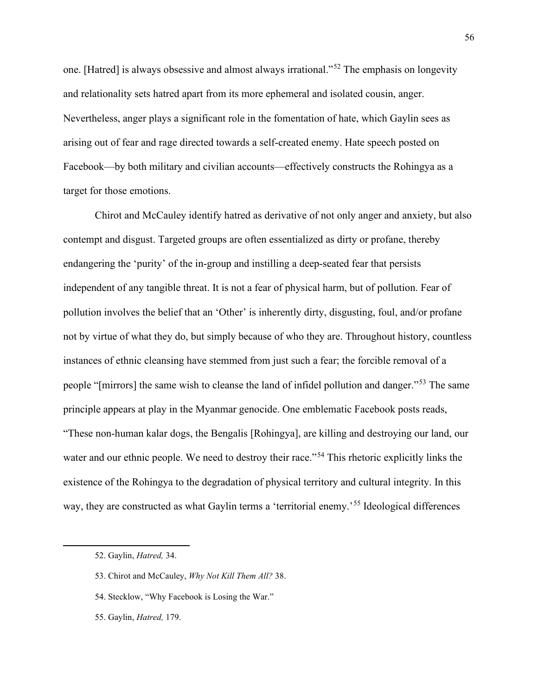one. [Hatred] is always obsessive and almost always irrational."[52](#page-57-0) The emphasis on longevity and relationality sets hatred apart from its more ephemeral and isolated cousin, anger. Nevertheless, anger plays a significant role in the fomentation of hate, which Gaylin sees as arising out of fear and rage directed towards a self-created enemy. Hate speech posted on Facebook—by both military and civilian accounts—effectively constructs the Rohingya as a target for those emotions.

Chirot and McCauley identify hatred as derivative of not only anger and anxiety, but also contempt and disgust. Targeted groups are often essentialized as dirty or profane, thereby endangering the 'purity' of the in-group and instilling a deep-seated fear that persists independent of any tangible threat. It is not a fear of physical harm, but of pollution. Fear of pollution involves the belief that an 'Other' is inherently dirty, disgusting, foul, and/or profane not by virtue of what they do, but simply because of who they are. Throughout history, countless instances of ethnic cleansing have stemmed from just such a fear; the forcible removal of a people "[mirrors] the same wish to cleanse the land of infidel pollution and danger."[53](#page-57-1) The same principle appears at play in the Myanmar genocide. One emblematic Facebook posts reads, "These non-human kalar dogs, the Bengalis [Rohingya], are killing and destroying our land, our water and our ethnic people. We need to destroy their race."<sup>[54](#page-57-2)</sup> This rhetoric explicitly links the existence of the Rohingya to the degradation of physical territory and cultural integrity. In this way, they are constructed as what Gaylin terms a 'territorial enemy.<sup>[55](#page-57-3)</sup> Ideological differences

<span id="page-57-0"></span><sup>52.</sup> Gaylin, *Hatred,* 34.

<span id="page-57-1"></span><sup>53.</sup> Chirot and McCauley, *Why Not Kill Them All?* 38.

<span id="page-57-2"></span><sup>54.</sup> Stecklow, "Why Facebook is Losing the War."

<span id="page-57-3"></span><sup>55.</sup> Gaylin, *Hatred,* 179.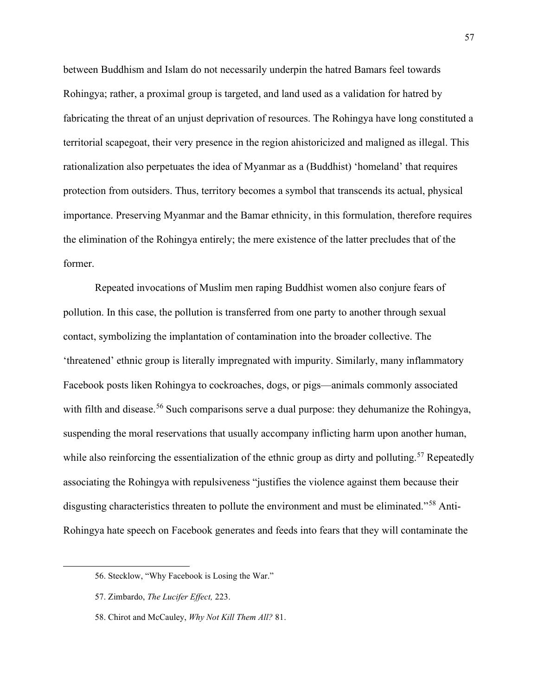between Buddhism and Islam do not necessarily underpin the hatred Bamars feel towards Rohingya; rather, a proximal group is targeted, and land used as a validation for hatred by fabricating the threat of an unjust deprivation of resources. The Rohingya have long constituted a territorial scapegoat, their very presence in the region ahistoricized and maligned as illegal. This rationalization also perpetuates the idea of Myanmar as a (Buddhist) 'homeland' that requires protection from outsiders. Thus, territory becomes a symbol that transcends its actual, physical importance. Preserving Myanmar and the Bamar ethnicity, in this formulation, therefore requires the elimination of the Rohingya entirely; the mere existence of the latter precludes that of the former.

Repeated invocations of Muslim men raping Buddhist women also conjure fears of pollution. In this case, the pollution is transferred from one party to another through sexual contact, symbolizing the implantation of contamination into the broader collective. The 'threatened' ethnic group is literally impregnated with impurity. Similarly, many inflammatory Facebook posts liken Rohingya to cockroaches, dogs, or pigs—animals commonly associated with filth and disease.<sup>[56](#page-58-0)</sup> Such comparisons serve a dual purpose: they dehumanize the Rohingya, suspending the moral reservations that usually accompany inflicting harm upon another human, while also reinforcing the essentialization of the ethnic group as dirty and polluting.<sup>[57](#page-58-1)</sup> Repeatedly associating the Rohingya with repulsiveness "justifies the violence against them because their disgusting characteristics threaten to pollute the environment and must be eliminated."<sup>[58](#page-58-2)</sup> Anti-Rohingya hate speech on Facebook generates and feeds into fears that they will contaminate the

<span id="page-58-0"></span><sup>56.</sup> Stecklow, "Why Facebook is Losing the War."

<span id="page-58-1"></span><sup>57.</sup> Zimbardo, *The Lucifer Effect,* 223.

<span id="page-58-2"></span><sup>58.</sup> Chirot and McCauley, *Why Not Kill Them All?* 81.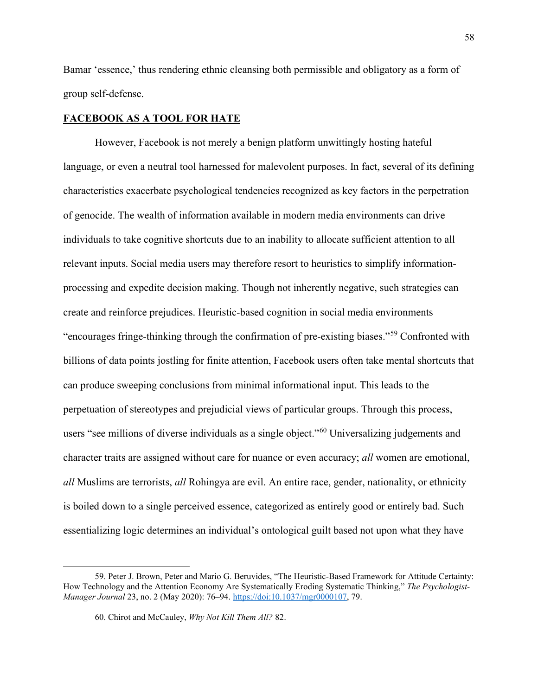Bamar 'essence,' thus rendering ethnic cleansing both permissible and obligatory as a form of group self-defense.

## **FACEBOOK AS A TOOL FOR HATE**

However, Facebook is not merely a benign platform unwittingly hosting hateful language, or even a neutral tool harnessed for malevolent purposes. In fact, several of its defining characteristics exacerbate psychological tendencies recognized as key factors in the perpetration of genocide. The wealth of information available in modern media environments can drive individuals to take cognitive shortcuts due to an inability to allocate sufficient attention to all relevant inputs. Social media users may therefore resort to heuristics to simplify informationprocessing and expedite decision making. Though not inherently negative, such strategies can create and reinforce prejudices. Heuristic-based cognition in social media environments "encourages fringe-thinking through the confirmation of pre-existing biases."[59](#page-59-0) Confronted with billions of data points jostling for finite attention, Facebook users often take mental shortcuts that can produce sweeping conclusions from minimal informational input. This leads to the perpetuation of stereotypes and prejudicial views of particular groups. Through this process, users "see millions of diverse individuals as a single object."<sup>[60](#page-59-1)</sup> Universalizing judgements and character traits are assigned without care for nuance or even accuracy; *all* women are emotional, *all* Muslims are terrorists, *all* Rohingya are evil. An entire race, gender, nationality, or ethnicity is boiled down to a single perceived essence, categorized as entirely good or entirely bad. Such essentializing logic determines an individual's ontological guilt based not upon what they have

<span id="page-59-1"></span><span id="page-59-0"></span><sup>59.</sup> Peter J. Brown, Peter and Mario G. Beruvides, "The Heuristic-Based Framework for Attitude Certainty: How Technology and the Attention Economy Are Systematically Eroding Systematic Thinking," *The Psychologist-Manager Journal* 23, no. 2 (May 2020): 76–94. [https://doi:10.1037/mgr0000107,](about:blank) 79.

<sup>60.</sup> Chirot and McCauley, *Why Not Kill Them All?* 82.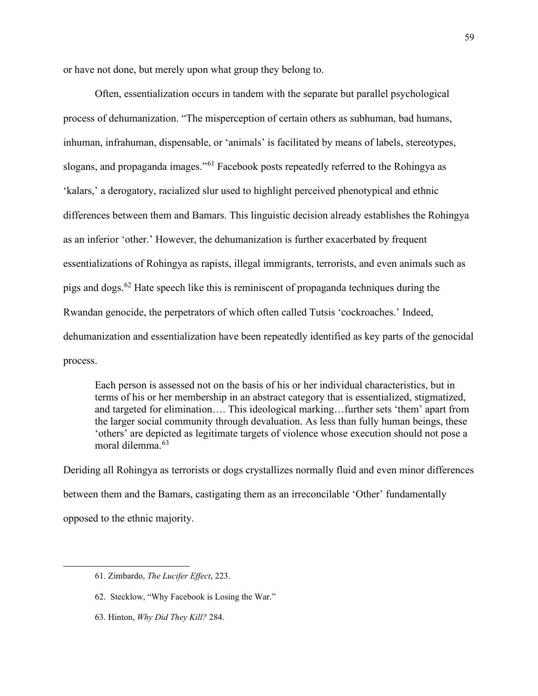or have not done, but merely upon what group they belong to.

Often, essentialization occurs in tandem with the separate but parallel psychological process of dehumanization. "The misperception of certain others as subhuman, bad humans, inhuman, infrahuman, dispensable, or 'animals' is facilitated by means of labels, stereotypes, slogans, and propaganda images."<sup>[61](#page-60-0)</sup> Facebook posts repeatedly referred to the Rohingya as 'kalars,' a derogatory, racialized slur used to highlight perceived phenotypical and ethnic differences between them and Bamars. This linguistic decision already establishes the Rohingya as an inferior 'other.' However, the dehumanization is further exacerbated by frequent essentializations of Rohingya as rapists, illegal immigrants, terrorists, and even animals such as pigs and dogs.[62](#page-60-1) Hate speech like this is reminiscent of propaganda techniques during the Rwandan genocide, the perpetrators of which often called Tutsis 'cockroaches.' Indeed, dehumanization and essentialization have been repeatedly identified as key parts of the genocidal process.

Each person is assessed not on the basis of his or her individual characteristics, but in terms of his or her membership in an abstract category that is essentialized, stigmatized, and targeted for elimination…. This ideological marking…further sets 'them' apart from the larger social community through devaluation. As less than fully human beings, these 'others' are depicted as legitimate targets of violence whose execution should not pose a moral dilemma.<sup>[63](#page-60-2)</sup>

Deriding all Rohingya as terrorists or dogs crystallizes normally fluid and even minor differences between them and the Bamars, castigating them as an irreconcilable 'Other' fundamentally opposed to the ethnic majority.

<span id="page-60-0"></span><sup>61.</sup> Zimbardo, *The Lucifer Effect*, 223.

<span id="page-60-1"></span><sup>62.</sup> Stecklow, "Why Facebook is Losing the War."

<span id="page-60-2"></span><sup>63.</sup> Hinton, *Why Did They Kill?* 284.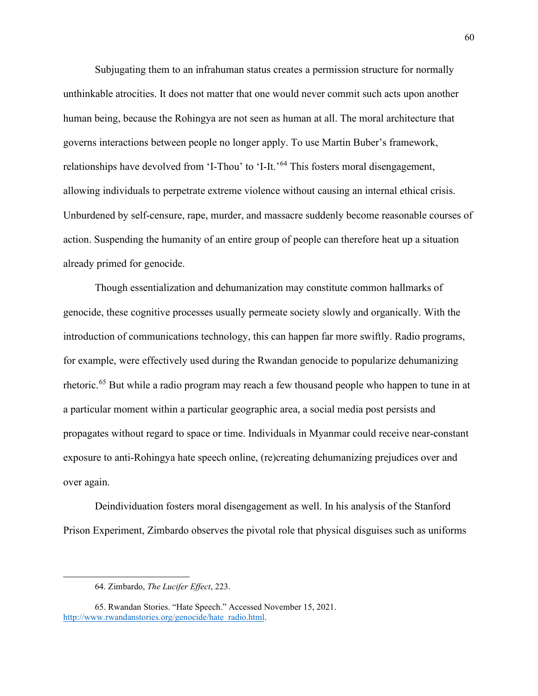Subjugating them to an infrahuman status creates a permission structure for normally unthinkable atrocities. It does not matter that one would never commit such acts upon another human being, because the Rohingya are not seen as human at all. The moral architecture that governs interactions between people no longer apply. To use Martin Buber's framework, relationships have devolved from 'I-Thou' to 'I-It.'<sup>[64](#page-61-0)</sup> This fosters moral disengagement, allowing individuals to perpetrate extreme violence without causing an internal ethical crisis. Unburdened by self-censure, rape, murder, and massacre suddenly become reasonable courses of action. Suspending the humanity of an entire group of people can therefore heat up a situation already primed for genocide.

Though essentialization and dehumanization may constitute common hallmarks of genocide, these cognitive processes usually permeate society slowly and organically. With the introduction of communications technology, this can happen far more swiftly. Radio programs, for example, were effectively used during the Rwandan genocide to popularize dehumanizing rhetoric.<sup>65</sup> But while a radio program may reach a few thousand people who happen to tune in at a particular moment within a particular geographic area, a social media post persists and propagates without regard to space or time. Individuals in Myanmar could receive near-constant exposure to anti-Rohingya hate speech online, (re)creating dehumanizing prejudices over and over again.

Deindividuation fosters moral disengagement as well. In his analysis of the Stanford Prison Experiment, Zimbardo observes the pivotal role that physical disguises such as uniforms

<sup>64.</sup> Zimbardo, *The Lucifer Effect*, 223.

<span id="page-61-1"></span><span id="page-61-0"></span><sup>65.</sup> Rwandan Stories. "Hate Speech." Accessed November 15, 2021. [http://www.rwandanstories.org/genocide/hate\\_radio.html.](http://www.rwandanstories.org/genocide/hate_radio.html)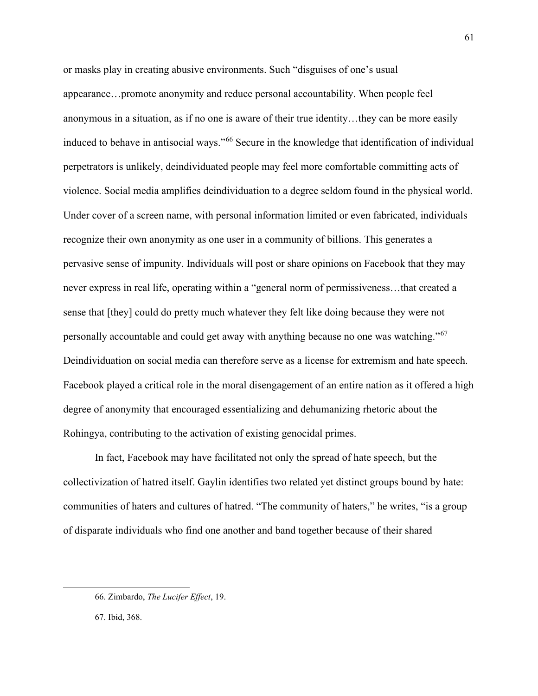or masks play in creating abusive environments. Such "disguises of one's usual appearance…promote anonymity and reduce personal accountability. When people feel anonymous in a situation, as if no one is aware of their true identity…they can be more easily induced to behave in antisocial ways."[66](#page-62-0) Secure in the knowledge that identification of individual perpetrators is unlikely, deindividuated people may feel more comfortable committing acts of violence. Social media amplifies deindividuation to a degree seldom found in the physical world. Under cover of a screen name, with personal information limited or even fabricated, individuals recognize their own anonymity as one user in a community of billions. This generates a pervasive sense of impunity. Individuals will post or share opinions on Facebook that they may never express in real life, operating within a "general norm of permissiveness…that created a sense that [they] could do pretty much whatever they felt like doing because they were not personally accountable and could get away with anything because no one was watching."<sup>[67](#page-62-1)</sup> Deindividuation on social media can therefore serve as a license for extremism and hate speech. Facebook played a critical role in the moral disengagement of an entire nation as it offered a high degree of anonymity that encouraged essentializing and dehumanizing rhetoric about the Rohingya, contributing to the activation of existing genocidal primes.

In fact, Facebook may have facilitated not only the spread of hate speech, but the collectivization of hatred itself. Gaylin identifies two related yet distinct groups bound by hate: communities of haters and cultures of hatred. "The community of haters," he writes, "is a group of disparate individuals who find one another and band together because of their shared

<span id="page-62-0"></span><sup>66.</sup> Zimbardo, *The Lucifer Effect*, 19.

<span id="page-62-1"></span><sup>67.</sup> Ibid, 368.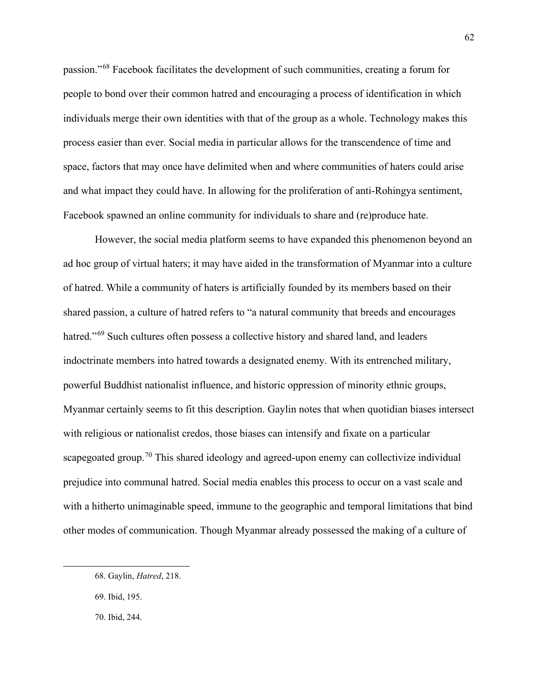passion."[68](#page-63-0) Facebook facilitates the development of such communities, creating a forum for people to bond over their common hatred and encouraging a process of identification in which individuals merge their own identities with that of the group as a whole. Technology makes this process easier than ever. Social media in particular allows for the transcendence of time and space, factors that may once have delimited when and where communities of haters could arise and what impact they could have. In allowing for the proliferation of anti-Rohingya sentiment, Facebook spawned an online community for individuals to share and (re)produce hate.

However, the social media platform seems to have expanded this phenomenon beyond an ad hoc group of virtual haters; it may have aided in the transformation of Myanmar into a culture of hatred. While a community of haters is artificially founded by its members based on their shared passion, a culture of hatred refers to "a natural community that breeds and encourages hatred."<sup>[69](#page-63-1)</sup> Such cultures often possess a collective history and shared land, and leaders indoctrinate members into hatred towards a designated enemy. With its entrenched military, powerful Buddhist nationalist influence, and historic oppression of minority ethnic groups, Myanmar certainly seems to fit this description. Gaylin notes that when quotidian biases intersect with religious or nationalist credos, those biases can intensify and fixate on a particular scapegoated group.<sup>[70](#page-63-2)</sup> This shared ideology and agreed-upon enemy can collectivize individual prejudice into communal hatred. Social media enables this process to occur on a vast scale and with a hitherto unimaginable speed, immune to the geographic and temporal limitations that bind other modes of communication. Though Myanmar already possessed the making of a culture of

<span id="page-63-0"></span><sup>68.</sup> Gaylin, *Hatred*, 218.

<span id="page-63-1"></span><sup>69.</sup> Ibid, 195.

<span id="page-63-2"></span><sup>70.</sup> Ibid, 244.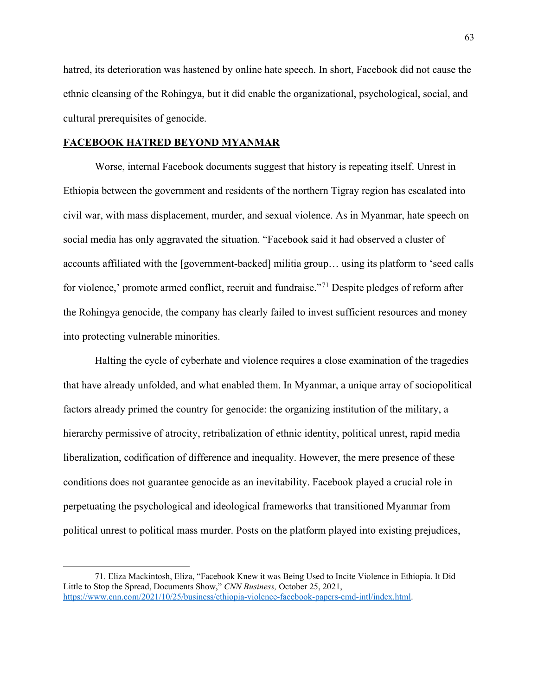hatred, its deterioration was hastened by online hate speech. In short, Facebook did not cause the ethnic cleansing of the Rohingya, but it did enable the organizational, psychological, social, and cultural prerequisites of genocide.

### **FACEBOOK HATRED BEYOND MYANMAR**

Worse, internal Facebook documents suggest that history is repeating itself. Unrest in Ethiopia between the government and residents of the northern Tigray region has escalated into civil war, with mass displacement, murder, and sexual violence. As in Myanmar, hate speech on social media has only aggravated the situation. "Facebook said it had observed a cluster of accounts affiliated with the [government-backed] militia group… using its platform to 'seed calls for violence,' promote armed conflict, recruit and fundraise."[71](#page-64-0) Despite pledges of reform after the Rohingya genocide, the company has clearly failed to invest sufficient resources and money into protecting vulnerable minorities.

Halting the cycle of cyberhate and violence requires a close examination of the tragedies that have already unfolded, and what enabled them. In Myanmar, a unique array of sociopolitical factors already primed the country for genocide: the organizing institution of the military, a hierarchy permissive of atrocity, retribalization of ethnic identity, political unrest, rapid media liberalization, codification of difference and inequality. However, the mere presence of these conditions does not guarantee genocide as an inevitability. Facebook played a crucial role in perpetuating the psychological and ideological frameworks that transitioned Myanmar from political unrest to political mass murder. Posts on the platform played into existing prejudices,

<span id="page-64-0"></span><sup>71.</sup> Eliza Mackintosh, Eliza, "Facebook Knew it was Being Used to Incite Violence in Ethiopia. It Did Little to Stop the Spread, Documents Show," *CNN Business,* October 25, 2021, [https://www.cnn.com/2021/10/25/business/ethiopia-violence-facebook-papers-cmd-intl/index.html.](https://www.cnn.com/2021/10/25/business/ethiopia-violence-facebook-papers-cmd-intl/index.html)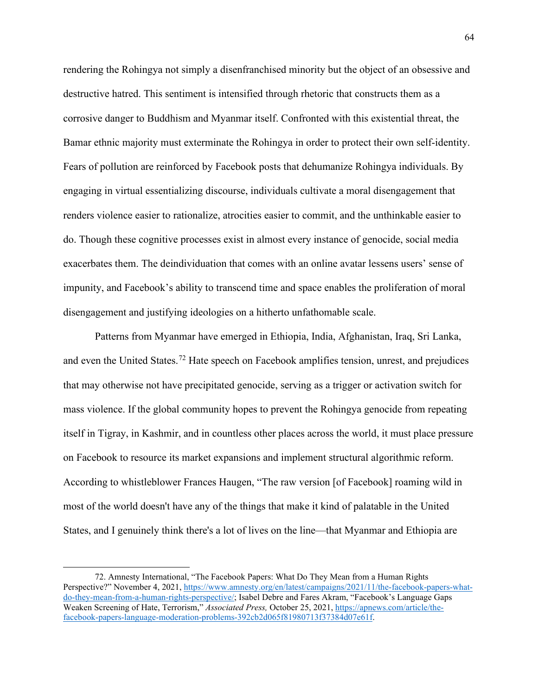rendering the Rohingya not simply a disenfranchised minority but the object of an obsessive and destructive hatred. This sentiment is intensified through rhetoric that constructs them as a corrosive danger to Buddhism and Myanmar itself. Confronted with this existential threat, the Bamar ethnic majority must exterminate the Rohingya in order to protect their own self-identity. Fears of pollution are reinforced by Facebook posts that dehumanize Rohingya individuals. By engaging in virtual essentializing discourse, individuals cultivate a moral disengagement that renders violence easier to rationalize, atrocities easier to commit, and the unthinkable easier to do. Though these cognitive processes exist in almost every instance of genocide, social media exacerbates them. The deindividuation that comes with an online avatar lessens users' sense of impunity, and Facebook's ability to transcend time and space enables the proliferation of moral disengagement and justifying ideologies on a hitherto unfathomable scale.

Patterns from Myanmar have emerged in Ethiopia, India, Afghanistan, Iraq, Sri Lanka, and even the United States.<sup>72</sup> Hate speech on Facebook amplifies tension, unrest, and prejudices that may otherwise not have precipitated genocide, serving as a trigger or activation switch for mass violence. If the global community hopes to prevent the Rohingya genocide from repeating itself in Tigray, in Kashmir, and in countless other places across the world, it must place pressure on Facebook to resource its market expansions and implement structural algorithmic reform. According to whistleblower Frances Haugen, "The raw version [of Facebook] roaming wild in most of the world doesn't have any of the things that make it kind of palatable in the United States, and I genuinely think there's a lot of lives on the line—that Myanmar and Ethiopia are

<span id="page-65-0"></span><sup>72.</sup> Amnesty International, "The Facebook Papers: What Do They Mean from a Human Rights Perspective?" November 4, 2021, [https://www.amnesty.org/en/latest/campaigns/2021/11/the-facebook-papers-what](https://www.amnesty.org/en/latest/campaigns/2021/11/the-facebook-papers-what-do-they-mean-from-a-human-rights-perspective/)[do-they-mean-from-a-human-rights-perspective/;](https://www.amnesty.org/en/latest/campaigns/2021/11/the-facebook-papers-what-do-they-mean-from-a-human-rights-perspective/) Isabel Debre and Fares Akram, "Facebook's Language Gaps Weaken Screening of Hate, Terrorism," *Associated Press,* October 25, 2021[, https://apnews.com/article/the](https://apnews.com/article/the-facebook-papers-language-moderation-problems-392cb2d065f81980713f37384d07e61f)[facebook-papers-language-moderation-problems-392cb2d065f81980713f37384d07e61f.](https://apnews.com/article/the-facebook-papers-language-moderation-problems-392cb2d065f81980713f37384d07e61f)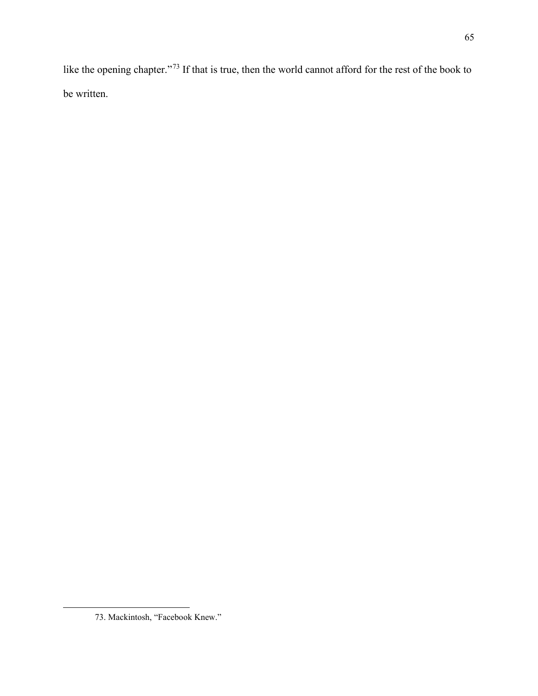like the opening chapter."[73](#page-66-0) If that is true, then the world cannot afford for the rest of the book to be written.

<span id="page-66-0"></span><sup>73.</sup> Mackintosh, "Facebook Knew."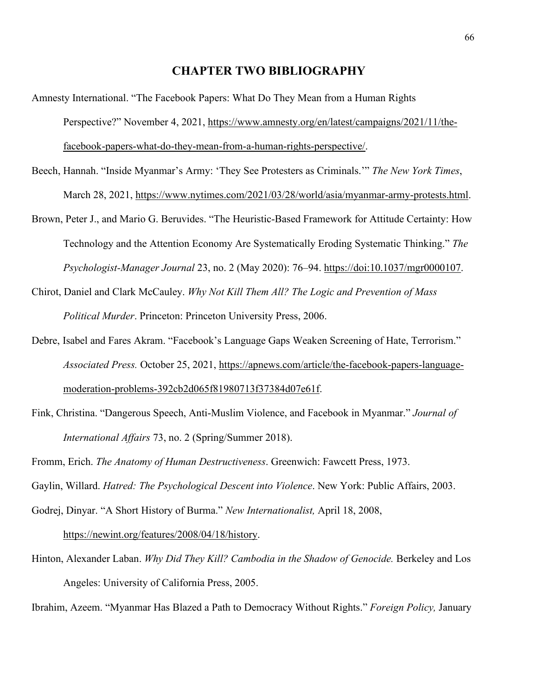### **CHAPTER TWO BIBLIOGRAPHY**

- Amnesty International. "The Facebook Papers: What Do They Mean from a Human Rights Perspective?" November 4, 2021, [https://www.amnesty.org/en/latest/campaigns/2021/11/the](https://www.amnesty.org/en/latest/campaigns/2021/11/the-facebook-papers-what-do-they-mean-from-a-human-rights-perspective/)[facebook-papers-what-do-they-mean-from-a-human-rights-perspective/.](https://www.amnesty.org/en/latest/campaigns/2021/11/the-facebook-papers-what-do-they-mean-from-a-human-rights-perspective/)
- Beech, Hannah. "Inside Myanmar's Army: 'They See Protesters as Criminals.'" *The New York Times*, March 28, 2021, [https://www.nytimes.com/2021/03/28/world/asia/myanmar-army-protests.html.](https://www.nytimes.com/2021/03/28/world/asia/myanmar-army-protests.html)
- Brown, Peter J., and Mario G. Beruvides. "The Heuristic-Based Framework for Attitude Certainty: How Technology and the Attention Economy Are Systematically Eroding Systematic Thinking." *The Psychologist-Manager Journal* 23, no. 2 (May 2020): 76–94. [https://doi:10.1037/mgr0000107.](about:blank)
- Chirot, Daniel and Clark McCauley. *Why Not Kill Them All? The Logic and Prevention of Mass Political Murder*. Princeton: Princeton University Press, 2006.
- Debre, Isabel and Fares Akram. "Facebook's Language Gaps Weaken Screening of Hate, Terrorism." *Associated Press.* October 25, 2021, [https://apnews.com/article/the-facebook-papers-language](https://apnews.com/article/the-facebook-papers-language-moderation-problems-392cb2d065f81980713f37384d07e61f)[moderation-problems-392cb2d065f81980713f37384d07e61f.](https://apnews.com/article/the-facebook-papers-language-moderation-problems-392cb2d065f81980713f37384d07e61f)
- Fink, Christina. "Dangerous Speech, Anti-Muslim Violence, and Facebook in Myanmar." *Journal of International Affairs* 73, no. 2 (Spring/Summer 2018).
- Fromm, Erich. *The Anatomy of Human Destructiveness*. Greenwich: Fawcett Press, 1973.

Gaylin, Willard. *Hatred: The Psychological Descent into Violence*. New York: Public Affairs, 2003.

Godrej, Dinyar. "A Short History of Burma." *New Internationalist,* April 18, 2008,

[https://newint.org/features/2008/04/18/history.](https://newint.org/features/2008/04/18/history)

Hinton, Alexander Laban. *Why Did They Kill? Cambodia in the Shadow of Genocide.* Berkeley and Los Angeles: University of California Press, 2005.

Ibrahim, Azeem. "Myanmar Has Blazed a Path to Democracy Without Rights." *Foreign Policy,* January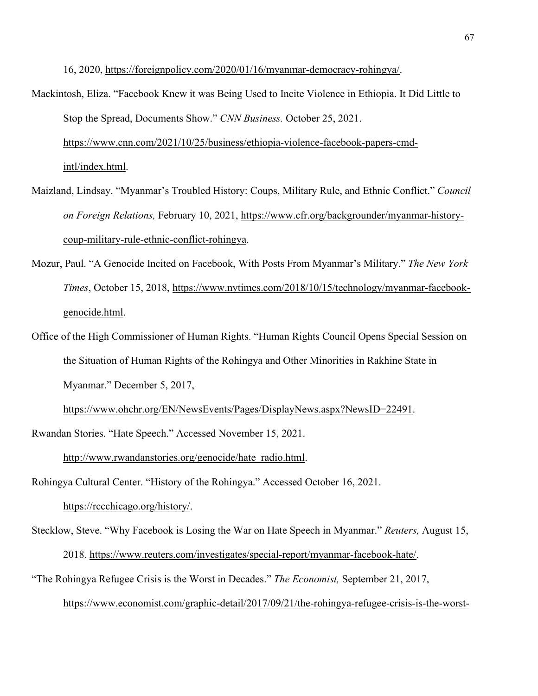16, 2020, [https://foreignpolicy.com/2020/01/16/myanmar-democracy-rohingya/.](https://foreignpolicy.com/2020/01/16/myanmar-democracy-rohingya/)

- Mackintosh, Eliza. "Facebook Knew it was Being Used to Incite Violence in Ethiopia. It Did Little to Stop the Spread, Documents Show." *CNN Business.* October 25, 2021. [https://www.cnn.com/2021/10/25/business/ethiopia-violence-facebook-papers-cmd](https://www.cnn.com/2021/10/25/business/ethiopia-violence-facebook-papers-cmd-intl/index.html)[intl/index.html.](https://www.cnn.com/2021/10/25/business/ethiopia-violence-facebook-papers-cmd-intl/index.html)
- Maizland, Lindsay. "Myanmar's Troubled History: Coups, Military Rule, and Ethnic Conflict." *Council on Foreign Relations,* February 10, 2021, [https://www.cfr.org/backgrounder/myanmar-history](https://www.cfr.org/backgrounder/myanmar-history-coup-military-rule-ethnic-conflict-rohingya)[coup-military-rule-ethnic-conflict-rohingya.](https://www.cfr.org/backgrounder/myanmar-history-coup-military-rule-ethnic-conflict-rohingya)
- Mozur, Paul. "A Genocide Incited on Facebook, With Posts From Myanmar's Military." *The New York Times*, October 15, 2018, [https://www.nytimes.com/2018/10/15/technology/myanmar-facebook](https://www.nytimes.com/2018/10/15/technology/myanmar-facebook-genocide.html)[genocide.html.](https://www.nytimes.com/2018/10/15/technology/myanmar-facebook-genocide.html)
- Office of the High Commissioner of Human Rights. "Human Rights Council Opens Special Session on the Situation of Human Rights of the Rohingya and Other Minorities in Rakhine State in Myanmar." December 5, 2017,

[https://www.ohchr.org/EN/NewsEvents/Pages/DisplayNews.aspx?NewsID=22491.](https://www.ohchr.org/EN/NewsEvents/Pages/DisplayNews.aspx?NewsID=22491)

Rwandan Stories. "Hate Speech." Accessed November 15, 2021.

[http://www.rwandanstories.org/genocide/hate\\_radio.html.](http://www.rwandanstories.org/genocide/hate_radio.html)

Rohingya Cultural Center. "History of the Rohingya." Accessed October 16, 2021.

[https://rccchicago.org/history/.](https://rccchicago.org/history/)

Stecklow, Steve. "Why Facebook is Losing the War on Hate Speech in Myanmar." *Reuters,* August 15, 2018. [https://www.reuters.com/investigates/special-report/myanmar-facebook-hate/.](https://www.reuters.com/investigates/special-report/myanmar-facebook-hate/) "The Rohingya Refugee Crisis is the Worst in Decades." *The Economist,* September 21, 2017,

[https://www.economist.com/graphic-detail/2017/09/21/the-rohingya-refugee-crisis-is-the-worst-](https://www.economist.com/graphic-detail/2017/09/21/the-rohingya-refugee-crisis-is-the-worst-in-decades)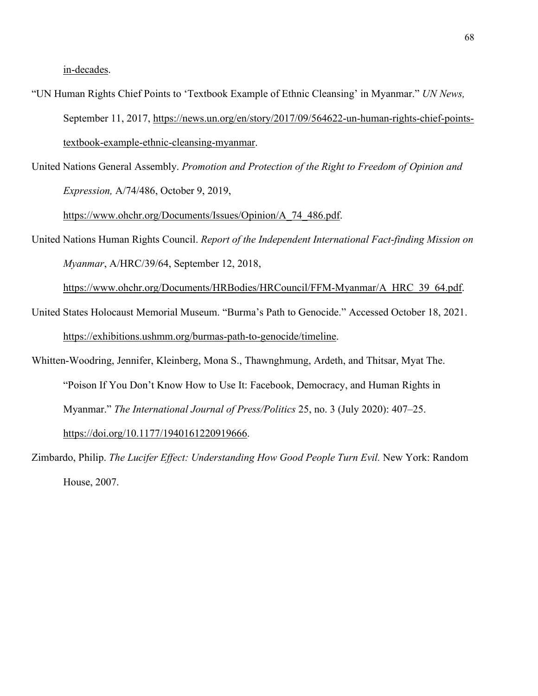[in-decades.](https://www.economist.com/graphic-detail/2017/09/21/the-rohingya-refugee-crisis-is-the-worst-in-decades)

- "UN Human Rights Chief Points to 'Textbook Example of Ethnic Cleansing' in Myanmar." *UN News,*  September 11, 2017, [https://news.un.org/en/story/2017/09/564622-un-human-rights-chief-points](https://news.un.org/en/story/2017/09/564622-un-human-rights-chief-points-textbook-example-ethnic-cleansing-myanmar)[textbook-example-ethnic-cleansing-myanmar.](https://news.un.org/en/story/2017/09/564622-un-human-rights-chief-points-textbook-example-ethnic-cleansing-myanmar)
- United Nations General Assembly. *Promotion and Protection of the Right to Freedom of Opinion and Expression,* A/74/486, October 9, 2019,

[https://www.ohchr.org/Documents/Issues/Opinion/A\\_74\\_486.pdf.](https://www.ohchr.org/Documents/Issues/Opinion/A_74_486.pdf)

United Nations Human Rights Council. *Report of the Independent International Fact-finding Mission on Myanmar*, A/HRC/39/64, September 12, 2018,

[https://www.ohchr.org/Documents/HRBodies/HRCouncil/FFM-Myanmar/A\\_HRC\\_39\\_64.pdf.](https://www.ohchr.org/Documents/HRBodies/HRCouncil/FFM-Myanmar/A_HRC_39_64.pdf)

- United States Holocaust Memorial Museum. "Burma's Path to Genocide." Accessed October 18, 2021. [https://exhibitions.ushmm.org/burmas-path-to-genocide/timeline.](https://exhibitions.ushmm.org/burmas-path-to-genocide/timeline)
- Whitten-Woodring, Jennifer, Kleinberg, Mona S., Thawnghmung, Ardeth, and Thitsar, Myat The. "Poison If You Don't Know How to Use It: Facebook, Democracy, and Human Rights in Myanmar." *The International Journal of Press/Politics* 25, no. 3 (July 2020): 407–25.

[https://doi.org/10.1177/1940161220919666.](https://doi.org/10.1177/1940161220919666)

Zimbardo, Philip. *The Lucifer Effect: Understanding How Good People Turn Evil.* New York: Random House, 2007.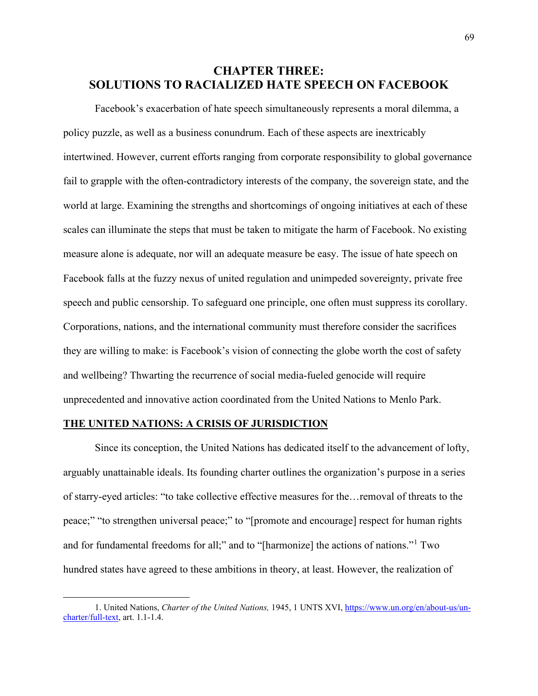# **CHAPTER THREE: SOLUTIONS TO RACIALIZED HATE SPEECH ON FACEBOOK**

Facebook's exacerbation of hate speech simultaneously represents a moral dilemma, a policy puzzle, as well as a business conundrum. Each of these aspects are inextricably intertwined. However, current efforts ranging from corporate responsibility to global governance fail to grapple with the often-contradictory interests of the company, the sovereign state, and the world at large. Examining the strengths and shortcomings of ongoing initiatives at each of these scales can illuminate the steps that must be taken to mitigate the harm of Facebook. No existing measure alone is adequate, nor will an adequate measure be easy. The issue of hate speech on Facebook falls at the fuzzy nexus of united regulation and unimpeded sovereignty, private free speech and public censorship. To safeguard one principle, one often must suppress its corollary. Corporations, nations, and the international community must therefore consider the sacrifices they are willing to make: is Facebook's vision of connecting the globe worth the cost of safety and wellbeing? Thwarting the recurrence of social media-fueled genocide will require unprecedented and innovative action coordinated from the United Nations to Menlo Park.

# **THE UNITED NATIONS: A CRISIS OF JURISDICTION**

Since its conception, the United Nations has dedicated itself to the advancement of lofty, arguably unattainable ideals. Its founding charter outlines the organization's purpose in a series of starry-eyed articles: "to take collective effective measures for the…removal of threats to the peace;" "to strengthen universal peace;" to "[promote and encourage] respect for human rights and for fundamental freedoms for all;" and to "[harmonize] the actions of nations."<sup>[1](#page-70-0)</sup> Two hundred states have agreed to these ambitions in theory, at least. However, the realization of

<span id="page-70-0"></span><sup>1.</sup> United Nations, *Charter of the United Nations,* 1945, 1 UNTS XVI, [https://www.un.org/en/about-us/un](https://www.un.org/en/about-us/un-charter/full-text)[charter/full-text,](https://www.un.org/en/about-us/un-charter/full-text) art. 1.1-1.4.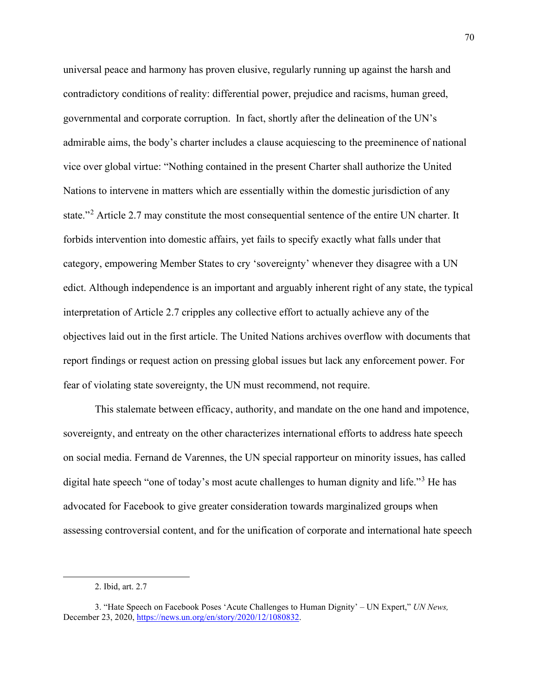universal peace and harmony has proven elusive, regularly running up against the harsh and contradictory conditions of reality: differential power, prejudice and racisms, human greed, governmental and corporate corruption. In fact, shortly after the delineation of the UN's admirable aims, the body's charter includes a clause acquiescing to the preeminence of national vice over global virtue: "Nothing contained in the present Charter shall authorize the United Nations to intervene in matters which are essentially within the domestic jurisdiction of any state."<sup>[2](#page-71-0)</sup> Article 2.7 may constitute the most consequential sentence of the entire UN charter. It forbids intervention into domestic affairs, yet fails to specify exactly what falls under that category, empowering Member States to cry 'sovereignty' whenever they disagree with a UN edict. Although independence is an important and arguably inherent right of any state, the typical interpretation of Article 2.7 cripples any collective effort to actually achieve any of the objectives laid out in the first article. The United Nations archives overflow with documents that report findings or request action on pressing global issues but lack any enforcement power. For fear of violating state sovereignty, the UN must recommend, not require.

This stalemate between efficacy, authority, and mandate on the one hand and impotence, sovereignty, and entreaty on the other characterizes international efforts to address hate speech on social media. Fernand de Varennes, the UN special rapporteur on minority issues, has called digital hate speech "one of today's most acute challenges to human dignity and life."<sup>[3](#page-71-1)</sup> He has advocated for Facebook to give greater consideration towards marginalized groups when assessing controversial content, and for the unification of corporate and international hate speech

<sup>2.</sup> Ibid, art. 2.7

<span id="page-71-1"></span><span id="page-71-0"></span><sup>3. &</sup>quot;Hate Speech on Facebook Poses 'Acute Challenges to Human Dignity' – UN Expert," *UN News,*  December 23, 2020[, https://news.un.org/en/story/2020/12/1080832.](https://news.un.org/en/story/2020/12/1080832)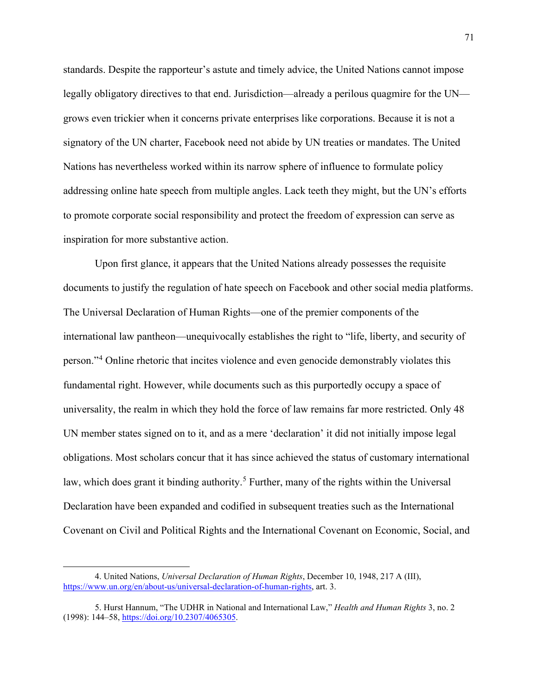standards. Despite the rapporteur's astute and timely advice, the United Nations cannot impose legally obligatory directives to that end. Jurisdiction—already a perilous quagmire for the UN grows even trickier when it concerns private enterprises like corporations. Because it is not a signatory of the UN charter, Facebook need not abide by UN treaties or mandates. The United Nations has nevertheless worked within its narrow sphere of influence to formulate policy addressing online hate speech from multiple angles. Lack teeth they might, but the UN's efforts to promote corporate social responsibility and protect the freedom of expression can serve as inspiration for more substantive action.

Upon first glance, it appears that the United Nations already possesses the requisite documents to justify the regulation of hate speech on Facebook and other social media platforms. The Universal Declaration of Human Rights—one of the premier components of the international law pantheon—unequivocally establishes the right to "life, liberty, and security of person."[4](#page-72-0) Online rhetoric that incites violence and even genocide demonstrably violates this fundamental right. However, while documents such as this purportedly occupy a space of universality, the realm in which they hold the force of law remains far more restricted. Only 48 UN member states signed on to it, and as a mere 'declaration' it did not initially impose legal obligations. Most scholars concur that it has since achieved the status of customary international law, which does grant it binding authority.<sup>[5](#page-72-1)</sup> Further, many of the rights within the Universal Declaration have been expanded and codified in subsequent treaties such as the International Covenant on Civil and Political Rights and the International Covenant on Economic, Social, and

<span id="page-72-0"></span><sup>4.</sup> United Nations, *Universal Declaration of Human Rights*, December 10, 1948, 217 A (III), [https://www.un.org/en/about-us/universal-declaration-of-human-rights,](https://www.un.org/en/about-us/universal-declaration-of-human-rights) art. 3.

<span id="page-72-1"></span><sup>5.</sup> Hurst Hannum, "The UDHR in National and International Law," *Health and Human Rights* 3, no. 2 (1998): 144–58, [https://doi.org/10.2307/4065305.](https://doi.org/10.2307/4065305)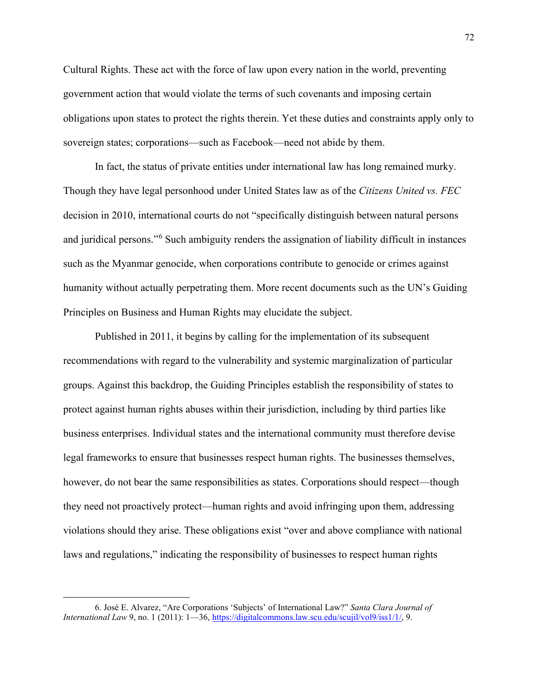Cultural Rights. These act with the force of law upon every nation in the world, preventing government action that would violate the terms of such covenants and imposing certain obligations upon states to protect the rights therein. Yet these duties and constraints apply only to sovereign states; corporations—such as Facebook—need not abide by them.

In fact, the status of private entities under international law has long remained murky. Though they have legal personhood under United States law as of the *Citizens United vs. FEC*  decision in 2010, international courts do not "specifically distinguish between natural persons and juridical persons."<sup>[6](#page-73-0)</sup> Such ambiguity renders the assignation of liability difficult in instances such as the Myanmar genocide, when corporations contribute to genocide or crimes against humanity without actually perpetrating them. More recent documents such as the UN's Guiding Principles on Business and Human Rights may elucidate the subject.

Published in 2011, it begins by calling for the implementation of its subsequent recommendations with regard to the vulnerability and systemic marginalization of particular groups. Against this backdrop, the Guiding Principles establish the responsibility of states to protect against human rights abuses within their jurisdiction, including by third parties like business enterprises. Individual states and the international community must therefore devise legal frameworks to ensure that businesses respect human rights. The businesses themselves, however, do not bear the same responsibilities as states. Corporations should respect—though they need not proactively protect—human rights and avoid infringing upon them, addressing violations should they arise. These obligations exist "over and above compliance with national laws and regulations," indicating the responsibility of businesses to respect human rights

<span id="page-73-0"></span><sup>6.</sup> José E. Alvarez, "Are Corporations 'Subjects' of International Law?" *Santa Clara Journal of International Law* 9, no. 1 (2011): 1—36[, https://digitalcommons.law.scu.edu/scujil/vol9/iss1/1/,](https://digitalcommons.law.scu.edu/scujil/vol9/iss1/1/) 9.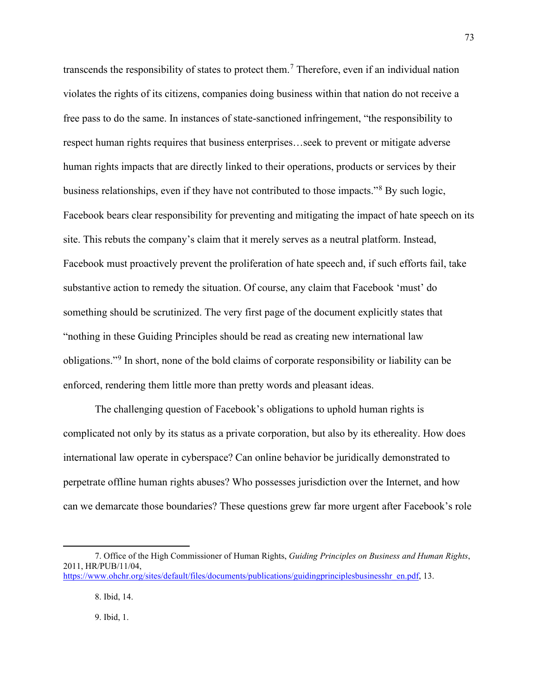transcends the responsibility of states to protect them.<sup>[7](#page-74-0)</sup> Therefore, even if an individual nation violates the rights of its citizens, companies doing business within that nation do not receive a free pass to do the same. In instances of state-sanctioned infringement, "the responsibility to respect human rights requires that business enterprises…seek to prevent or mitigate adverse human rights impacts that are directly linked to their operations, products or services by their business relationships, even if they have not contributed to those impacts."<sup>[8](#page-74-1)</sup> By such logic, Facebook bears clear responsibility for preventing and mitigating the impact of hate speech on its site. This rebuts the company's claim that it merely serves as a neutral platform. Instead, Facebook must proactively prevent the proliferation of hate speech and, if such efforts fail, take substantive action to remedy the situation. Of course, any claim that Facebook 'must' do something should be scrutinized. The very first page of the document explicitly states that "nothing in these Guiding Principles should be read as creating new international law obligations."[9](#page-74-2) In short, none of the bold claims of corporate responsibility or liability can be enforced, rendering them little more than pretty words and pleasant ideas.

The challenging question of Facebook's obligations to uphold human rights is complicated not only by its status as a private corporation, but also by its ethereality. How does international law operate in cyberspace? Can online behavior be juridically demonstrated to perpetrate offline human rights abuses? Who possesses jurisdiction over the Internet, and how can we demarcate those boundaries? These questions grew far more urgent after Facebook's role

9. Ibid, 1.

<span id="page-74-2"></span><span id="page-74-1"></span><span id="page-74-0"></span><sup>7.</sup> Office of the High Commissioner of Human Rights, *Guiding Principles on Business and Human Rights*, 2011, HR/PUB/11/04, [https://www.ohchr.org/sites/default/files/documents/publications/guidingprinciplesbusinesshr\\_en.pdf,](https://www.ohchr.org/sites/default/files/documents/publications/guidingprinciplesbusinesshr_en.pdf) 13.

<sup>8.</sup> Ibid, 14.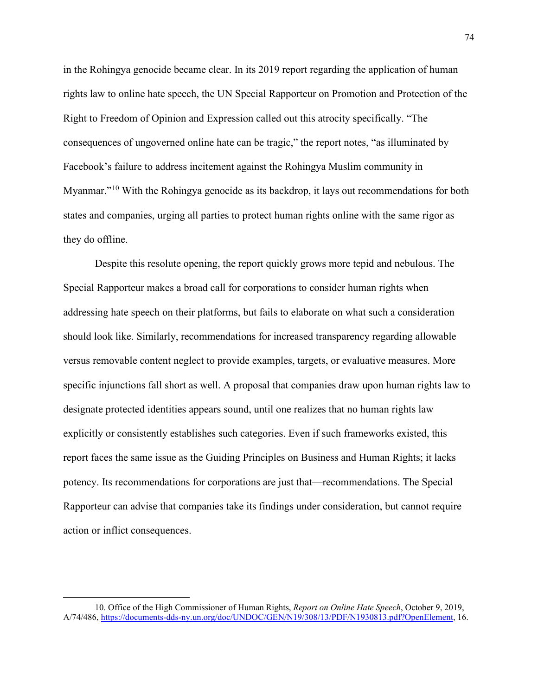in the Rohingya genocide became clear. In its 2019 report regarding the application of human rights law to online hate speech, the UN Special Rapporteur on Promotion and Protection of the Right to Freedom of Opinion and Expression called out this atrocity specifically. "The consequences of ungoverned online hate can be tragic," the report notes, "as illuminated by Facebook's failure to address incitement against the Rohingya Muslim community in Myanmar."<sup>10</sup> With the Rohingya genocide as its backdrop, it lays out recommendations for both states and companies, urging all parties to protect human rights online with the same rigor as they do offline.

Despite this resolute opening, the report quickly grows more tepid and nebulous. The Special Rapporteur makes a broad call for corporations to consider human rights when addressing hate speech on their platforms, but fails to elaborate on what such a consideration should look like. Similarly, recommendations for increased transparency regarding allowable versus removable content neglect to provide examples, targets, or evaluative measures. More specific injunctions fall short as well. A proposal that companies draw upon human rights law to designate protected identities appears sound, until one realizes that no human rights law explicitly or consistently establishes such categories. Even if such frameworks existed, this report faces the same issue as the Guiding Principles on Business and Human Rights; it lacks potency. Its recommendations for corporations are just that—recommendations. The Special Rapporteur can advise that companies take its findings under consideration, but cannot require action or inflict consequences.

<span id="page-75-0"></span><sup>10.</sup> Office of the High Commissioner of Human Rights, *Report on Online Hate Speech*, October 9, 2019, A/74/486, [https://documents-dds-ny.un.org/doc/UNDOC/GEN/N19/308/13/PDF/N1930813.pdf?OpenElement,](https://documents-dds-ny.un.org/doc/UNDOC/GEN/N19/308/13/PDF/N1930813.pdf?OpenElement) 16.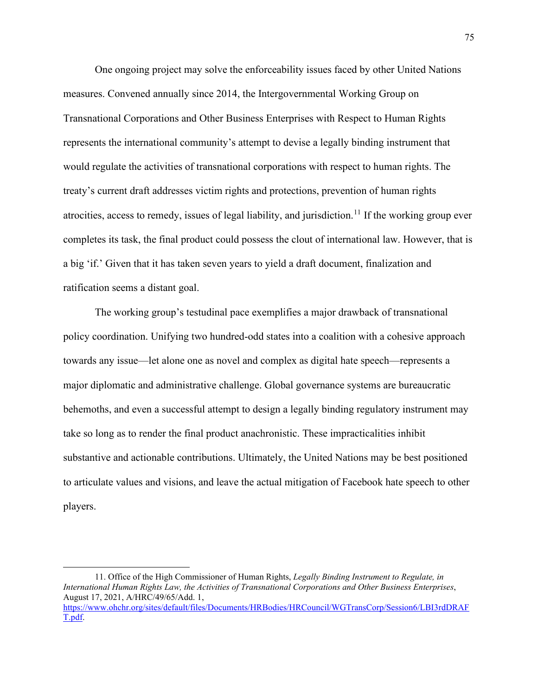One ongoing project may solve the enforceability issues faced by other United Nations measures. Convened annually since 2014, the Intergovernmental Working Group on Transnational Corporations and Other Business Enterprises with Respect to Human Rights represents the international community's attempt to devise a legally binding instrument that would regulate the activities of transnational corporations with respect to human rights. The treaty's current draft addresses victim rights and protections, prevention of human rights atrocities, access to remedy, issues of legal liability, and jurisdiction.<sup>[11](#page-76-0)</sup> If the working group ever completes its task, the final product could possess the clout of international law. However, that is a big 'if.' Given that it has taken seven years to yield a draft document, finalization and ratification seems a distant goal.

The working group's testudinal pace exemplifies a major drawback of transnational policy coordination. Unifying two hundred-odd states into a coalition with a cohesive approach towards any issue—let alone one as novel and complex as digital hate speech—represents a major diplomatic and administrative challenge. Global governance systems are bureaucratic behemoths, and even a successful attempt to design a legally binding regulatory instrument may take so long as to render the final product anachronistic. These impracticalities inhibit substantive and actionable contributions. Ultimately, the United Nations may be best positioned to articulate values and visions, and leave the actual mitigation of Facebook hate speech to other players.

<span id="page-76-0"></span><sup>11.</sup> Office of the High Commissioner of Human Rights, *Legally Binding Instrument to Regulate, in International Human Rights Law, the Activities of Transnational Corporations and Other Business Enterprises*, August 17, 2021, A/HRC/49/65/Add. 1, [https://www.ohchr.org/sites/default/files/Documents/HRBodies/HRCouncil/WGTransCorp/Session6/LBI3rdDRAF](https://www.ohchr.org/sites/default/files/Documents/HRBodies/HRCouncil/WGTransCorp/Session6/LBI3rdDRAFT.pdf) [T.pdf.](https://www.ohchr.org/sites/default/files/Documents/HRBodies/HRCouncil/WGTransCorp/Session6/LBI3rdDRAFT.pdf)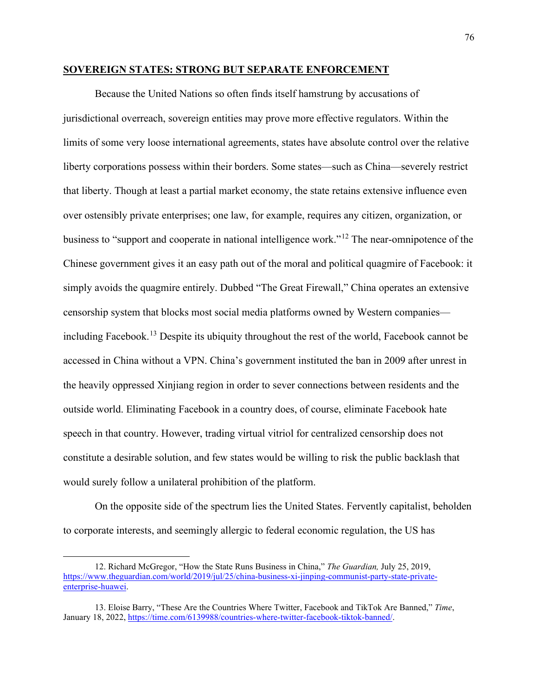### **SOVEREIGN STATES: STRONG BUT SEPARATE ENFORCEMENT**

Because the United Nations so often finds itself hamstrung by accusations of jurisdictional overreach, sovereign entities may prove more effective regulators. Within the limits of some very loose international agreements, states have absolute control over the relative liberty corporations possess within their borders. Some states—such as China—severely restrict that liberty. Though at least a partial market economy, the state retains extensive influence even over ostensibly private enterprises; one law, for example, requires any citizen, organization, or business to "support and cooperate in national intelligence work."[12](#page-77-0) The near-omnipotence of the Chinese government gives it an easy path out of the moral and political quagmire of Facebook: it simply avoids the quagmire entirely. Dubbed "The Great Firewall," China operates an extensive censorship system that blocks most social media platforms owned by Western companies including Facebook.<sup>13</sup> Despite its ubiquity throughout the rest of the world, Facebook cannot be accessed in China without a VPN. China's government instituted the ban in 2009 after unrest in the heavily oppressed Xinjiang region in order to sever connections between residents and the outside world. Eliminating Facebook in a country does, of course, eliminate Facebook hate speech in that country. However, trading virtual vitriol for centralized censorship does not constitute a desirable solution, and few states would be willing to risk the public backlash that would surely follow a unilateral prohibition of the platform.

On the opposite side of the spectrum lies the United States. Fervently capitalist, beholden to corporate interests, and seemingly allergic to federal economic regulation, the US has

<span id="page-77-0"></span><sup>12.</sup> Richard McGregor, "How the State Runs Business in China," *The Guardian,* July 25, 2019, [https://www.theguardian.com/world/2019/jul/25/china-business-xi-jinping-communist-party-state-private](https://www.theguardian.com/world/2019/jul/25/china-business-xi-jinping-communist-party-state-private-enterprise-huawei)[enterprise-huawei.](https://www.theguardian.com/world/2019/jul/25/china-business-xi-jinping-communist-party-state-private-enterprise-huawei)

<span id="page-77-1"></span><sup>13.</sup> Eloise Barry, "These Are the Countries Where Twitter, Facebook and TikTok Are Banned," *Time*, January 18, 2022[, https://time.com/6139988/countries-where-twitter-facebook-tiktok-banned/.](https://time.com/6139988/countries-where-twitter-facebook-tiktok-banned/)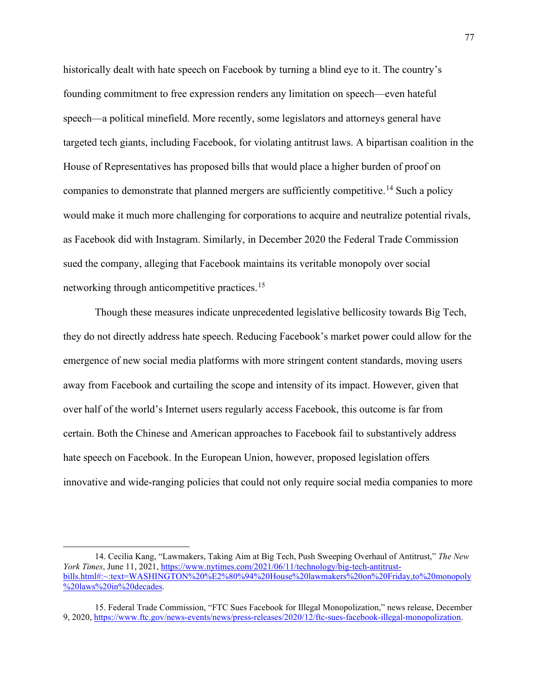historically dealt with hate speech on Facebook by turning a blind eye to it. The country's founding commitment to free expression renders any limitation on speech—even hateful speech—a political minefield. More recently, some legislators and attorneys general have targeted tech giants, including Facebook, for violating antitrust laws. A bipartisan coalition in the House of Representatives has proposed bills that would place a higher burden of proof on companies to demonstrate that planned mergers are sufficiently competitive.<sup>14</sup> Such a policy would make it much more challenging for corporations to acquire and neutralize potential rivals, as Facebook did with Instagram. Similarly, in December 2020 the Federal Trade Commission sued the company, alleging that Facebook maintains its veritable monopoly over social networking through anticompetitive practices.<sup>15</sup>

Though these measures indicate unprecedented legislative bellicosity towards Big Tech, they do not directly address hate speech. Reducing Facebook's market power could allow for the emergence of new social media platforms with more stringent content standards, moving users away from Facebook and curtailing the scope and intensity of its impact. However, given that over half of the world's Internet users regularly access Facebook, this outcome is far from certain. Both the Chinese and American approaches to Facebook fail to substantively address hate speech on Facebook. In the European Union, however, proposed legislation offers innovative and wide-ranging policies that could not only require social media companies to more

<span id="page-78-0"></span><sup>14.</sup> Cecilia Kang, "Lawmakers, Taking Aim at Big Tech, Push Sweeping Overhaul of Antitrust," *The New York Times*, June 11, 2021, [https://www.nytimes.com/2021/06/11/technology/big-tech-antitrust](https://www.nytimes.com/2021/06/11/technology/big-tech-antitrust-bills.html#:%7E:text=WASHINGTON%20%E2%80%94%20House%20lawmakers%20on%20Friday,to%20monopoly%20laws%20in%20decades)[bills.html#:~:text=WASHINGTON%20%E2%80%94%20House%20lawmakers%20on%20Friday,to%20monopoly](https://www.nytimes.com/2021/06/11/technology/big-tech-antitrust-bills.html#:%7E:text=WASHINGTON%20%E2%80%94%20House%20lawmakers%20on%20Friday,to%20monopoly%20laws%20in%20decades) [%20laws%20in%20decades.](https://www.nytimes.com/2021/06/11/technology/big-tech-antitrust-bills.html#:%7E:text=WASHINGTON%20%E2%80%94%20House%20lawmakers%20on%20Friday,to%20monopoly%20laws%20in%20decades)

<span id="page-78-1"></span><sup>15.</sup> Federal Trade Commission, "FTC Sues Facebook for Illegal Monopolization," news release, December 9, 2020, [https://www.ftc.gov/news-events/news/press-releases/2020/12/ftc-sues-facebook-illegal-monopolization.](https://www.ftc.gov/news-events/news/press-releases/2020/12/ftc-sues-facebook-illegal-monopolization)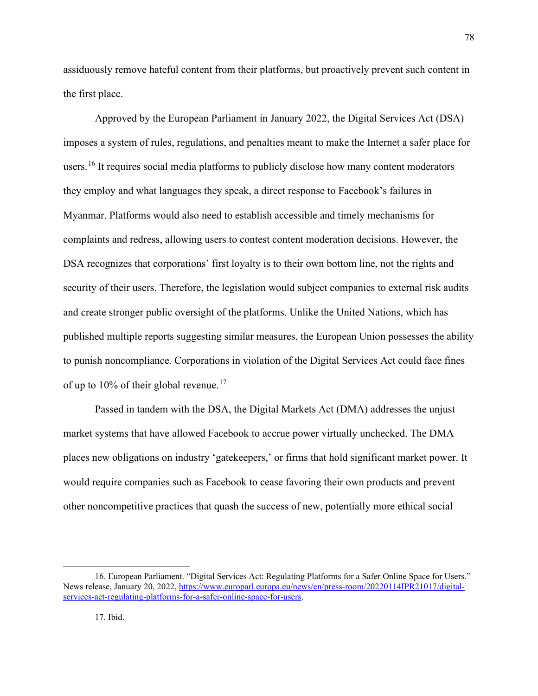assiduously remove hateful content from their platforms, but proactively prevent such content in the first place.

Approved by the European Parliament in January 2022, the Digital Services Act (DSA) imposes a system of rules, regulations, and penalties meant to make the Internet a safer place for users.<sup>[16](#page-79-0)</sup> It requires social media platforms to publicly disclose how many content moderators they employ and what languages they speak, a direct response to Facebook's failures in Myanmar. Platforms would also need to establish accessible and timely mechanisms for complaints and redress, allowing users to contest content moderation decisions. However, the DSA recognizes that corporations' first loyalty is to their own bottom line, not the rights and security of their users. Therefore, the legislation would subject companies to external risk audits and create stronger public oversight of the platforms. Unlike the United Nations, which has published multiple reports suggesting similar measures, the European Union possesses the ability to punish noncompliance. Corporations in violation of the Digital Services Act could face fines of up to 10% of their global revenue.<sup>[17](#page-79-1)</sup>

Passed in tandem with the DSA, the Digital Markets Act (DMA) addresses the unjust market systems that have allowed Facebook to accrue power virtually unchecked. The DMA places new obligations on industry 'gatekeepers,' or firms that hold significant market power. It would require companies such as Facebook to cease favoring their own products and prevent other noncompetitive practices that quash the success of new, potentially more ethical social

<span id="page-79-1"></span><span id="page-79-0"></span><sup>16.</sup> European Parliament. "Digital Services Act: Regulating Platforms for a Safer Online Space for Users." News release, January 20, 2022[, https://www.europarl.europa.eu/news/en/press-room/20220114IPR21017/digital](https://www.europarl.europa.eu/news/en/press-room/20220114IPR21017/digital-services-act-regulating-platforms-for-a-safer-online-space-for-users)[services-act-regulating-platforms-for-a-safer-online-space-for-users.](https://www.europarl.europa.eu/news/en/press-room/20220114IPR21017/digital-services-act-regulating-platforms-for-a-safer-online-space-for-users)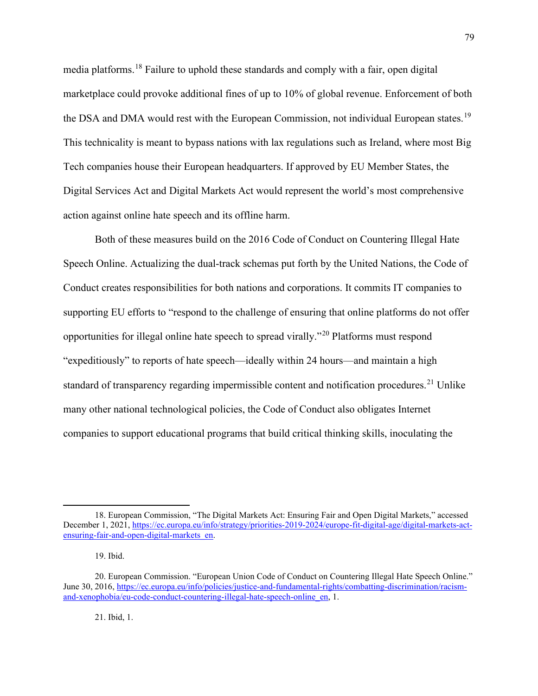media platforms.[18](#page-80-0) Failure to uphold these standards and comply with a fair, open digital marketplace could provoke additional fines of up to 10% of global revenue. Enforcement of both the DSA and DMA would rest with the European Commission, not individual European states.<sup>[19](#page-80-1)</sup> This technicality is meant to bypass nations with lax regulations such as Ireland, where most Big Tech companies house their European headquarters. If approved by EU Member States, the Digital Services Act and Digital Markets Act would represent the world's most comprehensive action against online hate speech and its offline harm.

Both of these measures build on the 2016 Code of Conduct on Countering Illegal Hate Speech Online. Actualizing the dual-track schemas put forth by the United Nations, the Code of Conduct creates responsibilities for both nations and corporations. It commits IT companies to supporting EU efforts to "respond to the challenge of ensuring that online platforms do not offer opportunities for illegal online hate speech to spread virally."[20](#page-80-2) Platforms must respond "expeditiously" to reports of hate speech—ideally within 24 hours—and maintain a high standard of transparency regarding impermissible content and notification procedures.<sup>[21](#page-80-3)</sup> Unlike many other national technological policies, the Code of Conduct also obligates Internet companies to support educational programs that build critical thinking skills, inoculating the

21. Ibid, 1.

<span id="page-80-0"></span><sup>18.</sup> European Commission, "The Digital Markets Act: Ensuring Fair and Open Digital Markets," accessed December 1, 2021[, https://ec.europa.eu/info/strategy/priorities-2019-2024/europe-fit-digital-age/digital-markets-act](https://ec.europa.eu/info/strategy/priorities-2019-2024/europe-fit-digital-age/digital-markets-act-ensuring-fair-and-open-digital-markets_en)[ensuring-fair-and-open-digital-markets\\_en.](https://ec.europa.eu/info/strategy/priorities-2019-2024/europe-fit-digital-age/digital-markets-act-ensuring-fair-and-open-digital-markets_en)

<sup>19.</sup> Ibid.

<span id="page-80-3"></span><span id="page-80-2"></span><span id="page-80-1"></span><sup>20.</sup> European Commission. "European Union Code of Conduct on Countering Illegal Hate Speech Online." June 30, 2016, [https://ec.europa.eu/info/policies/justice-and-fundamental-rights/combatting-discrimination/racism](https://ec.europa.eu/info/policies/justice-and-fundamental-rights/combatting-discrimination/racism-and-xenophobia/eu-code-conduct-countering-illegal-hate-speech-online_en)[and-xenophobia/eu-code-conduct-countering-illegal-hate-speech-online\\_en,](https://ec.europa.eu/info/policies/justice-and-fundamental-rights/combatting-discrimination/racism-and-xenophobia/eu-code-conduct-countering-illegal-hate-speech-online_en) 1.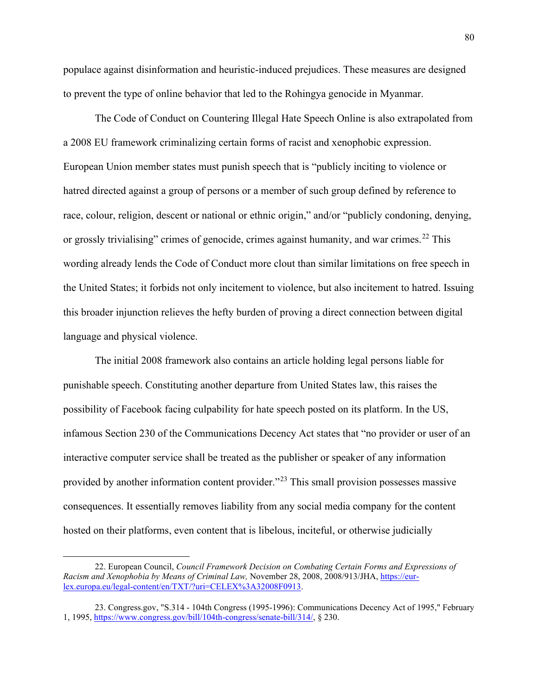populace against disinformation and heuristic-induced prejudices. These measures are designed to prevent the type of online behavior that led to the Rohingya genocide in Myanmar.

The Code of Conduct on Countering Illegal Hate Speech Online is also extrapolated from a 2008 EU framework criminalizing certain forms of racist and xenophobic expression. European Union member states must punish speech that is "publicly inciting to violence or hatred directed against a group of persons or a member of such group defined by reference to race, colour, religion, descent or national or ethnic origin," and/or "publicly condoning, denying, or grossly trivialising" crimes of genocide, crimes against humanity, and war crimes.<sup>[22](#page-81-0)</sup> This wording already lends the Code of Conduct more clout than similar limitations on free speech in the United States; it forbids not only incitement to violence, but also incitement to hatred. Issuing this broader injunction relieves the hefty burden of proving a direct connection between digital language and physical violence.

The initial 2008 framework also contains an article holding legal persons liable for punishable speech. Constituting another departure from United States law, this raises the possibility of Facebook facing culpability for hate speech posted on its platform. In the US, infamous Section 230 of the Communications Decency Act states that "no provider or user of an interactive computer service shall be treated as the publisher or speaker of any information provided by another information content provider."[23](#page-81-1) This small provision possesses massive consequences. It essentially removes liability from any social media company for the content hosted on their platforms, even content that is libelous, inciteful, or otherwise judicially

<span id="page-81-0"></span><sup>22.</sup> European Council, *Council Framework Decision on Combating Certain Forms and Expressions of Racism and Xenophobia by Means of Criminal Law,* November 28, 2008, 2008/913/JHA, [https://eur](https://eur-lex.europa.eu/legal-content/en/TXT/?uri=CELEX%3A32008F0913)[lex.europa.eu/legal-content/en/TXT/?uri=CELEX%3A32008F0913.](https://eur-lex.europa.eu/legal-content/en/TXT/?uri=CELEX%3A32008F0913)

<span id="page-81-1"></span><sup>23.</sup> Congress.gov, "S.314 - 104th Congress (1995-1996): Communications Decency Act of 1995," February 1, 1995, [https://www.congress.gov/bill/104th-congress/senate-bill/314/,](https://www.congress.gov/bill/104th-congress/senate-bill/314/) § 230.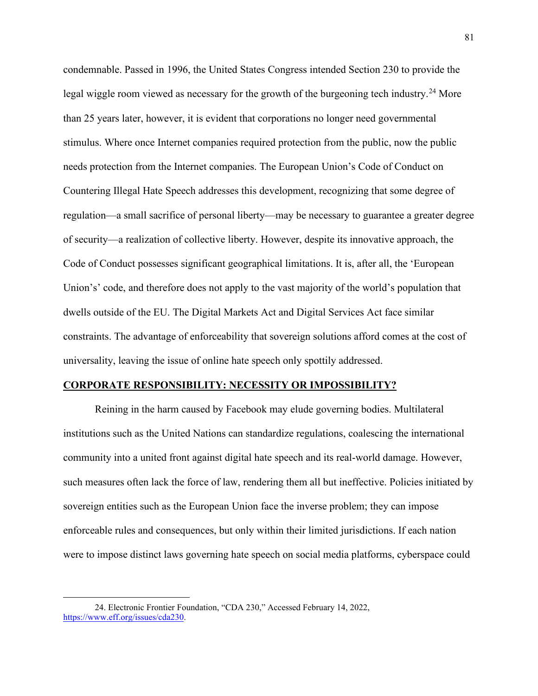condemnable. Passed in 1996, the United States Congress intended Section 230 to provide the legal wiggle room viewed as necessary for the growth of the burgeoning tech industry.<sup>[24](#page-82-0)</sup> More than 25 years later, however, it is evident that corporations no longer need governmental stimulus. Where once Internet companies required protection from the public, now the public needs protection from the Internet companies. The European Union's Code of Conduct on Countering Illegal Hate Speech addresses this development, recognizing that some degree of regulation—a small sacrifice of personal liberty—may be necessary to guarantee a greater degree of security—a realization of collective liberty. However, despite its innovative approach, the Code of Conduct possesses significant geographical limitations. It is, after all, the 'European Union's' code, and therefore does not apply to the vast majority of the world's population that dwells outside of the EU. The Digital Markets Act and Digital Services Act face similar constraints. The advantage of enforceability that sovereign solutions afford comes at the cost of universality, leaving the issue of online hate speech only spottily addressed.

### **CORPORATE RESPONSIBILITY: NECESSITY OR IMPOSSIBILITY?**

Reining in the harm caused by Facebook may elude governing bodies. Multilateral institutions such as the United Nations can standardize regulations, coalescing the international community into a united front against digital hate speech and its real-world damage. However, such measures often lack the force of law, rendering them all but ineffective. Policies initiated by sovereign entities such as the European Union face the inverse problem; they can impose enforceable rules and consequences, but only within their limited jurisdictions. If each nation were to impose distinct laws governing hate speech on social media platforms, cyberspace could

<span id="page-82-0"></span><sup>24.</sup> Electronic Frontier Foundation, "CDA 230," Accessed February 14, 2022, [https://www.eff.org/issues/cda230.](https://www.eff.org/issues/cda230)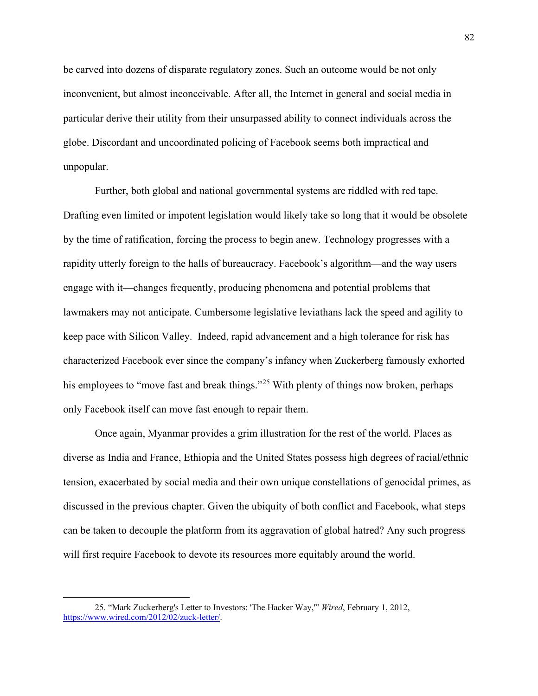be carved into dozens of disparate regulatory zones. Such an outcome would be not only inconvenient, but almost inconceivable. After all, the Internet in general and social media in particular derive their utility from their unsurpassed ability to connect individuals across the globe. Discordant and uncoordinated policing of Facebook seems both impractical and unpopular.

Further, both global and national governmental systems are riddled with red tape. Drafting even limited or impotent legislation would likely take so long that it would be obsolete by the time of ratification, forcing the process to begin anew. Technology progresses with a rapidity utterly foreign to the halls of bureaucracy. Facebook's algorithm—and the way users engage with it—changes frequently, producing phenomena and potential problems that lawmakers may not anticipate. Cumbersome legislative leviathans lack the speed and agility to keep pace with Silicon Valley. Indeed, rapid advancement and a high tolerance for risk has characterized Facebook ever since the company's infancy when Zuckerberg famously exhorted his employees to "move fast and break things."<sup>[25](#page-83-0)</sup> With plenty of things now broken, perhaps only Facebook itself can move fast enough to repair them.

Once again, Myanmar provides a grim illustration for the rest of the world. Places as diverse as India and France, Ethiopia and the United States possess high degrees of racial/ethnic tension, exacerbated by social media and their own unique constellations of genocidal primes, as discussed in the previous chapter. Given the ubiquity of both conflict and Facebook, what steps can be taken to decouple the platform from its aggravation of global hatred? Any such progress will first require Facebook to devote its resources more equitably around the world.

<span id="page-83-0"></span><sup>25. &</sup>quot;Mark Zuckerberg's Letter to Investors: 'The Hacker Way,'" *Wired*, February 1, 2012, [https://www.wired.com/2012/02/zuck-letter/.](https://www.wired.com/2012/02/zuck-letter/)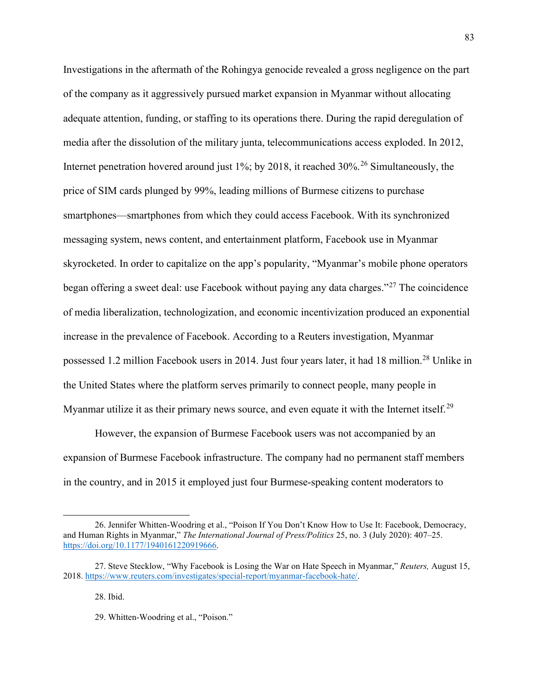Investigations in the aftermath of the Rohingya genocide revealed a gross negligence on the part of the company as it aggressively pursued market expansion in Myanmar without allocating adequate attention, funding, or staffing to its operations there. During the rapid deregulation of media after the dissolution of the military junta, telecommunications access exploded. In 2012, Internet penetration hovered around just 1%; by 2018, it reached  $30\%$ <sup>26</sup> Simultaneously, the price of SIM cards plunged by 99%, leading millions of Burmese citizens to purchase smartphones—smartphones from which they could access Facebook. With its synchronized messaging system, news content, and entertainment platform, Facebook use in Myanmar skyrocketed. In order to capitalize on the app's popularity, "Myanmar's mobile phone operators began offering a sweet deal: use Facebook without paying any data charges."[27](#page-84-1) The coincidence of media liberalization, technologization, and economic incentivization produced an exponential increase in the prevalence of Facebook. According to a Reuters investigation, Myanmar possessed 1.2 million Facebook users in 2014. Just four years later, it had 18 million.<sup>[28](#page-84-2)</sup> Unlike in the United States where the platform serves primarily to connect people, many people in Myanmar utilize it as their primary news source, and even equate it with the Internet itself.<sup>[29](#page-84-3)</sup>

However, the expansion of Burmese Facebook users was not accompanied by an expansion of Burmese Facebook infrastructure. The company had no permanent staff members in the country, and in 2015 it employed just four Burmese-speaking content moderators to

28. Ibid.

<span id="page-84-0"></span><sup>26.</sup> Jennifer Whitten-Woodring et al., "Poison If You Don't Know How to Use It: Facebook, Democracy, and Human Rights in Myanmar," *The International Journal of Press/Politics* 25, no. 3 (July 2020): 407–25. [https://doi.org/10.1177/1940161220919666.](https://doi.org/10.1177/1940161220919666) 

<span id="page-84-3"></span><span id="page-84-2"></span><span id="page-84-1"></span><sup>27.</sup> Steve Stecklow, "Why Facebook is Losing the War on Hate Speech in Myanmar," *Reuters,* August 15, 2018. [https://www.reuters.com/investigates/special-report/myanmar-facebook-hate/.](https://www.reuters.com/investigates/special-report/myanmar-facebook-hate/)

<sup>29.</sup> Whitten-Woodring et al., "Poison."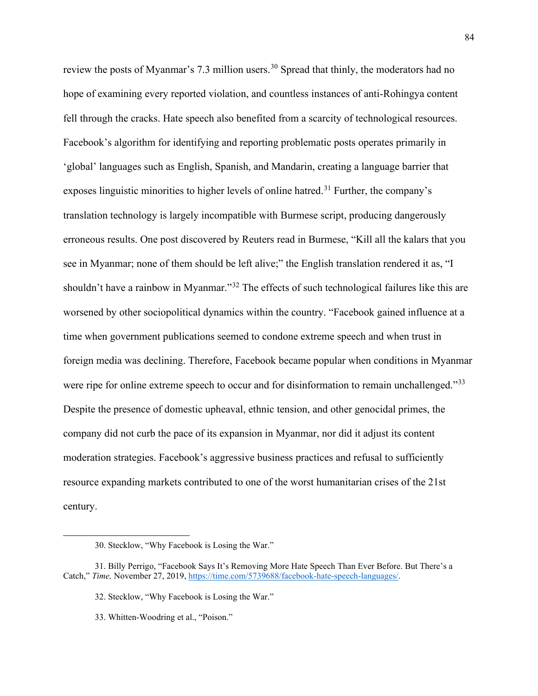review the posts of Myanmar's 7.3 million users.<sup>[30](#page-85-0)</sup> Spread that thinly, the moderators had no hope of examining every reported violation, and countless instances of anti-Rohingya content fell through the cracks. Hate speech also benefited from a scarcity of technological resources. Facebook's algorithm for identifying and reporting problematic posts operates primarily in 'global' languages such as English, Spanish, and Mandarin, creating a language barrier that exposes linguistic minorities to higher levels of online hatred.<sup>[31](#page-85-1)</sup> Further, the company's translation technology is largely incompatible with Burmese script, producing dangerously erroneous results. One post discovered by Reuters read in Burmese, "Kill all the kalars that you see in Myanmar; none of them should be left alive;" the English translation rendered it as, "I shouldn't have a rainbow in Myanmar."<sup>[32](#page-85-2)</sup> The effects of such technological failures like this are worsened by other sociopolitical dynamics within the country. "Facebook gained influence at a time when government publications seemed to condone extreme speech and when trust in foreign media was declining. Therefore, Facebook became popular when conditions in Myanmar were ripe for online extreme speech to occur and for disinformation to remain unchallenged."<sup>[33](#page-85-3)</sup> Despite the presence of domestic upheaval, ethnic tension, and other genocidal primes, the company did not curb the pace of its expansion in Myanmar, nor did it adjust its content moderation strategies. Facebook's aggressive business practices and refusal to sufficiently resource expanding markets contributed to one of the worst humanitarian crises of the 21st century.

<sup>30.</sup> Stecklow, "Why Facebook is Losing the War."

<span id="page-85-3"></span><span id="page-85-2"></span><span id="page-85-1"></span><span id="page-85-0"></span><sup>31.</sup> Billy Perrigo, "Facebook Says It's Removing More Hate Speech Than Ever Before. But There's a Catch," *Time,* November 27, 2019[, https://time.com/5739688/facebook-hate-speech-languages/.](https://time.com/5739688/facebook-hate-speech-languages/)

<sup>32.</sup> Stecklow, "Why Facebook is Losing the War."

<sup>33.</sup> Whitten-Woodring et al., "Poison."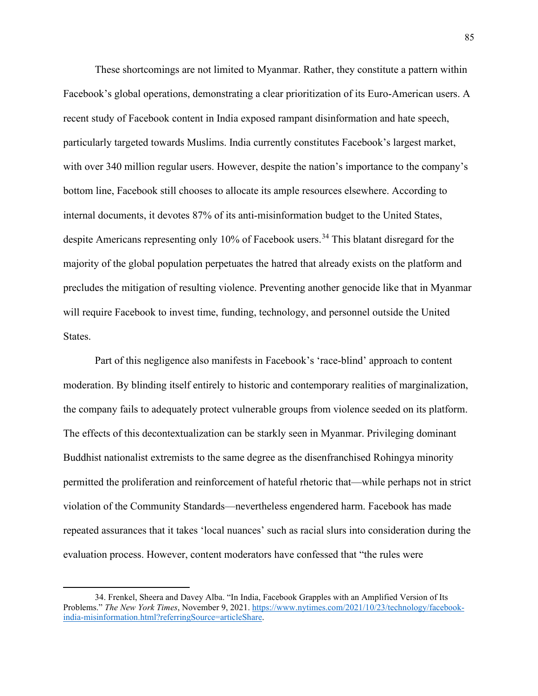These shortcomings are not limited to Myanmar. Rather, they constitute a pattern within Facebook's global operations, demonstrating a clear prioritization of its Euro-American users. A recent study of Facebook content in India exposed rampant disinformation and hate speech, particularly targeted towards Muslims. India currently constitutes Facebook's largest market, with over 340 million regular users. However, despite the nation's importance to the company's bottom line, Facebook still chooses to allocate its ample resources elsewhere. According to internal documents, it devotes 87% of its anti-misinformation budget to the United States, despite Americans representing only 10% of Facebook users.<sup>34</sup> This blatant disregard for the majority of the global population perpetuates the hatred that already exists on the platform and precludes the mitigation of resulting violence. Preventing another genocide like that in Myanmar will require Facebook to invest time, funding, technology, and personnel outside the United States.

Part of this negligence also manifests in Facebook's 'race-blind' approach to content moderation. By blinding itself entirely to historic and contemporary realities of marginalization, the company fails to adequately protect vulnerable groups from violence seeded on its platform. The effects of this decontextualization can be starkly seen in Myanmar. Privileging dominant Buddhist nationalist extremists to the same degree as the disenfranchised Rohingya minority permitted the proliferation and reinforcement of hateful rhetoric that—while perhaps not in strict violation of the Community Standards—nevertheless engendered harm. Facebook has made repeated assurances that it takes 'local nuances' such as racial slurs into consideration during the evaluation process. However, content moderators have confessed that "the rules were

<span id="page-86-0"></span><sup>34.</sup> Frenkel, Sheera and Davey Alba. "In India, Facebook Grapples with an Amplified Version of Its Problems." *The New York Times*, November 9, 2021. [https://www.nytimes.com/2021/10/23/technology/facebook](https://www.nytimes.com/2021/10/23/technology/facebook-india-misinformation.html?referringSource=articleShare)[india-misinformation.html?referringSource=articleShare.](https://www.nytimes.com/2021/10/23/technology/facebook-india-misinformation.html?referringSource=articleShare)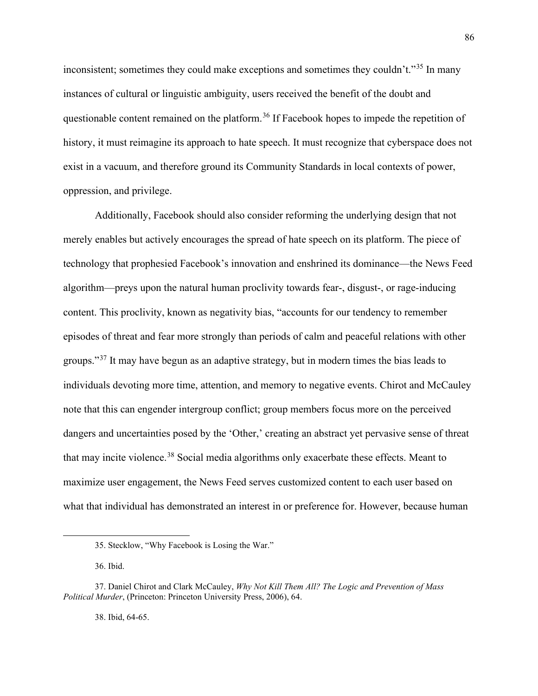inconsistent; sometimes they could make exceptions and sometimes they couldn't."<sup>[35](#page-87-0)</sup> In many instances of cultural or linguistic ambiguity, users received the benefit of the doubt and questionable content remained on the platform.<sup>[36](#page-87-1)</sup> If Facebook hopes to impede the repetition of history, it must reimagine its approach to hate speech. It must recognize that cyberspace does not exist in a vacuum, and therefore ground its Community Standards in local contexts of power, oppression, and privilege.

Additionally, Facebook should also consider reforming the underlying design that not merely enables but actively encourages the spread of hate speech on its platform. The piece of technology that prophesied Facebook's innovation and enshrined its dominance—the News Feed algorithm—preys upon the natural human proclivity towards fear-, disgust-, or rage-inducing content. This proclivity, known as negativity bias, "accounts for our tendency to remember episodes of threat and fear more strongly than periods of calm and peaceful relations with other groups."[37](#page-87-2) It may have begun as an adaptive strategy, but in modern times the bias leads to individuals devoting more time, attention, and memory to negative events. Chirot and McCauley note that this can engender intergroup conflict; group members focus more on the perceived dangers and uncertainties posed by the 'Other,' creating an abstract yet pervasive sense of threat that may incite violence.<sup>[38](#page-87-3)</sup> Social media algorithms only exacerbate these effects. Meant to maximize user engagement, the News Feed serves customized content to each user based on what that individual has demonstrated an interest in or preference for. However, because human

38. Ibid, 64-65.

<sup>35.</sup> Stecklow, "Why Facebook is Losing the War."

<sup>36.</sup> Ibid.

<span id="page-87-3"></span><span id="page-87-2"></span><span id="page-87-1"></span><span id="page-87-0"></span><sup>37.</sup> Daniel Chirot and Clark McCauley, *Why Not Kill Them All? The Logic and Prevention of Mass Political Murder*, (Princeton: Princeton University Press, 2006), 64.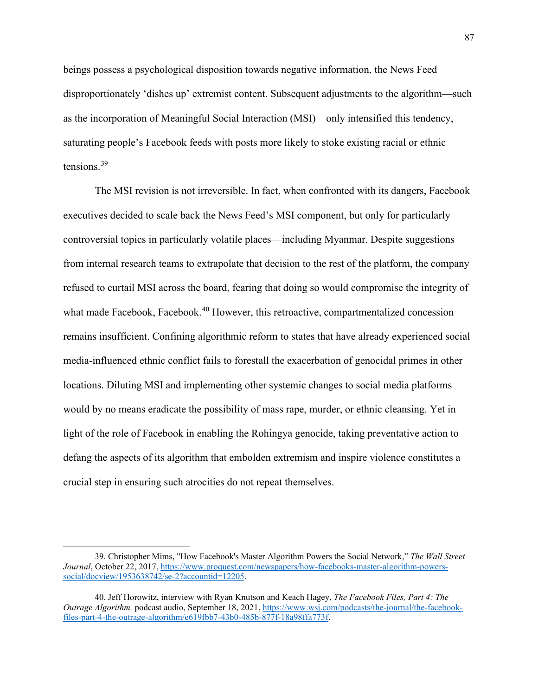beings possess a psychological disposition towards negative information, the News Feed disproportionately 'dishes up' extremist content. Subsequent adjustments to the algorithm—such as the incorporation of Meaningful Social Interaction (MSI)—only intensified this tendency, saturating people's Facebook feeds with posts more likely to stoke existing racial or ethnic tensions.[39](#page-88-0)

The MSI revision is not irreversible. In fact, when confronted with its dangers, Facebook executives decided to scale back the News Feed's MSI component, but only for particularly controversial topics in particularly volatile places—including Myanmar. Despite suggestions from internal research teams to extrapolate that decision to the rest of the platform, the company refused to curtail MSI across the board, fearing that doing so would compromise the integrity of what made Facebook, Facebook.<sup>[40](#page-88-1)</sup> However, this retroactive, compartmentalized concession remains insufficient. Confining algorithmic reform to states that have already experienced social media-influenced ethnic conflict fails to forestall the exacerbation of genocidal primes in other locations. Diluting MSI and implementing other systemic changes to social media platforms would by no means eradicate the possibility of mass rape, murder, or ethnic cleansing. Yet in light of the role of Facebook in enabling the Rohingya genocide, taking preventative action to defang the aspects of its algorithm that embolden extremism and inspire violence constitutes a crucial step in ensuring such atrocities do not repeat themselves.

<span id="page-88-0"></span><sup>39.</sup> Christopher Mims, "How Facebook's Master Algorithm Powers the Social Network," *The Wall Street Journal*, October 22, 2017, [https://www.proquest.com/newspapers/how-facebooks-master-algorithm-powers](https://www.proquest.com/newspapers/how-facebooks-master-algorithm-powers-social/docview/1953638742/se-2?accountid=12205)[social/docview/1953638742/se-2?accountid=12205.](https://www.proquest.com/newspapers/how-facebooks-master-algorithm-powers-social/docview/1953638742/se-2?accountid=12205)

<span id="page-88-1"></span><sup>40.</sup> Jeff Horowitz, interview with Ryan Knutson and Keach Hagey, *The Facebook Files, Part 4: The Outrage Algorithm,* podcast audio, September 18, 2021, [https://www.wsj.com/podcasts/the-journal/the-facebook](https://www.wsj.com/podcasts/the-journal/the-facebook-files-part-4-the-outrage-algorithm/e619fbb7-43b0-485b-877f-18a98ffa773f)[files-part-4-the-outrage-algorithm/e619fbb7-43b0-485b-877f-18a98ffa773f.](https://www.wsj.com/podcasts/the-journal/the-facebook-files-part-4-the-outrage-algorithm/e619fbb7-43b0-485b-877f-18a98ffa773f)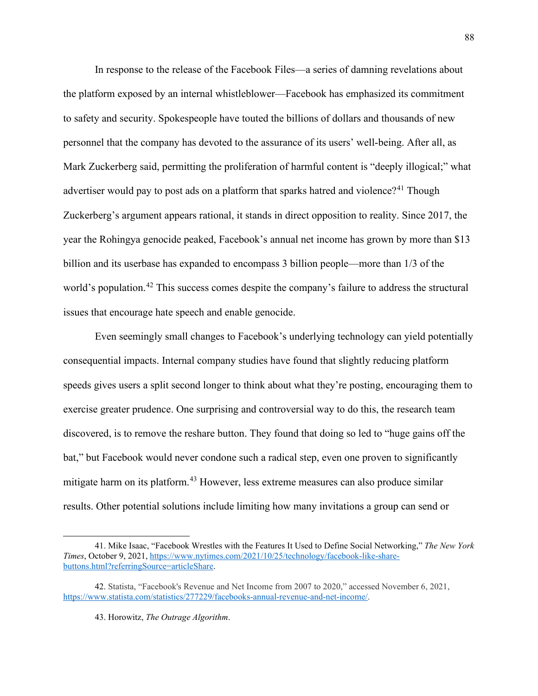In response to the release of the Facebook Files—a series of damning revelations about the platform exposed by an internal whistleblower—Facebook has emphasized its commitment to safety and security. Spokespeople have touted the billions of dollars and thousands of new personnel that the company has devoted to the assurance of its users' well-being. After all, as Mark Zuckerberg said, permitting the proliferation of harmful content is "deeply illogical;" what advertiser would pay to post ads on a platform that sparks hatred and violence?<sup>[41](#page-89-0)</sup> Though Zuckerberg's argument appears rational, it stands in direct opposition to reality. Since 2017, the year the Rohingya genocide peaked, Facebook's annual net income has grown by more than \$13 billion and its userbase has expanded to encompass 3 billion people—more than 1/3 of the world's population.<sup>[42](#page-89-1)</sup> This success comes despite the company's failure to address the structural issues that encourage hate speech and enable genocide.

Even seemingly small changes to Facebook's underlying technology can yield potentially consequential impacts. Internal company studies have found that slightly reducing platform speeds gives users a split second longer to think about what they're posting, encouraging them to exercise greater prudence. One surprising and controversial way to do this, the research team discovered, is to remove the reshare button. They found that doing so led to "huge gains off the bat," but Facebook would never condone such a radical step, even one proven to significantly mitigate harm on its platform.<sup>[43](#page-89-2)</sup> However, less extreme measures can also produce similar results. Other potential solutions include limiting how many invitations a group can send or

<span id="page-89-0"></span><sup>41.</sup> Mike Isaac, "Facebook Wrestles with the Features It Used to Define Social Networking," *The New York Times*, October 9, 2021[, https://www.nytimes.com/2021/10/25/technology/facebook-like-share](https://www.nytimes.com/2021/10/25/technology/facebook-like-share-buttons.html?referringSource=articleShare)[buttons.html?referringSource=articleShare.](https://www.nytimes.com/2021/10/25/technology/facebook-like-share-buttons.html?referringSource=articleShare)

<span id="page-89-2"></span><span id="page-89-1"></span><sup>42.</sup> Statista, "Facebook's Revenue and Net Income from 2007 to 2020," accessed November 6, 2021, [https://www.statista.com/statistics/277229/facebooks-annual-revenue-and-net-income/.](https://www.statista.com/statistics/277229/facebooks-annual-revenue-and-net-income/)

<sup>43.</sup> Horowitz, *The Outrage Algorithm*.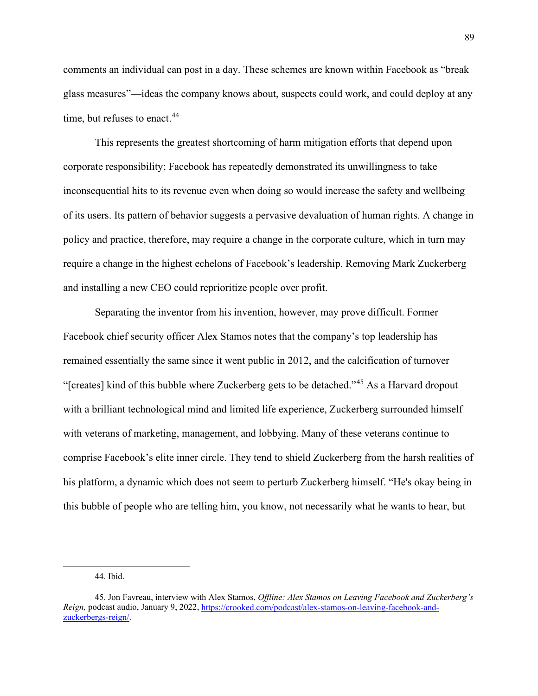comments an individual can post in a day. These schemes are known within Facebook as "break glass measures"—ideas the company knows about, suspects could work, and could deploy at any time, but refuses to enact.<sup>[44](#page-90-0)</sup>

This represents the greatest shortcoming of harm mitigation efforts that depend upon corporate responsibility; Facebook has repeatedly demonstrated its unwillingness to take inconsequential hits to its revenue even when doing so would increase the safety and wellbeing of its users. Its pattern of behavior suggests a pervasive devaluation of human rights. A change in policy and practice, therefore, may require a change in the corporate culture, which in turn may require a change in the highest echelons of Facebook's leadership. Removing Mark Zuckerberg and installing a new CEO could reprioritize people over profit.

Separating the inventor from his invention, however, may prove difficult. Former Facebook chief security officer Alex Stamos notes that the company's top leadership has remained essentially the same since it went public in 2012, and the calcification of turnover "[creates] kind of this bubble where Zuckerberg gets to be detached."[45](#page-90-1) As a Harvard dropout with a brilliant technological mind and limited life experience, Zuckerberg surrounded himself with veterans of marketing, management, and lobbying. Many of these veterans continue to comprise Facebook's elite inner circle. They tend to shield Zuckerberg from the harsh realities of his platform, a dynamic which does not seem to perturb Zuckerberg himself. "He's okay being in this bubble of people who are telling him, you know, not necessarily what he wants to hear, but

<sup>44.</sup> Ibid.

<span id="page-90-1"></span><span id="page-90-0"></span><sup>45.</sup> Jon Favreau, interview with Alex Stamos, *Offline: Alex Stamos on Leaving Facebook and Zuckerberg's Reign,* podcast audio, January 9, 2022, [https://crooked.com/podcast/alex-stamos-on-leaving-facebook-and](https://crooked.com/podcast/alex-stamos-on-leaving-facebook-and-zuckerbergs-reign/)[zuckerbergs-reign/.](https://crooked.com/podcast/alex-stamos-on-leaving-facebook-and-zuckerbergs-reign/)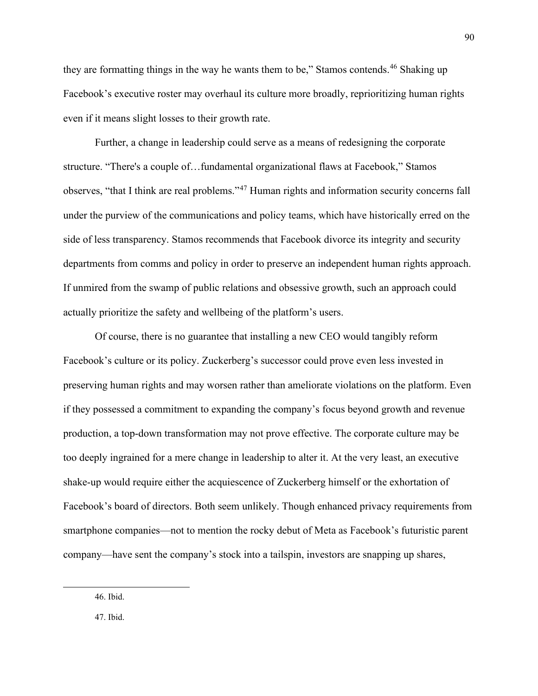they are formatting things in the way he wants them to be," Stamos contends.<sup>[46](#page-91-0)</sup> Shaking up Facebook's executive roster may overhaul its culture more broadly, reprioritizing human rights even if it means slight losses to their growth rate.

Further, a change in leadership could serve as a means of redesigning the corporate structure. "There's a couple of…fundamental organizational flaws at Facebook," Stamos observes, "that I think are real problems."[47](#page-91-1) Human rights and information security concerns fall under the purview of the communications and policy teams, which have historically erred on the side of less transparency. Stamos recommends that Facebook divorce its integrity and security departments from comms and policy in order to preserve an independent human rights approach. If unmired from the swamp of public relations and obsessive growth, such an approach could actually prioritize the safety and wellbeing of the platform's users.

Of course, there is no guarantee that installing a new CEO would tangibly reform Facebook's culture or its policy. Zuckerberg's successor could prove even less invested in preserving human rights and may worsen rather than ameliorate violations on the platform. Even if they possessed a commitment to expanding the company's focus beyond growth and revenue production, a top-down transformation may not prove effective. The corporate culture may be too deeply ingrained for a mere change in leadership to alter it. At the very least, an executive shake-up would require either the acquiescence of Zuckerberg himself or the exhortation of Facebook's board of directors. Both seem unlikely. Though enhanced privacy requirements from smartphone companies—not to mention the rocky debut of Meta as Facebook's futuristic parent company—have sent the company's stock into a tailspin, investors are snapping up shares,

<span id="page-91-1"></span>47. Ibid.

<span id="page-91-0"></span><sup>46.</sup> Ibid.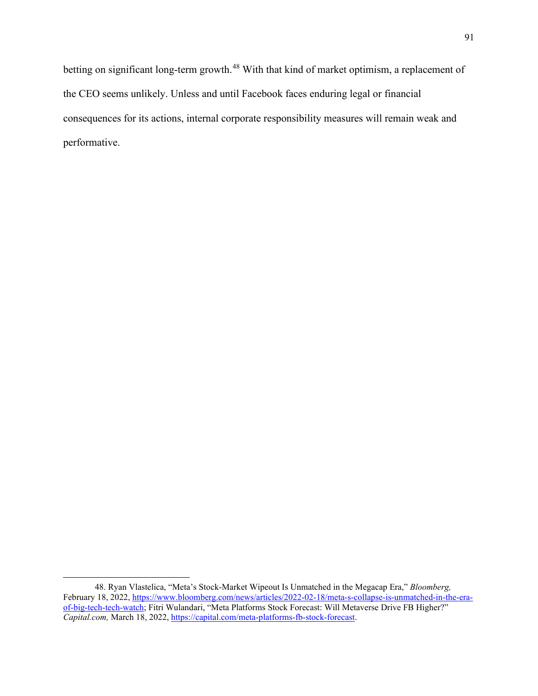betting on significant long-term growth.<sup>[48](#page-92-0)</sup> With that kind of market optimism, a replacement of the CEO seems unlikely. Unless and until Facebook faces enduring legal or financial consequences for its actions, internal corporate responsibility measures will remain weak and performative.

<span id="page-92-0"></span><sup>48.</sup> Ryan Vlastelica, "Meta's Stock-Market Wipeout Is Unmatched in the Megacap Era," *Bloomberg,*  February 18, 2022[, https://www.bloomberg.com/news/articles/2022-02-18/meta-s-collapse-is-unmatched-in-the-era](https://www.bloomberg.com/news/articles/2022-02-18/meta-s-collapse-is-unmatched-in-the-era-of-big-tech-tech-watch)[of-big-tech-tech-watch;](https://www.bloomberg.com/news/articles/2022-02-18/meta-s-collapse-is-unmatched-in-the-era-of-big-tech-tech-watch) Fitri Wulandari, "Meta Platforms Stock Forecast: Will Metaverse Drive FB Higher?" *Capital.com,* March 18, 2022, [https://capital.com/meta-platforms-fb-stock-forecast.](https://capital.com/meta-platforms-fb-stock-forecast)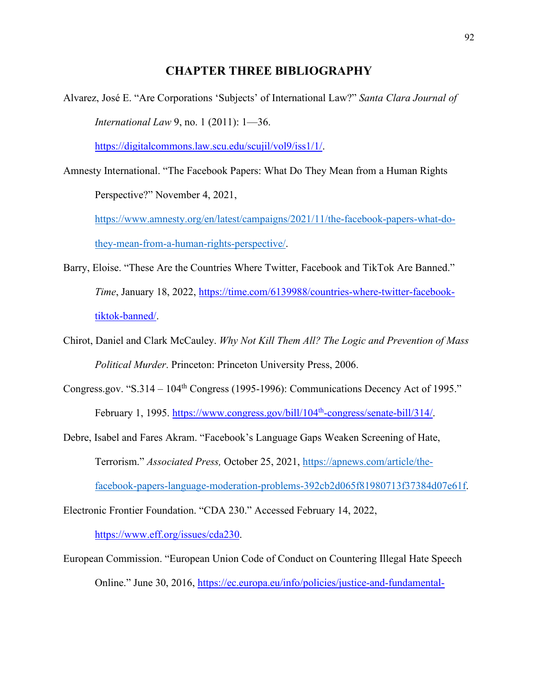# **CHAPTER THREE BIBLIOGRAPHY**

Alvarez, José E. "Are Corporations 'Subjects' of International Law?" *Santa Clara Journal of International Law* 9, no. 1 (2011): 1—36.

[https://digitalcommons.law.scu.edu/scujil/vol9/iss1/1/.](https://digitalcommons.law.scu.edu/scujil/vol9/iss1/1/)

Amnesty International. "The Facebook Papers: What Do They Mean from a Human Rights Perspective?" November 4, 2021,

[https://www.amnesty.org/en/latest/campaigns/2021/11/the-facebook-papers-what-do](https://www.amnesty.org/en/latest/campaigns/2021/11/the-facebook-papers-what-do-they-mean-from-a-human-rights-perspective/)[they-mean-from-a-human-rights-perspective/.](https://www.amnesty.org/en/latest/campaigns/2021/11/the-facebook-papers-what-do-they-mean-from-a-human-rights-perspective/)

- Barry, Eloise. "These Are the Countries Where Twitter, Facebook and TikTok Are Banned." *Time*, January 18, 2022, [https://time.com/6139988/countries-where-twitter-facebook](https://time.com/6139988/countries-where-twitter-facebook-tiktok-banned/)[tiktok-banned/.](https://time.com/6139988/countries-where-twitter-facebook-tiktok-banned/)
- Chirot, Daniel and Clark McCauley. *Why Not Kill Them All? The Logic and Prevention of Mass Political Murder*. Princeton: Princeton University Press, 2006.
- Congress.gov. "S.314  $104<sup>th</sup>$  Congress (1995-1996): Communications Decency Act of 1995." February 1, 1995. https://www.congress.gov/bill/104<sup>th</sup>-congress/senate-bill/314/.
- Debre, Isabel and Fares Akram. "Facebook's Language Gaps Weaken Screening of Hate, Terrorism." *Associated Press,* October 25, 2021, [https://apnews.com/article/the](https://apnews.com/article/the-facebook-papers-language-moderation-problems-392cb2d065f81980713f37384d07e61f)[facebook-papers-language-moderation-problems-392cb2d065f81980713f37384d07e61f.](https://apnews.com/article/the-facebook-papers-language-moderation-problems-392cb2d065f81980713f37384d07e61f)

Electronic Frontier Foundation. "CDA 230." Accessed February 14, 2022,

[https://www.eff.org/issues/cda230.](https://www.eff.org/issues/cda230)

European Commission. "European Union Code of Conduct on Countering Illegal Hate Speech Online." June 30, 2016, [https://ec.europa.eu/info/policies/justice-and-fundamental-](https://ec.europa.eu/info/policies/justice-and-fundamental-rights/combatting-discrimination/racism-and-xenophobia/eu-code-conduct-countering-illegal-hate-speech-online_en)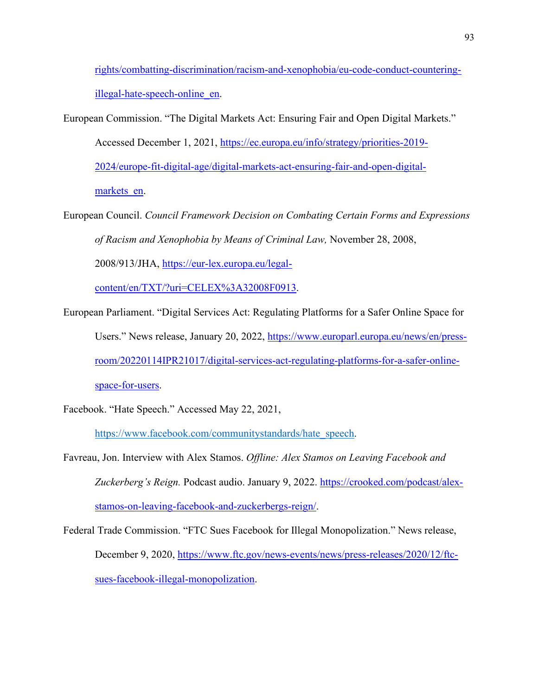[rights/combatting-discrimination/racism-and-xenophobia/eu-code-conduct-countering](https://ec.europa.eu/info/policies/justice-and-fundamental-rights/combatting-discrimination/racism-and-xenophobia/eu-code-conduct-countering-illegal-hate-speech-online_en)[illegal-hate-speech-online\\_en.](https://ec.europa.eu/info/policies/justice-and-fundamental-rights/combatting-discrimination/racism-and-xenophobia/eu-code-conduct-countering-illegal-hate-speech-online_en)

European Commission. "The Digital Markets Act: Ensuring Fair and Open Digital Markets."

Accessed December 1, 2021, [https://ec.europa.eu/info/strategy/priorities-2019-](https://ec.europa.eu/info/strategy/priorities-2019-2024/europe-fit-digital-age/digital-markets-act-ensuring-fair-and-open-digital-markets_en) [2024/europe-fit-digital-age/digital-markets-act-ensuring-fair-and-open-digital](https://ec.europa.eu/info/strategy/priorities-2019-2024/europe-fit-digital-age/digital-markets-act-ensuring-fair-and-open-digital-markets_en)markets en.

European Council. *Council Framework Decision on Combating Certain Forms and Expressions of Racism and Xenophobia by Means of Criminal Law,* November 28, 2008, 2008/913/JHA, [https://eur-lex.europa.eu/legal-](https://eur-lex.europa.eu/legal-content/en/TXT/?uri=CELEX%3A32008F0913)

[content/en/TXT/?uri=CELEX%3A32008F0913.](https://eur-lex.europa.eu/legal-content/en/TXT/?uri=CELEX%3A32008F0913)

European Parliament. "Digital Services Act: Regulating Platforms for a Safer Online Space for Users." News release, January 20, 2022, [https://www.europarl.europa.eu/news/en/press](https://www.europarl.europa.eu/news/en/press-room/20220114IPR21017/digital-services-act-regulating-platforms-for-a-safer-online-space-for-users)[room/20220114IPR21017/digital-services-act-regulating-platforms-for-a-safer-online](https://www.europarl.europa.eu/news/en/press-room/20220114IPR21017/digital-services-act-regulating-platforms-for-a-safer-online-space-for-users)[space-for-users.](https://www.europarl.europa.eu/news/en/press-room/20220114IPR21017/digital-services-act-regulating-platforms-for-a-safer-online-space-for-users)

Facebook. "Hate Speech." Accessed May 22, 2021,

[https://www.facebook.com/communitystandards/hate\\_speech.](https://www.facebook.com/communitystandards/hate_speech)

- Favreau, Jon. Interview with Alex Stamos. *Offline: Alex Stamos on Leaving Facebook and Zuckerberg's Reign.* Podcast audio. January 9, 2022. [https://crooked.com/podcast/alex](https://crooked.com/podcast/alex-stamos-on-leaving-facebook-and-zuckerbergs-reign/)[stamos-on-leaving-facebook-and-zuckerbergs-reign/.](https://crooked.com/podcast/alex-stamos-on-leaving-facebook-and-zuckerbergs-reign/)
- Federal Trade Commission. "FTC Sues Facebook for Illegal Monopolization." News release, December 9, 2020, [https://www.ftc.gov/news-events/news/press-releases/2020/12/ftc](https://www.ftc.gov/news-events/news/press-releases/2020/12/ftc-sues-facebook-illegal-monopolization)[sues-facebook-illegal-monopolization.](https://www.ftc.gov/news-events/news/press-releases/2020/12/ftc-sues-facebook-illegal-monopolization)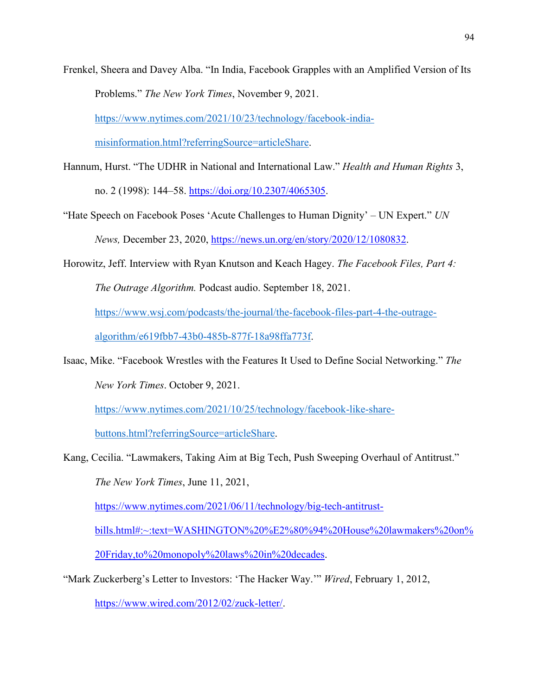Frenkel, Sheera and Davey Alba. "In India, Facebook Grapples with an Amplified Version of Its Problems." *The New York Times*, November 9, 2021.

[https://www.nytimes.com/2021/10/23/technology/facebook-india-](https://www.nytimes.com/2021/10/23/technology/facebook-india-misinformation.html?referringSource=articleShare)

[misinformation.html?referringSource=articleShare.](https://www.nytimes.com/2021/10/23/technology/facebook-india-misinformation.html?referringSource=articleShare)

- Hannum, Hurst. "The UDHR in National and International Law." *Health and Human Rights* 3, no. 2 (1998): 144–58. [https://doi.org/10.2307/4065305.](https://doi.org/10.2307/4065305)
- "Hate Speech on Facebook Poses 'Acute Challenges to Human Dignity' UN Expert." *UN News,* December 23, 2020, [https://news.un.org/en/story/2020/12/1080832.](https://news.un.org/en/story/2020/12/1080832)
- Horowitz, Jeff. Interview with Ryan Knutson and Keach Hagey. *The Facebook Files, Part 4:*

*The Outrage Algorithm.* Podcast audio. September 18, 2021.

[https://www.wsj.com/podcasts/the-journal/the-facebook-files-part-4-the-outrage-](https://www.wsj.com/podcasts/the-journal/the-facebook-files-part-4-the-outrage-algorithm/e619fbb7-43b0-485b-877f-18a98ffa773f)

[algorithm/e619fbb7-43b0-485b-877f-18a98ffa773f.](https://www.wsj.com/podcasts/the-journal/the-facebook-files-part-4-the-outrage-algorithm/e619fbb7-43b0-485b-877f-18a98ffa773f)

Isaac, Mike. "Facebook Wrestles with the Features It Used to Define Social Networking." *The New York Times*. October 9, 2021.

[https://www.nytimes.com/2021/10/25/technology/facebook-like-share-](https://www.nytimes.com/2021/10/25/technology/facebook-like-share-buttons.html?referringSource=articleShare)

[buttons.html?referringSource=articleShare.](https://www.nytimes.com/2021/10/25/technology/facebook-like-share-buttons.html?referringSource=articleShare)

Kang, Cecilia. "Lawmakers, Taking Aim at Big Tech, Push Sweeping Overhaul of Antitrust." *The New York Times*, June 11, 2021,

[https://www.nytimes.com/2021/06/11/technology/big-tech-antitrust-](https://www.nytimes.com/2021/06/11/technology/big-tech-antitrust-bills.html#:%7E:text=WASHINGTON%20%E2%80%94%20House%20lawmakers%20on%20Friday,to%20monopoly%20laws%20in%20decades)

[bills.html#:~:text=WASHINGTON%20%E2%80%94%20House%20lawmakers%20on%](https://www.nytimes.com/2021/06/11/technology/big-tech-antitrust-bills.html#:%7E:text=WASHINGTON%20%E2%80%94%20House%20lawmakers%20on%20Friday,to%20monopoly%20laws%20in%20decades)

[20Friday,to%20monopoly%20laws%20in%20decades.](https://www.nytimes.com/2021/06/11/technology/big-tech-antitrust-bills.html#:%7E:text=WASHINGTON%20%E2%80%94%20House%20lawmakers%20on%20Friday,to%20monopoly%20laws%20in%20decades)

"Mark Zuckerberg's Letter to Investors: 'The Hacker Way.'" *Wired*, February 1, 2012,

[https://www.wired.com/2012/02/zuck-letter/.](https://www.wired.com/2012/02/zuck-letter/)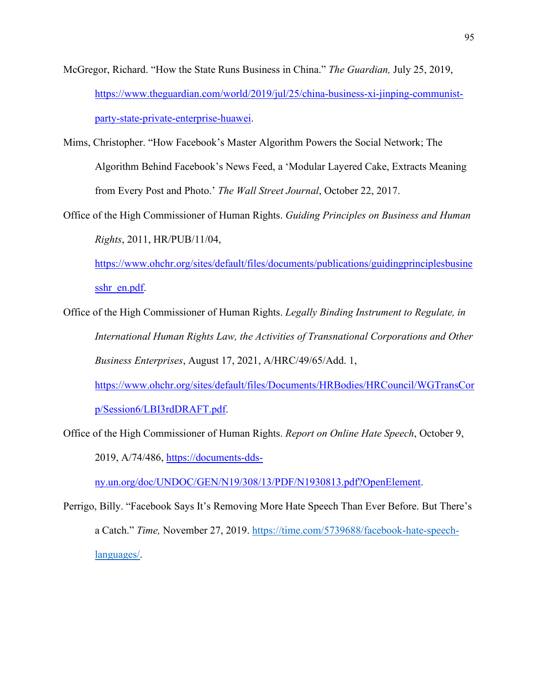- McGregor, Richard. "How the State Runs Business in China." *The Guardian,* July 25, 2019, [https://www.theguardian.com/world/2019/jul/25/china-business-xi-jinping-communist](https://www.theguardian.com/world/2019/jul/25/china-business-xi-jinping-communist-party-state-private-enterprise-huawei)[party-state-private-enterprise-huawei.](https://www.theguardian.com/world/2019/jul/25/china-business-xi-jinping-communist-party-state-private-enterprise-huawei)
- Mims, Christopher. "How Facebook's Master Algorithm Powers the Social Network; The Algorithm Behind Facebook's News Feed, a 'Modular Layered Cake, Extracts Meaning from Every Post and Photo.' *The Wall Street Journal*, October 22, 2017.
- Office of the High Commissioner of Human Rights. *Guiding Principles on Business and Human Rights*, 2011, HR/PUB/11/04,

[https://www.ohchr.org/sites/default/files/documents/publications/guidingprinciplesbusine](https://www.ohchr.org/sites/default/files/documents/publications/guidingprinciplesbusinesshr_en.pdf) [sshr\\_en.pdf.](https://www.ohchr.org/sites/default/files/documents/publications/guidingprinciplesbusinesshr_en.pdf)

Office of the High Commissioner of Human Rights. *Legally Binding Instrument to Regulate, in International Human Rights Law, the Activities of Transnational Corporations and Other Business Enterprises*, August 17, 2021, A/HRC/49/65/Add. 1, [https://www.ohchr.org/sites/default/files/Documents/HRBodies/HRCouncil/WGTransCor](https://www.ohchr.org/sites/default/files/Documents/HRBodies/HRCouncil/WGTransCorp/Session6/LBI3rdDRAFT.pdf)

[p/Session6/LBI3rdDRAFT.pdf.](https://www.ohchr.org/sites/default/files/Documents/HRBodies/HRCouncil/WGTransCorp/Session6/LBI3rdDRAFT.pdf)

Office of the High Commissioner of Human Rights. *Report on Online Hate Speech*, October 9,

2019, A/74/486, [https://documents-dds-](https://documents-dds-ny.un.org/doc/UNDOC/GEN/N19/308/13/PDF/N1930813.pdf?OpenElement)

[ny.un.org/doc/UNDOC/GEN/N19/308/13/PDF/N1930813.pdf?OpenElement.](https://documents-dds-ny.un.org/doc/UNDOC/GEN/N19/308/13/PDF/N1930813.pdf?OpenElement)

Perrigo, Billy. "Facebook Says It's Removing More Hate Speech Than Ever Before. But There's a Catch." *Time,* November 27, 2019. [https://time.com/5739688/facebook-hate-speech](https://time.com/5739688/facebook-hate-speech-languages/)[languages/.](https://time.com/5739688/facebook-hate-speech-languages/)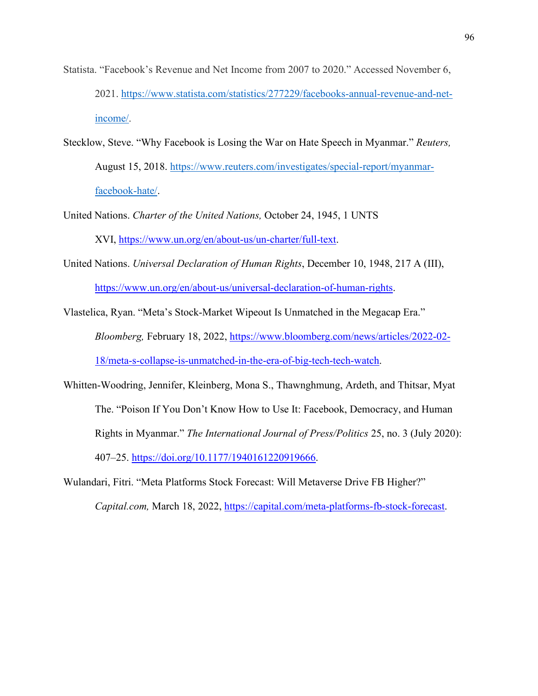- Statista. "Facebook's Revenue and Net Income from 2007 to 2020." Accessed November 6, 2021. [https://www.statista.com/statistics/277229/facebooks-annual-revenue-and-net](https://www.statista.com/statistics/277229/facebooks-annual-revenue-and-net-income/)[income/.](https://www.statista.com/statistics/277229/facebooks-annual-revenue-and-net-income/)
- Stecklow, Steve. "Why Facebook is Losing the War on Hate Speech in Myanmar." *Reuters,*  August 15, 2018. [https://www.reuters.com/investigates/special-report/myanmar](https://www.reuters.com/investigates/special-report/myanmar-facebook-hate/)[facebook-hate/.](https://www.reuters.com/investigates/special-report/myanmar-facebook-hate/)
- United Nations. *Charter of the United Nations,* October 24, 1945, 1 UNTS XVI, [https://www.un.org/en/about-us/un-charter/full-text.](https://www.un.org/en/about-us/un-charter/full-text)
- United Nations. *Universal Declaration of Human Rights*, December 10, 1948, 217 A (III), [https://www.un.org/en/about-us/universal-declaration-of-human-rights.](https://www.un.org/en/about-us/universal-declaration-of-human-rights)

Vlastelica, Ryan. "Meta's Stock-Market Wipeout Is Unmatched in the Megacap Era." *Bloomberg,* February 18, 2022, [https://www.bloomberg.com/news/articles/2022-02-](https://www.bloomberg.com/news/articles/2022-02-18/meta-s-collapse-is-unmatched-in-the-era-of-big-tech-tech-watch) [18/meta-s-collapse-is-unmatched-in-the-era-of-big-tech-tech-watch.](https://www.bloomberg.com/news/articles/2022-02-18/meta-s-collapse-is-unmatched-in-the-era-of-big-tech-tech-watch)

- Whitten-Woodring, Jennifer, Kleinberg, Mona S., Thawnghmung, Ardeth, and Thitsar, Myat The. "Poison If You Don't Know How to Use It: Facebook, Democracy, and Human Rights in Myanmar." *The International Journal of Press/Politics* 25, no. 3 (July 2020): 407–25. [https://doi.org/10.1177/1940161220919666.](https://doi.org/10.1177/1940161220919666)
- Wulandari, Fitri. "Meta Platforms Stock Forecast: Will Metaverse Drive FB Higher?" *Capital.com,* March 18, 2022, [https://capital.com/meta-platforms-fb-stock-forecast.](https://capital.com/meta-platforms-fb-stock-forecast)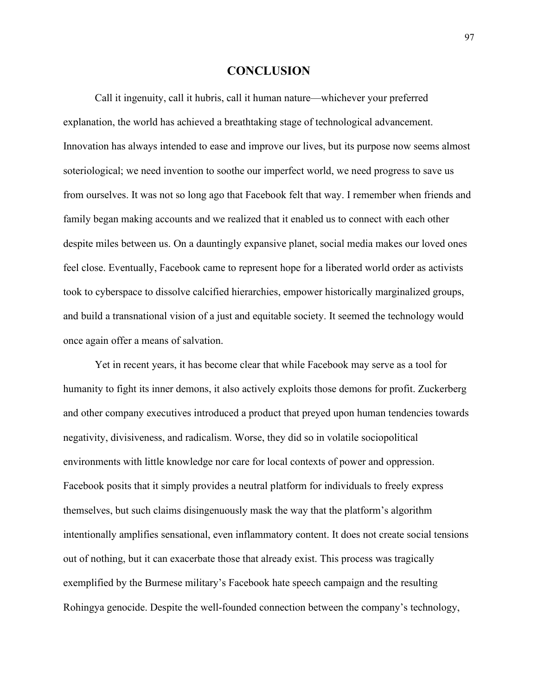### **CONCLUSION**

 Call it ingenuity, call it hubris, call it human nature—whichever your preferred explanation, the world has achieved a breathtaking stage of technological advancement. Innovation has always intended to ease and improve our lives, but its purpose now seems almost soteriological; we need invention to soothe our imperfect world, we need progress to save us from ourselves. It was not so long ago that Facebook felt that way. I remember when friends and family began making accounts and we realized that it enabled us to connect with each other despite miles between us. On a dauntingly expansive planet, social media makes our loved ones feel close. Eventually, Facebook came to represent hope for a liberated world order as activists took to cyberspace to dissolve calcified hierarchies, empower historically marginalized groups, and build a transnational vision of a just and equitable society. It seemed the technology would once again offer a means of salvation.

 Yet in recent years, it has become clear that while Facebook may serve as a tool for humanity to fight its inner demons, it also actively exploits those demons for profit. Zuckerberg and other company executives introduced a product that preyed upon human tendencies towards negativity, divisiveness, and radicalism. Worse, they did so in volatile sociopolitical environments with little knowledge nor care for local contexts of power and oppression. Facebook posits that it simply provides a neutral platform for individuals to freely express themselves, but such claims disingenuously mask the way that the platform's algorithm intentionally amplifies sensational, even inflammatory content. It does not create social tensions out of nothing, but it can exacerbate those that already exist. This process was tragically exemplified by the Burmese military's Facebook hate speech campaign and the resulting Rohingya genocide. Despite the well-founded connection between the company's technology,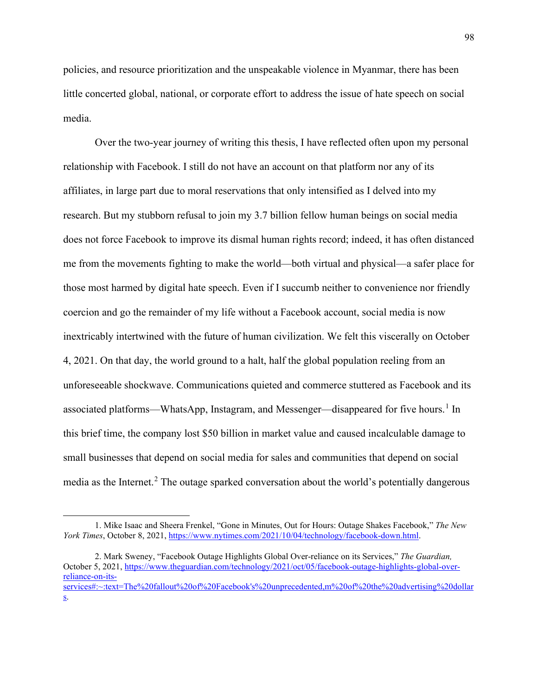policies, and resource prioritization and the unspeakable violence in Myanmar, there has been little concerted global, national, or corporate effort to address the issue of hate speech on social media.

 Over the two-year journey of writing this thesis, I have reflected often upon my personal relationship with Facebook. I still do not have an account on that platform nor any of its affiliates, in large part due to moral reservations that only intensified as I delved into my research. But my stubborn refusal to join my 3.7 billion fellow human beings on social media does not force Facebook to improve its dismal human rights record; indeed, it has often distanced me from the movements fighting to make the world—both virtual and physical—a safer place for those most harmed by digital hate speech. Even if I succumb neither to convenience nor friendly coercion and go the remainder of my life without a Facebook account, social media is now inextricably intertwined with the future of human civilization. We felt this viscerally on October 4, 2021. On that day, the world ground to a halt, half the global population reeling from an unforeseeable shockwave. Communications quieted and commerce stuttered as Facebook and its associated platforms—WhatsApp, Instagram, and Messenger—disappeared for five hours.<sup>[1](#page-99-0)</sup> In this brief time, the company lost \$50 billion in market value and caused incalculable damage to small businesses that depend on social media for sales and communities that depend on social media as the Internet.<sup>[2](#page-99-1)</sup> The outage sparked conversation about the world's potentially dangerous

<span id="page-99-0"></span><sup>1.</sup> Mike Isaac and Sheera Frenkel, "Gone in Minutes, Out for Hours: Outage Shakes Facebook," *The New York Times*, October 8, 2021, [https://www.nytimes.com/2021/10/04/technology/facebook-down.html.](https://www.nytimes.com/2021/10/04/technology/facebook-down.html)

<span id="page-99-1"></span><sup>2.</sup> Mark Sweney, "Facebook Outage Highlights Global Over-reliance on its Services," *The Guardian,*  October 5, 2021[, https://www.theguardian.com/technology/2021/oct/05/facebook-outage-highlights-global-over](https://www.theguardian.com/technology/2021/oct/05/facebook-outage-highlights-global-over-reliance-on-its-services#:%7E:text=The%20fallout%20of%20Facebook)[reliance-on-its](https://www.theguardian.com/technology/2021/oct/05/facebook-outage-highlights-global-over-reliance-on-its-services#:%7E:text=The%20fallout%20of%20Facebook)[services#:~:text=The%20fallout%20of%20Facebook's%20unprecedented,m%20of%20the%20advertising%20dollar](https://www.theguardian.com/technology/2021/oct/05/facebook-outage-highlights-global-over-reliance-on-its-services#:%7E:text=The%20fallout%20of%20Facebook) [s.](https://www.theguardian.com/technology/2021/oct/05/facebook-outage-highlights-global-over-reliance-on-its-services#:%7E:text=The%20fallout%20of%20Facebook)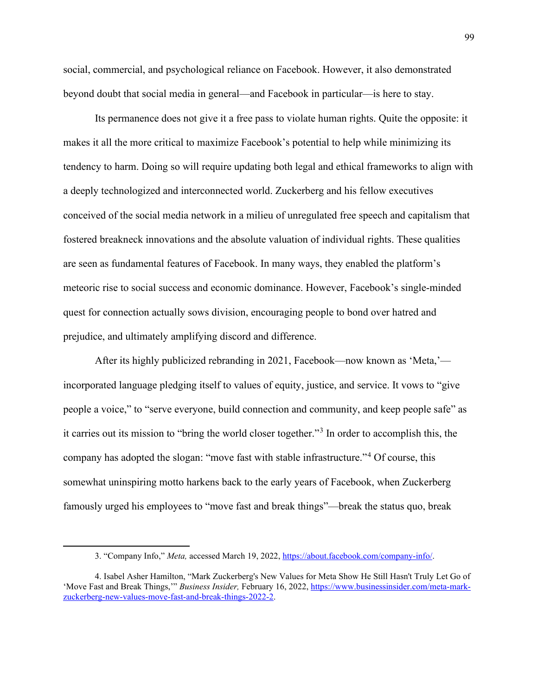social, commercial, and psychological reliance on Facebook. However, it also demonstrated beyond doubt that social media in general—and Facebook in particular—is here to stay.

Its permanence does not give it a free pass to violate human rights. Quite the opposite: it makes it all the more critical to maximize Facebook's potential to help while minimizing its tendency to harm. Doing so will require updating both legal and ethical frameworks to align with a deeply technologized and interconnected world. Zuckerberg and his fellow executives conceived of the social media network in a milieu of unregulated free speech and capitalism that fostered breakneck innovations and the absolute valuation of individual rights. These qualities are seen as fundamental features of Facebook. In many ways, they enabled the platform's meteoric rise to social success and economic dominance. However, Facebook's single-minded quest for connection actually sows division, encouraging people to bond over hatred and prejudice, and ultimately amplifying discord and difference.

After its highly publicized rebranding in 2021, Facebook—now known as 'Meta,' incorporated language pledging itself to values of equity, justice, and service. It vows to "give people a voice," to "serve everyone, build connection and community, and keep people safe" as it carries out its mission to "bring the world closer together."[3](#page-100-0) In order to accomplish this, the company has adopted the slogan: "move fast with stable infrastructure."<sup>[4](#page-100-1)</sup> Of course, this somewhat uninspiring motto harkens back to the early years of Facebook, when Zuckerberg famously urged his employees to "move fast and break things"—break the status quo, break

<sup>3. &</sup>quot;Company Info," *Meta,* accessed March 19, 2022[, https://about.facebook.com/company-info/.](https://about.facebook.com/company-info/)

<span id="page-100-1"></span><span id="page-100-0"></span><sup>4.</sup> Isabel Asher Hamilton, "Mark Zuckerberg's New Values for Meta Show He Still Hasn't Truly Let Go of 'Move Fast and Break Things,'" *Business Insider,* February 16, 2022[, https://www.businessinsider.com/meta-mark](https://www.businessinsider.com/meta-mark-zuckerberg-new-values-move-fast-and-break-things-2022-2)[zuckerberg-new-values-move-fast-and-break-things-2022-2.](https://www.businessinsider.com/meta-mark-zuckerberg-new-values-move-fast-and-break-things-2022-2)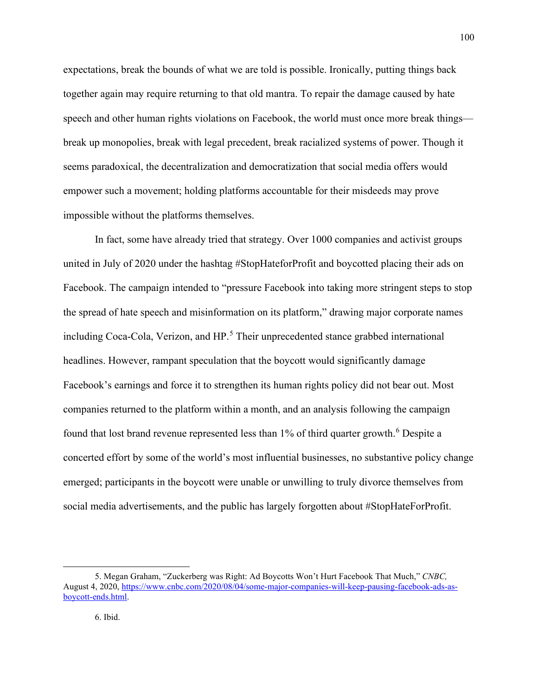expectations, break the bounds of what we are told is possible. Ironically, putting things back together again may require returning to that old mantra. To repair the damage caused by hate speech and other human rights violations on Facebook, the world must once more break things break up monopolies, break with legal precedent, break racialized systems of power. Though it seems paradoxical, the decentralization and democratization that social media offers would empower such a movement; holding platforms accountable for their misdeeds may prove impossible without the platforms themselves.

In fact, some have already tried that strategy. Over 1000 companies and activist groups united in July of 2020 under the hashtag #StopHateforProfit and boycotted placing their ads on Facebook. The campaign intended to "pressure Facebook into taking more stringent steps to stop the spread of hate speech and misinformation on its platform," drawing major corporate names including Coca-Cola, Verizon, and HP.<sup>[5](#page-101-0)</sup> Their unprecedented stance grabbed international headlines. However, rampant speculation that the boycott would significantly damage Facebook's earnings and force it to strengthen its human rights policy did not bear out. Most companies returned to the platform within a month, and an analysis following the campaign found that lost brand revenue represented less than 1% of third quarter growth.<sup>[6](#page-101-1)</sup> Despite a concerted effort by some of the world's most influential businesses, no substantive policy change emerged; participants in the boycott were unable or unwilling to truly divorce themselves from social media advertisements, and the public has largely forgotten about #StopHateForProfit.

<span id="page-101-1"></span><span id="page-101-0"></span><sup>5.</sup> Megan Graham, "Zuckerberg was Right: Ad Boycotts Won't Hurt Facebook That Much," *CNBC,*  August 4, 2020, [https://www.cnbc.com/2020/08/04/some-major-companies-will-keep-pausing-facebook-ads-as](https://www.cnbc.com/2020/08/04/some-major-companies-will-keep-pausing-facebook-ads-as-boycott-ends.html)[boycott-ends.html.](https://www.cnbc.com/2020/08/04/some-major-companies-will-keep-pausing-facebook-ads-as-boycott-ends.html)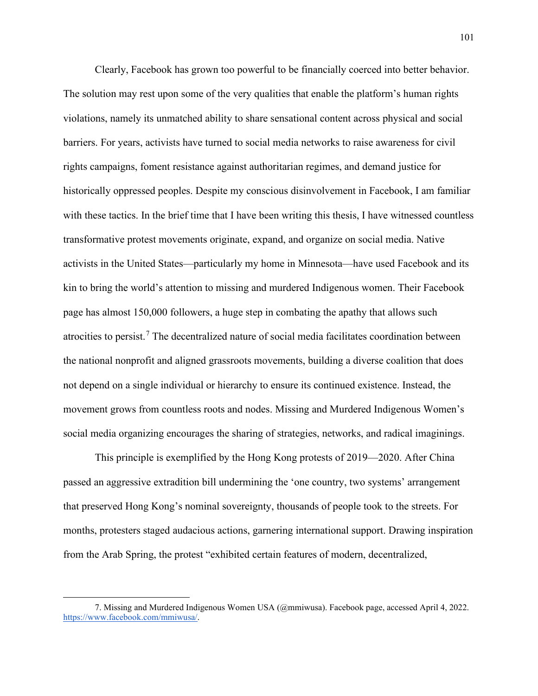Clearly, Facebook has grown too powerful to be financially coerced into better behavior. The solution may rest upon some of the very qualities that enable the platform's human rights violations, namely its unmatched ability to share sensational content across physical and social barriers. For years, activists have turned to social media networks to raise awareness for civil rights campaigns, foment resistance against authoritarian regimes, and demand justice for historically oppressed peoples. Despite my conscious disinvolvement in Facebook, I am familiar with these tactics. In the brief time that I have been writing this thesis, I have witnessed countless transformative protest movements originate, expand, and organize on social media. Native activists in the United States—particularly my home in Minnesota—have used Facebook and its kin to bring the world's attention to missing and murdered Indigenous women. Their Facebook page has almost 150,000 followers, a huge step in combating the apathy that allows such atrocities to persist.<sup>[7](#page-102-0)</sup> The decentralized nature of social media facilitates coordination between the national nonprofit and aligned grassroots movements, building a diverse coalition that does not depend on a single individual or hierarchy to ensure its continued existence. Instead, the movement grows from countless roots and nodes. Missing and Murdered Indigenous Women's social media organizing encourages the sharing of strategies, networks, and radical imaginings.

This principle is exemplified by the Hong Kong protests of 2019—2020. After China passed an aggressive extradition bill undermining the 'one country, two systems' arrangement that preserved Hong Kong's nominal sovereignty, thousands of people took to the streets. For months, protesters staged audacious actions, garnering international support. Drawing inspiration from the Arab Spring, the protest "exhibited certain features of modern, decentralized,

<span id="page-102-0"></span><sup>7.</sup> Missing and Murdered Indigenous Women USA (@mmiwusa). Facebook page, accessed April 4, 2022. [https://www.facebook.com/mmiwusa/.](https://www.facebook.com/mmiwusa/)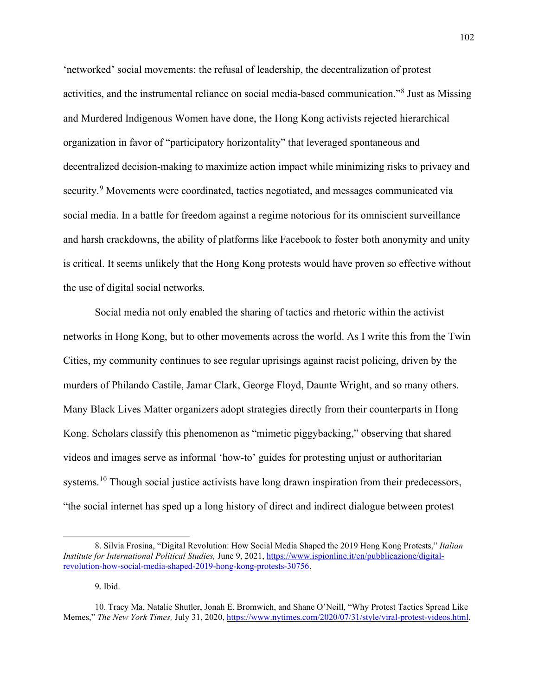'networked' social movements: the refusal of leadership, the decentralization of protest activities, and the instrumental reliance on social media-based communication."[8](#page-103-0) Just as Missing and Murdered Indigenous Women have done, the Hong Kong activists rejected hierarchical organization in favor of "participatory horizontality" that leveraged spontaneous and decentralized decision-making to maximize action impact while minimizing risks to privacy and security.<sup>[9](#page-103-1)</sup> Movements were coordinated, tactics negotiated, and messages communicated via social media. In a battle for freedom against a regime notorious for its omniscient surveillance and harsh crackdowns, the ability of platforms like Facebook to foster both anonymity and unity is critical. It seems unlikely that the Hong Kong protests would have proven so effective without the use of digital social networks.

Social media not only enabled the sharing of tactics and rhetoric within the activist networks in Hong Kong, but to other movements across the world. As I write this from the Twin Cities, my community continues to see regular uprisings against racist policing, driven by the murders of Philando Castile, Jamar Clark, George Floyd, Daunte Wright, and so many others. Many Black Lives Matter organizers adopt strategies directly from their counterparts in Hong Kong. Scholars classify this phenomenon as "mimetic piggybacking," observing that shared videos and images serve as informal 'how-to' guides for protesting unjust or authoritarian systems.<sup>10</sup> Though social justice activists have long drawn inspiration from their predecessors, "the social internet has sped up a long history of direct and indirect dialogue between protest

9. Ibid.

<span id="page-103-0"></span><sup>8.</sup> Silvia Frosina, "Digital Revolution: How Social Media Shaped the 2019 Hong Kong Protests," *Italian Institute for International Political Studies,* June 9, 2021[, https://www.ispionline.it/en/pubblicazione/digital](https://www.ispionline.it/en/pubblicazione/digital-revolution-how-social-media-shaped-2019-hong-kong-protests-30756)[revolution-how-social-media-shaped-2019-hong-kong-protests-30756.](https://www.ispionline.it/en/pubblicazione/digital-revolution-how-social-media-shaped-2019-hong-kong-protests-30756)

<span id="page-103-2"></span><span id="page-103-1"></span><sup>10.</sup> Tracy Ma, Natalie Shutler, Jonah E. Bromwich, and Shane O'Neill, "Why Protest Tactics Spread Like Memes," *The New York Times,* July 31, 2020, [https://www.nytimes.com/2020/07/31/style/viral-protest-videos.html.](https://www.nytimes.com/2020/07/31/style/viral-protest-videos.html)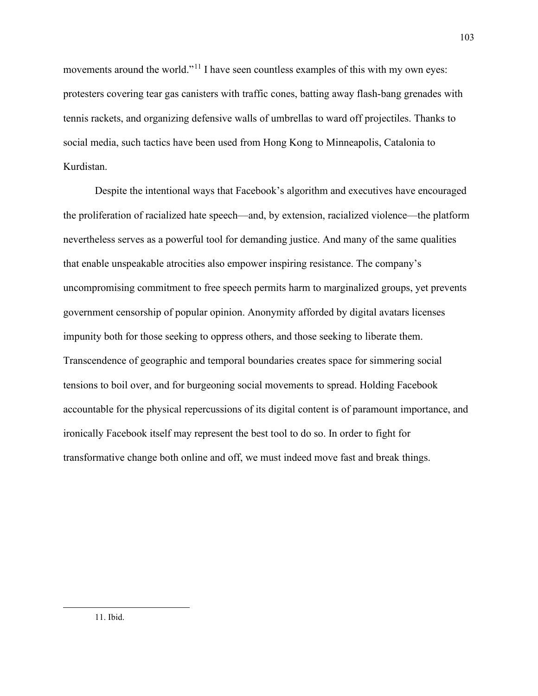movements around the world."<sup>[11](#page-104-0)</sup> I have seen countless examples of this with my own eyes: protesters covering tear gas canisters with traffic cones, batting away flash-bang grenades with tennis rackets, and organizing defensive walls of umbrellas to ward off projectiles. Thanks to social media, such tactics have been used from Hong Kong to Minneapolis, Catalonia to Kurdistan.

<span id="page-104-0"></span>Despite the intentional ways that Facebook's algorithm and executives have encouraged the proliferation of racialized hate speech—and, by extension, racialized violence—the platform nevertheless serves as a powerful tool for demanding justice. And many of the same qualities that enable unspeakable atrocities also empower inspiring resistance. The company's uncompromising commitment to free speech permits harm to marginalized groups, yet prevents government censorship of popular opinion. Anonymity afforded by digital avatars licenses impunity both for those seeking to oppress others, and those seeking to liberate them. Transcendence of geographic and temporal boundaries creates space for simmering social tensions to boil over, and for burgeoning social movements to spread. Holding Facebook accountable for the physical repercussions of its digital content is of paramount importance, and ironically Facebook itself may represent the best tool to do so. In order to fight for transformative change both online and off, we must indeed move fast and break things.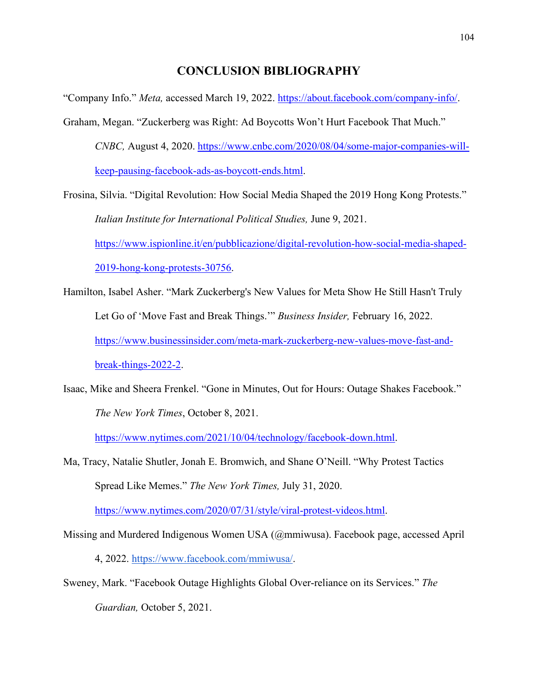# **CONCLUSION BIBLIOGRAPHY**

"Company Info." *Meta,* accessed March 19, 2022. [https://about.facebook.com/company-info/.](https://about.facebook.com/company-info/)

Graham, Megan. "Zuckerberg was Right: Ad Boycotts Won't Hurt Facebook That Much." *CNBC,* August 4, 2020. [https://www.cnbc.com/2020/08/04/some-major-companies-will](https://www.cnbc.com/2020/08/04/some-major-companies-will-keep-pausing-facebook-ads-as-boycott-ends.html)[keep-pausing-facebook-ads-as-boycott-ends.html.](https://www.cnbc.com/2020/08/04/some-major-companies-will-keep-pausing-facebook-ads-as-boycott-ends.html)

Frosina, Silvia. "Digital Revolution: How Social Media Shaped the 2019 Hong Kong Protests." *Italian Institute for International Political Studies,* June 9, 2021. [https://www.ispionline.it/en/pubblicazione/digital-revolution-how-social-media-shaped-](https://www.ispionline.it/en/pubblicazione/digital-revolution-how-social-media-shaped-2019-hong-kong-protests-30756)[2019-hong-kong-protests-30756.](https://www.ispionline.it/en/pubblicazione/digital-revolution-how-social-media-shaped-2019-hong-kong-protests-30756)

- Hamilton, Isabel Asher. "Mark Zuckerberg's New Values for Meta Show He Still Hasn't Truly Let Go of 'Move Fast and Break Things.'" *Business Insider,* February 16, 2022. [https://www.businessinsider.com/meta-mark-zuckerberg-new-values-move-fast-and](https://www.businessinsider.com/meta-mark-zuckerberg-new-values-move-fast-and-break-things-2022-2)[break-things-2022-2.](https://www.businessinsider.com/meta-mark-zuckerberg-new-values-move-fast-and-break-things-2022-2)
- Isaac, Mike and Sheera Frenkel. "Gone in Minutes, Out for Hours: Outage Shakes Facebook." *The New York Times*, October 8, 2021.

[https://www.nytimes.com/2021/10/04/technology/facebook-down.html.](https://www.nytimes.com/2021/10/04/technology/facebook-down.html)

Ma, Tracy, Natalie Shutler, Jonah E. Bromwich, and Shane O'Neill. "Why Protest Tactics Spread Like Memes." *The New York Times,* July 31, 2020.

[https://www.nytimes.com/2020/07/31/style/viral-protest-videos.html.](https://www.nytimes.com/2020/07/31/style/viral-protest-videos.html)

Missing and Murdered Indigenous Women USA (@mmiwusa). Facebook page, accessed April

4, 2022. [https://www.facebook.com/mmiwusa/.](https://www.facebook.com/mmiwusa/)

Sweney, Mark. "Facebook Outage Highlights Global Over-reliance on its Services." *The Guardian,* October 5, 2021.